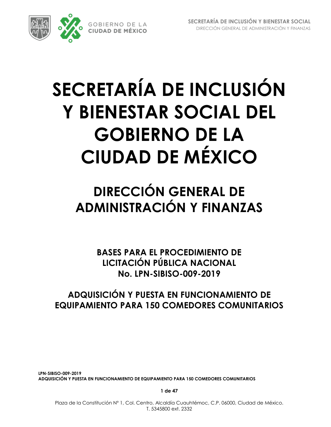

# **SECRETARÍA DE INCLUSIÓN Y BIENESTAR SOCIAL DEL GOBIERNO DE LA CIUDAD DE MÉXICO**

## **DIRECCIÓN GENERAL DE ADMINISTRACIÓN Y FINANZAS**

**BASES PARA EL PROCEDIMIENTO DE LICITACIÓN PÚBLICA NACIONAL No. LPN-SIBISO-009-2019**

## **ADQUISICIÓN Y PUESTA EN FUNCIONAMIENTO DE EQUIPAMIENTO PARA 150 COMEDORES COMUNITARIOS**

**LPN-SIBISO-009-2019 ADQUISICIÓN Y PUESTA EN FUNCIONAMIENTO DE EQUIPAMIENTO PARA 150 COMEDORES COMUNITARIOS**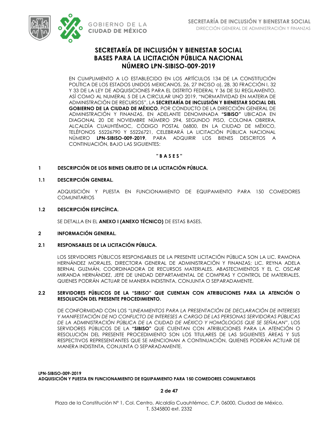

## **SECRETARÍA DE INCLUSIÓN Y BIENESTAR SOCIAL BASES PARA LA LICITACIÓN PÚBLICA NACIONAL NÚMERO LPN-SIBISO-009-2019**

EN CUMPLIMIENTO A LO ESTABLECIDO EN LOS ARTÍCULOS 134 DE LA CONSTITUCIÓN POLÍTICA DE LOS ESTADOS UNIDOS MEXICANOS, 26, 27 INCISO a), 28, 30 FRACCIÓN I, 32 Y 33 DE LA LEY DE ADQUISICIONES PARA EL DISTRITO FEDERAL Y 36 DE SU REGLAMENTO, ASÍ COMO AL NUMERAL 5 DE LA CIRCULAR UNO 2019, "NORMATIVIDAD EN MATERIA DE ADMINISTRACIÓN DE RECURSOS", LA **SECRETARÍA DE INCLUSIÓN Y BIENESTAR SOCIAL DEL GOBIERNO DE LA CIUDAD DE MÉXICO**, POR CONDUCTO DE LA DIRECCIÓN GENERAL DE ADMINISTRACIÓN Y FINANZAS, EN ADELANTE DENOMINADA **"SIBISO"** UBICADA EN DIAGONAL 20 DE NOVIEMBRE NÚMERO 294, SEGUNDO PISO, COLONIA OBRERA, ALCALDÍA CUAUHTÉMOC, CÓDIGO POSTAL 06800, EN LA CIUDAD DE MÉXICO, TELÉFONOS 55226790 Y 55226721, CELEBRARÁ LA LICITACIÓN PÚBLICA NACIONAL NÚMERO **LPN-SIBISO-009-2019**, PARA ADQUIRIR LOS BIENES DESCRITOS A CONTINUACIÓN, BAJO LAS SIGUIENTES:

### **" B A S E S "**

### **1 DESCRIPCIÓN DE LOS BIENES OBJETO DE LA LICITACIÓN PÚBLICA.**

### **1.1 DESCRIPCIÓN GENERAL.**

ADQUISICIÓN Y PUESTA EN FUNCIONAMIENTO DE EQUIPAMIENTO PARA 150 COMEDORES **COMUNITARIOS** 

### **1.2 DESCRIPCIÓN ESPECÍFICA.**

SE DETALLA EN EL **ANEXO I (ANEXO TÉCNICO)** DE ESTAS BASES.

### **2 INFORMACIÓN GENERAL.**

### **2.1 RESPONSABLES DE LA LICITACIÓN PÚBLICA.**

LOS SERVIDORES PÚBLICOS RESPONSABLES DE LA PRESENTE LICITACIÓN PÚBLICA SON LA LIC. RAMONA HERNÁNDEZ MORALES, DIRECTORA GENERAL DE ADMINISTRACIÓN Y FINANZAS; LIC. REYNA ADELA BERNAL GUZMÁN, COORDINADORA DE RECURSOS MATERIALES, ABASTECIMIENTOS Y EL C. OSCAR MIRANDA HERNÁNDEZ, JEFE DE UNIDAD DEPARTAMENTAL DE COMPRAS Y CONTROL DE MATERIALES, QUIENES PODRÁN ACTUAR DE MANERA INDISTINTA, CONJUNTA O SEPARADAMENTE.

### **2.2 SERVIDORES PÚBLICOS DE LA "SIBISO" QUE CUENTAN CON ATRIBUCIONES PARA LA ATENCIÓN O RESOLUCIÓN DEL PRESENTE PROCEDIMIENTO.**

DE CONFORMIDAD CON LOS *"LINEAMIENTOS PARA LA PRESENTACIÓN DE DECLARACIÓN DE INTERESES Y MANIFESTACIÓN DE NO CONFLICTO DE INTERESES A CARGO DE LAS PERSONAS SERVIDORAS PÚBLICAS DE LA ADMINISTRACIÓN PÚBLICA DE LA CIUDAD DE MÉXICO Y HOMÓLOGOS QUE SE SEÑALAN"*, LOS SERVIDORES PÚBLICOS DE LA **"SIBISO"** QUE CUENTAN CON ATRIBUCIONES PARA LA ATENCIÓN O RESOLUCIÓN DEL PRESENTE PROCEDIMIENTO SON LOS TITULARES DE LAS SIGUIENTES ÁREAS Y SUS RESPECTIVOS REPRESENTANTES QUE SE MENCIONAN A CONTINUACIÓN, QUIENES PODRÁN ACTUAR DE MANERA INDISTINTA, CONJUNTA O SEPARADAMENTE.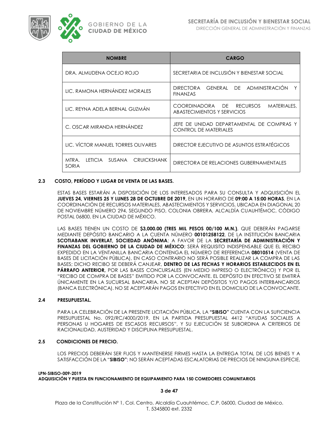

| <b>NOMBRE</b>                                          | <b>CARGO</b>                                                              |  |  |  |  |
|--------------------------------------------------------|---------------------------------------------------------------------------|--|--|--|--|
| DRA. ALMUDENA OCEJO ROJO                               | SECRETARIA DE INCLUSIÓN Y BIENESTAR SOCIAL                                |  |  |  |  |
| LIC. RAMONA HERNÁNDEZ MORALES                          | GENERAL DE ADMINISTRACIÓN<br>DIRECTORA<br><b>FINANZAS</b>                 |  |  |  |  |
| LIC. REYNA ADELA BERNAL GUZMÁN                         | COORDINADORA DE RECURSOS<br>MATERIALES,<br>ABASTECIMIENTOS Y SERVICIOS    |  |  |  |  |
| C. OSCAR MIRANDA HERNÁNDEZ                             | JEFE DE UNIDAD DEPARTAMENTAL DE COMPRAS Y<br><b>CONTROL DE MATERIALES</b> |  |  |  |  |
| LIC. VÍCTOR MANUEL TORRES OLIVARES                     | DIRECTOR EJECUTIVO DE ASUNTOS ESTRATÉGICOS                                |  |  |  |  |
| MTRA.<br>LETICIA SUSANA<br><b>CRUICKSHANK</b><br>SORIA | DIRECTORA DE RELACIONES GUBERNAMENTALES                                   |  |  |  |  |

### **2.3 COSTO, PERÍODO Y LUGAR DE VENTA DE LAS BASES.**

ESTAS BASES ESTARÁN A DISPOSICIÓN DE LOS INTERESADOS PARA SU CONSULTA Y ADQUISICIÓN EL **JUEVES 24, VIERNES 25 Y LUNES 28 DE OCTUBRE DE 2019,** EN UN HORARIO DE **09:00 A 15:00 HORAS**, EN LA COORDINACIÓN DE RECURSOS MATERIALES, ABASTECIMIENTOS Y SERVICIOS, UBICADA EN DIAGONAL 20 DE NOVIEMBRE NÚMERO 294, SEGUNDO PISO, COLONIA OBRERA, ALCALDÍA CUAUHTÉMOC, CÓDIGO POSTAL 06800, EN LA CIUDAD DE MÉXICO.

LAS BASES TIENEN UN COSTO DE **\$3,000.00 (TRES MIL PESOS 00/100 M.N.)**, QUE DEBERÁN PAGARSE MEDIANTE DEPÓSITO BANCARIO A LA CUENTA NÚMERO **00101258122**, DE LA INSTITUCIÓN BANCARIA **SCOTIABANK INVERLAT, SOCIEDAD ANÓNIMA**; A FAVOR DE LA **SECRETARÍA DE ADMINISTRACIÓN Y FINANZAS DEL GOBIERNO DE LA CIUDAD DE MÉXICO**; SERÁ REQUISITO INDISPENSABLE QUE EL RECIBO EXPEDIDO EN LA VENTANILLA BANCARIA CONTENGA EL NÚMERO DE REFERENCIA **08010514** (VENTA DE BASES DE LICITACIÓN PÚBLICA), EN CASO CONTRARIO NO SERÁ POSIBLE REALIZAR LA COMPRA DE LAS BASES; DICHO RECIBO SE DEBERÁ CANJEAR, **DENTRO DE LAS FECHAS Y HORARIOS ESTABLECIDOS EN EL PÁRRAFO ANTERIOR,** POR LAS BASES CONCURSALES (EN MEDIO IMPRESO O ELECTRÓNICO) Y POR EL "RECIBO DE COMPRA DE BASES" EMITIDO POR LA CONVOCANTE. EL DEPÓSITO EN EFECTIVO SE EMITIRÁ ÚNICAMENTE EN LA SUCURSAL BANCARIA. NO SE ACEPTAN DEPÓSITOS Y/O PAGOS INTERBANCARIOS (BANCA ELECTRÓNICA). NO SE ACEPTARÁN PAGOS EN EFECTIVO EN EL DOMICILIO DE LA CONVOCANTE.

### **2.4 PRESUPUESTAL.**

PARA LA CELEBRACIÓN DE LA PRESENTE LICITACIÓN PÚBLICA, LA **"SIBISO"** CUENTA CON LA SUFICIENCIA PRESUPUESTAL No. 092/RC/4000/2019, EN LA PARTIDA PRESUPUESTAL 4412 "AYUDAS SOCIALES A PERSONAS U HOGARES DE ESCASOS RECURSOS", Y SU EJECUCIÓN SE SUBORDINA A CRITERIOS DE RACIONALIDAD, AUSTERIDAD Y DISCIPLINA PRESUPUESTAL.

### **2.5 CONDICIONES DE PRECIO.**

LOS PRECIOS DEBERÁN SER FIJOS Y MANTENERSE FIRMES HASTA LA ENTREGA TOTAL DE LOS BIENES Y A SATISFACCIÓN DE LA "**SIBISO";** NO SERÁN ACEPTADAS ESCALATORIAS DE PRECIOS DE NINGUNA ESPECIE,

### **LPN-SIBISO-009-2019 ADQUISICIÓN Y PUESTA EN FUNCIONAMIENTO DE EQUIPAMIENTO PARA 150 COMEDORES COMUNITARIOS**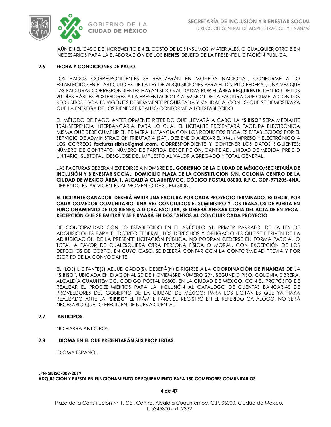

AÚN EN EL CASO DE INCREMENTO EN EL COSTO DE LOS INSUMOS, MATERIALES, O CUALQUIER OTRO BIEN NECESARIOS PARA LA ELABORACIÓN DE LOS **BIENES** OBJETO DE LA PRESENTE LICITACIÓN PÚBLICA.

### **2.6 FECHA Y CONDICIONES DE PAGO.**

LOS PAGOS CORRESPONDIENTES SE REALIZARÁN EN MONEDA NACIONAL, CONFORME A LO ESTABLECIDO EN EL ARTÍCULO 64 DE LA LEY DE ADQUISICIONES PARA EL DISTRITO FEDERAL, UNA VEZ QUE LAS FACTURAS CORRESPONDIENTES HAYAN SIDO VALIDADAS POR EL **ÁREA REQUIRENTE**, DENTRO DE LOS 20 DÍAS HÁBILES POSTERIORES A LA PRESENTACIÓN Y ADMISIÓN DE LA FACTURA QUE CUMPLA CON LOS REQUISITOS FISCALES VIGENTES DEBIDAMENTE REQUISITADA Y VALIDADA, CON LO QUE SE DEMOSTRARÁ QUE LA ENTREGA DE LOS BIENES SE REALIZÓ CONFORME A LO ESTABLECIDO

EL MÉTODO DE PAGO ANTERIORMENTE REFERIDO QUE LLEVARÁ A CABO LA **"SIBISO"** SERÁ MEDIANTE TRANSFERENCIA INTERBANCARIA, PARA LO CUAL EL LICITANTE PRESENTARÁ FACTURA ELECTRÓNICA MISMA QUE DEBE CUMPLIR EN PRIMERA INSTANCIA CON LOS REQUISITOS FISCALES ESTABLECIDOS POR EL SERVICIO DE ADMINISTRACIÓN TRIBUTARIA (SAT), DEBIENDO ANEXAR EL XML (IMPRESO Y ELECTRÓNICO A LOS CORREOS **facturas.sibiso@gmail.com**, CORRESPONDIENTE Y CONTENER LOS DATOS SIGUIENTES: NÚMERO DE CONTRATO, NÚMERO DE PARTIDA, DESCRIPCIÓN, CANTIDAD, UNIDAD DE MEDIDA, PRECIO UNITARIO, SUBTOTAL, DESGLOSE DEL IMPUESTO AL VALOR AGREGADO Y TOTAL GENERAL.

LAS FACTURAS DEBERÁN EXPEDIRSE A NOMBRE DEL **GOBIERNO DE LA CIUDAD DE MÉXICO/SECRETARÍA DE INCLUSIÓN Y BIENESTAR SOCIAL, DOMICILIO PLAZA DE LA CONSTITUCIÓN S/N, COLONIA CENTRO DE LA CIUDAD DE MÉXICO ÁREA 1, ALCALDÍA CUAUHTÉMOC, CÓDIGO POSTAL 06000, R.F.C. GDF-971205-4NA**, DEBIENDO ESTAR VIGENTES AL MOMENTO DE SU EMISIÓN.

**EL LICITANTE GANADOR, DEBERÁ EMITIR UNA FACTURA POR CADA PROYECTO TERMINADO, ES DECIR, POR CADA COMEDOR COMUNITARIO, UNA VEZ CONCLUIDOS EL SUMINISTRO Y LOS TRABAJOS DE PUESTA EN FUNCIONAMIENTO DE LOS BIENES; A DICHA FACTURA, SE DEBERÁ ANEXAR COPIA DEL ACTA DE ENTREGA-RECEPCIÓN QUE SE EMITIRÁ Y SE FIRMARÁ EN DOS TANTOS AL CONCLUIR CADA PROYECTO.**

DE CONFORMIDAD CON LO ESTABLECIDO EN EL ARTÍCULO 61, PRIMER PÁRRAFO, DE LA LEY DE ADQUISICIONES PARA EL DISTRITO FEDERAL, LOS DERECHOS Y OBLIGACIONES QUE SE DERIVEN DE LA ADJUDICACIÓN DE LA PRESENTE LICITACIÓN PÚBLICA, NO PODRÁN CEDERSE EN FORMA PARCIAL O TOTAL A FAVOR DE CUALESQUIERA OTRA PERSONA FÍSICA O MORAL, CON EXCEPCIÓN DE LOS DERECHOS DE COBRO, EN CUYO CASO, SE DEBERÁ CONTAR CON LA CONFORMIDAD PREVIA Y POR ESCRITO DE LA CONVOCANTE.

EL (LOS) LICITANTE(S) ADJUDICADO(S), DEBERÁ(N) DIRIGIRSE A LA **COORDINACIÓN DE FINANZAS** DE LA **"SIBISO"**, UBICADA EN DIAGONAL 20 DE NOVIEMBRE NÚMERO 294, SEGUNDO PISO, COLONIA OBRERA, ALCALDÍA CUAUHTÉMOC, CÓDIGO POSTAL 06800, EN LA CIUDAD DE MÉXICO, CON EL PROPÓSITO DE REALIZAR EL PROCEDIMIENTOS PARA LA INCLUSIÓN AL CATÁLOGO DE CUENTAS BANCARIAS DE PROVEEDORES DEL GOBIERNO DE LA CIUDAD DE MÉXICO; PARA LOS LICITANTES QUE YA HAYA REALIZADO ANTE LA **"SIBISO"** EL TRÁMITE PARA SU REGISTRO EN EL REFERIDO CATÁLOGO, NO SERÁ NECESARIO QUE LO EFECTÚEN DE NUEVA CUENTA.

### **2.7 ANTICIPOS.**

NO HABRÁ ANTICIPOS*.*

### **2.8 IDIOMA EN EL QUE PRESENTARÁN SUS PROPUESTAS.**

IDIOMA ESPAÑOL.

### **LPN-SIBISO-009-2019 ADQUISICIÓN Y PUESTA EN FUNCIONAMIENTO DE EQUIPAMIENTO PARA 150 COMEDORES COMUNITARIOS**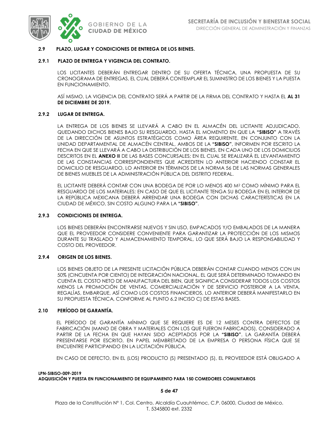

### **2.9 PLAZO, LUGAR Y CONDICIONES DE ENTREGA DE LOS BIENES.**

### **2.9.1 PLAZO DE ENTREGA Y VIGENCIA DEL CONTRATO.**

LOS LICITANTES DEBERÁN ENTREGAR DENTRO DE SU OFERTA TÉCNICA, UNA PROPUESTA DE SU CRONOGRAMA DE ENTREGAS, EL CUAL DEBERÁ CONTEMPLAR EL SUMINISTRO DE LOS BIENES Y LA PUESTA EN FUNCIONAMIENTO.

ASÍ MISMO, LA VIGENCIA DEL CONTRATO SERÁ A PARTIR DE LA FIRMA DEL CONTRATO Y HASTA EL **AL 31 DE DICIEMBRE DE 2019.**

### **2.9.2 LUGAR DE ENTREGA.**

LA ENTREGA DE LOS BIENES SE LLEVARÁ A CABO EN EL ALMACÉN DEL LICITANTE ADJUDICADO, QUEDANDO DICHOS BIENES BAJO SU RESGUARDO, HASTA EL MOMENTO EN QUE LA **"SIBISO"** A TRAVÉS DE LA DIRECCIÓN DE ASUNTOS ESTRATÉGICOS COMO ÁREA REQUIRENTE, EN CONJUNTO CON LA UNIDAD DEPARTAMENTAL DE ALMACÉN CENTRAL, AMBOS DE LA **"SIBISO"**, INFORMEN POR ESCRITO LA FECHA EN QUE SE LLEVARÁ A CABO LA DISTRIBUCIÓN DE LOS BIENES, EN CADA UNO DE LOS DOMICILIOS DESCRITOS EN EL **ANEXO II** DE LAS BASES CONCURSALES; EN EL CUAL SE REALIZARÁ EL LEVANTAMIENTO DE LAS CONSTANCIAS CORRESPONDIENTES QUE ACREDITEN LO ANTERIOR HACIENDO CONSTAR EL DOMICILIO DE RESGUARDO, LO ANTERIOR EN TÉRMINOS DE LA NORMA 56 DE LAS NORMAS GENERALES DE BIENES MUEBLES DE LA ADMINISTRACIÓN PÚBLICA DEL DISTRITO FEDERAL.

EL LICITANTE DEBERÁ CONTAR CON UNA BODEGA DE POR LO MENOS 400 M<sup>2</sup> COMO MÍNIMO PARA EL RESGUARDO DE LOS MATERIALES; EN CASO DE QUE EL LICITANTE TENGA SU BODEGA EN EL INTERIOR DE LA REPÚBLICA MEXICANA DEBERÁ ARRENDAR UNA BODEGA CON DICHAS CARACTERÍSTICAS EN LA CIUDAD DE MÉXICO, SIN COSTO ALGUNO PARA LA **"SIBISO"**.

### **2.9.3 CONDICIONES DE ENTREGA.**

LOS BIENES DEBERÁN ENCONTRARSE NUEVOS Y SIN USO, EMPACADOS Y/O EMBALADOS DE LA MANERA QUE EL PROVEEDOR CONSIDERE CONVENIENTE PARA GARANTIZAR LA PROTECCIÓN DE LOS MISMOS DURANTE SU TRASLADO Y ALMACENAMIENTO TEMPORAL, LO QUE SERÁ BAJO LA RESPONSABILIDAD Y COSTO DEL PROVEEDOR.

### **2.9.4 ORIGEN DE LOS BIENES.**

LOS BIENES OBJETO DE LA PRESENTE LICITACIÓN PÚBLICA DEBERÁN CONTAR CUANDO MENOS CON UN 50% (CINCUENTA POR CIENTO) DE INTEGRACIÓN NACIONAL, EL QUE SERÁ DETERMINADO TOMANDO EN CUENTA EL COSTO NETO DE MANUFACTURA DEL BIEN, QUE SIGNIFICA CONSIDERAR TODOS LOS COSTOS MENOS LA PROMOCIÓN DE VENTAS, COMERCIALIZACIÓN Y DE SERVICIO POSTERIOR A LA VENTA, REGALÍAS, EMBARQUE, ASÍ COMO LOS COSTOS FINANCIEROS, LO ANTERIOR DEBERÁ MANIFESTARLO EN SU PROPUESTA TÉCNICA, CONFORME AL PUNTO 6.2 INCISO C) DE ESTAS BASES.

### **2.10 PERÍODO DE GARANTÍA.**

EL PERÍODO DE GARANTÍA MÍNIMO QUE SE REQUIERE ES DE 12 MESES CONTRA DEFECTOS DE FABRICACIÓN (MANO DE OBRA Y MATERIALES CON LOS QUE FUERON FABRICADOS), CONSIDERADO A PARTIR DE LA FECHA EN QUE HAYAN SIDO ACEPTADOS POR LA **"SIBISO"**. LA GARANTÍA DEBERÁ PRESENTARSE POR ESCRITO, EN PAPEL MEMBRETADO DE LA EMPRESA O PERSONA FÍSICA QUE SE ENCUENTRE PARTICIPANDO EN LA LICITACIÓN PÚBLICA.

EN CASO DE DEFECTO, EN EL (LOS) PRODUCTO (S) PRESENTADO (S), EL PROVEEDOR ESTÁ OBLIGADO A

### **LPN-SIBISO-009-2019 ADQUISICIÓN Y PUESTA EN FUNCIONAMIENTO DE EQUIPAMIENTO PARA 150 COMEDORES COMUNITARIOS**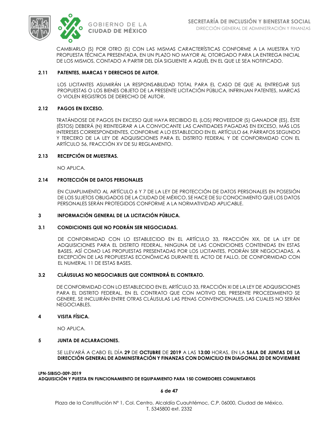

CAMBIARLO (S) POR OTRO (S) CON LAS MISMAS CARACTERÍSTICAS CONFORME A LA MUESTRA Y/O PROPUESTA TÉCNICA PRESENTADA, EN UN PLAZO NO MAYOR AL OTORGADO PARA LA ENTREGA INICIAL DE LOS MISMOS, CONTADO A PARTIR DEL DÍA SIGUIENTE A AQUÉL EN EL QUE LE SEA NOTIFICADO.

### **2.11 PATENTES, MARCAS Y DERECHOS DE AUTOR.**

LOS LICITANTES ASUMIRÁN LA RESPONSABILIDAD TOTAL PARA EL CASO DE QUE AL ENTREGAR SUS PROPUESTAS O LOS BIENES OBJETO DE LA PRESENTE LICITACIÓN PÚBLICA, INFRINJAN PATENTES, MARCAS O VIOLEN REGISTROS DE DERECHO DE AUTOR.

### **2.12 PAGOS EN EXCESO.**

TRATÁNDOSE DE PAGOS EN EXCESO QUE HAYA RECIBIDO EL (LOS) PROVEEDOR (S) GANADOR (ES), ÉSTE (ÉSTOS) DEBERÁ (N) REINTEGRAR A LA CONVOCANTE LAS CANTIDADES PAGADAS EN EXCESO, MÁS LOS INTERESES CORRESPONDIENTES, CONFORME A LO ESTABLECIDO EN EL ARTÍCULO 64, PÁRRAFOS SEGUNDO Y TERCERO DE LA LEY DE ADQUISICIONES PARA EL DISTRITO FEDERAL Y DE CONFORMIDAD CON EL ARTÍCULO 56, FRACCIÓN XV DE SU REGLAMENTO.

### **2.13 RECEPCIÓN DE MUESTRAS.**

NO APLICA.

### **2.14 PROTECCIÓN DE DATOS PERSONALES**

EN CUMPLIMIENTO AL ARTÍCULO 6 Y 7 DE LA LEY DE PROTECCIÓN DE DATOS PERSONALES EN POSESIÓN DE LOS SUJETOS OBLIGADOS DE LA CIUDAD DE MÉXICO, SE HACE DE SU CONOCIMIENTO QUE LOS DATOS PERSONALES SERÁN PROTEGIDOS CONFORME A LA NORMATIVIDAD APLICABLE.

### **3 INFORMACIÓN GENERAL DE LA LICITACIÓN PÚBLICA.**

### **3.1 CONDICIONES QUE NO PODRÁN SER NEGOCIADAS.**

DE CONFORMIDAD CON LO ESTABLECIDO EN EL ARTÍCULO 33, FRACCIÓN XIX, DE LA LEY DE ADQUISICIONES PARA EL DISTRITO FEDERAL, NINGUNA DE LAS CONDICIONES CONTENIDAS EN ESTAS BASES, ASÍ COMO LAS PROPUESTAS PRESENTADAS POR LOS LICITANTES, PODRÁN SER NEGOCIADAS, A EXCEPCIÓN DE LAS PROPUESTAS ECONÓMICAS DURANTE EL ACTO DE FALLO, DE CONFORMIDAD CON EL NUMERAL 11 DE ESTAS BASES.

### **3.2 CLÁUSULAS NO NEGOCIABLES QUE CONTENDRÁ EL CONTRATO.**

DE CONFORMIDAD CON LO ESTABLECIDO EN EL ARTÍCULO 33, FRACCIÓN XI DE LA LEY DE ADQUISICIONES PARA EL DISTRITO FEDERAL, EN EL CONTRATO QUE CON MOTIVO DEL PRESENTE PROCEDIMIENTO SE GENERE, SE INCLUIRÁN ENTRE OTRAS CLÁUSULAS LAS PENAS CONVENCIONALES, LAS CUALES NO SERÁN NEGOCIABLES.

### **4 VISITA FÍSICA.**

NO APLICA.

### **5 JUNTA DE ACLARACIONES.**

SE LLEVARÁ A CABO EL DÍA **29** DE **OCTUBRE** DE **2019** A LAS **13:00** HORAS, EN LA **SALA DE JUNTAS DE LA DIRECCIÓN GENERAL DE ADMINISTRACIÓN Y FINANZAS CON DOMICILIO EN DIAGONAL 20 DE NOVIEMBRE** 

**LPN-SIBISO-009-2019 ADQUISICIÓN Y PUESTA EN FUNCIONAMIENTO DE EQUIPAMIENTO PARA 150 COMEDORES COMUNITARIOS**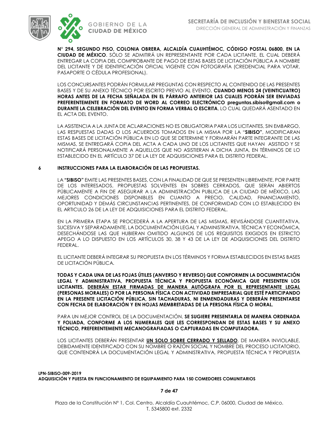



**N° 294, SEGUNDO PISO, COLONIA OBRERA, ALCALDÍA CUAUHTÉMOC, CÓDIGO POSTAL 06800, EN LA CIUDAD DE MÉXICO**. SÓLO SE ADMITIRÁ UN REPRESENTANTE POR CADA LICITANTE, EL CUAL DEBERÁ ENTREGAR LA COPIA DEL COMPROBANTE DE PAGO DE ESTAS BASES DE LICITACIÓN PÚBLICA A NOMBRE DEL LICITANTE Y DE IDENTIFICACIÓN OFICIAL VIGENTE CON FOTOGRAFÍA (CREDENCIAL PARA VOTAR, PASAPORTE O CÉDULA PROFESIONAL).

LOS CONCURSANTES PODRÁN FORMULAR PREGUNTAS CON RESPECTO AL CONTENIDO DE LAS PRESENTES BASES Y DE SU ANEXO TÉCNICO POR ESCRITO PREVIO AL EVENTO, **CUANDO MENOS 24 (VEINTICUATRO) HORAS ANTES DE LA FECHA SEÑALADA EN EL PÁRRAFO ANTERIOR LAS CUALES PODRÁN SER ENVIADAS PREFERENTEMENTE EN FORMATO DE WORD AL CORREO ELECTRÓNICO preguntas.sibiso@gmail.com o DURANTE LA CELEBRACIÓN DEL EVENTO EN FORMA VERBAL O ESCRITA**, LO CUAL QUEDARÁ ASENTADO EN EL ACTA DEL EVENTO.

LA ASISTENCIA A LA JUNTA DE ACLARACIONES NO ES OBLIGATORIA PARA LOS LICITANTES, SIN EMBARGO, LAS RESPUESTAS DADAS O LOS ACUERDOS TOMADOS EN LA MISMA POR LA "**SIBISO"**, MODIFICARAN ESTAS BASES DE LICITACIÓN PÚBLICA EN LO QUE SE DETERMINE Y FORMARÁN PARTE INTEGRANTE DE LAS MISMAS, SE ENTREGARÁ COPIA DEL ACTA A CADA UNO DE LOS LICITANTES QUE HAYAN ASISTIDO Y SE NOTIFICARÁ PERSONALMENTE A AQUELLOS QUE NO ASISTIERAN A DICHA JUNTA, EN TÉRMINOS DE LO ESTABLECIDO EN EL ARTÍCULO 37 DE LA LEY DE ADQUISICIONES PARA EL DISTRITO FEDERAL.

### **6 INSTRUCCIONES PARA LA ELABORACIÓN DE LAS PROPUESTAS.**

LA **"SIBISO"** EMITE LAS PRESENTES BASES, CON LA FINALIDAD DE QUE SE PRESENTEN LIBREMENTE, POR PARTE DE LOS INTERESADOS, PROPUESTAS SOLVENTES EN SOBRES CERRADOS, QUE SERÁN ABIERTOS PÚBLICAMENTE A FIN DE ASEGURAR A LA ADMINISTRACIÓN PUBLICA DE LA CIUDAD DE MÉXICO, LAS MEJORES CONDICIONES DISPONIBLES EN CUANTO A PRECIO, CALIDAD, FINANCIAMIENTO, OPORTUNIDAD Y DEMÁS CIRCUNSTANCIAS PERTINENTES, DE CONFORMIDAD CON LO ESTABLECIDO EN EL ARTICULO 26 DE LA LEY DE ADQUISICIONES PARA EL DISTRITO FEDERAL.

EN LA PRIMERA ETAPA SE PROCEDERÁ A LA APERTURA DE LAS MISMAS, REVISÁNDOSE CUANTITATIVA, SUCESIVA Y SEPARADAMENTE, LA DOCUMENTACIÓN LEGAL Y ADMINISTRATIVA, TÉCNICA Y ECONÓMICA, DESECHÁNDOSE LAS QUE HUBIERAN OMITIDO ALGUNOS DE LOS REQUISITOS EXIGIDOS EN ESTRICTO APEGO A LO DISPUESTO EN LOS ARTÍCULOS 30, 38 Y 43 DE LA LEY DE ADQUISICIONES DEL DISTRITO FEDERAL.

EL LICITANTE DEBERÁ INTEGRAR SU PROPUESTA EN LOS TÉRMINOS Y FORMA ESTABLECIDOS EN ESTAS BASES DE LICITACIÓN PÚBLICA.

**TODAS Y CADA UNA DE LAS FOJAS ÚTILES (ANVERSO Y REVERSO) QUE CONFORMEN LA DOCUMENTACIÓN LEGAL Y ADMINISTRATIVA, PROPUESTA TÉCNICA Y PROPUESTA ECONÓMICA QUE PRESENTEN LOS LICITANTES, DEBERÁN ESTAR FIRMADAS DE MANERA AUTÓGRAFA POR EL REPRESENTANTE LEGAL (PERSONAS MORALES) O POR LA PERSONA FÍSICA CON ACTIVIDAD EMPRESARIAL QUE ESTÉ PARTICIPANDO EN LA PRESENTE LICITACIÓN PÚBLICA, SIN TACHADURAS, NI ENMENDADURAS Y DEBERÁN PRESENTARSE CON FECHA DE ELABORACIÓN Y EN HOJAS MEMBRETADAS DE LA PERSONA FÍSICA O MORAL.**

PARA UN MEJOR CONTROL DE LA DOCUMENTACIÓN, **SE SUGIERE PRESENTARLA DE MANERA ORDENADA Y FOLIADA, CONFORME A LOS NUMERALES QUE LES CORRESPONDAN DE ESTAS BASES Y SU ANEXO TÉCNICO, PREFERENTEMENTE MECANOGRAFIADAS O CAPTURADAS EN COMPUTADORA.**

LOS LICITANTES DEBERÁN PRESENTAR **UN SOLO SOBRE CERRADO Y SELLADO**, DE MANERA INVIOLABLE, DEBIDAMENTE IDENTIFICADO CON SU NOMBRE O RAZÓN SOCIAL Y NOMBRE DEL PROCESO LICITATORIO, QUE CONTENDRÁ LA DOCUMENTACIÓN LEGAL Y ADMINISTRATIVA, PROPUESTA TÉCNICA Y PROPUESTA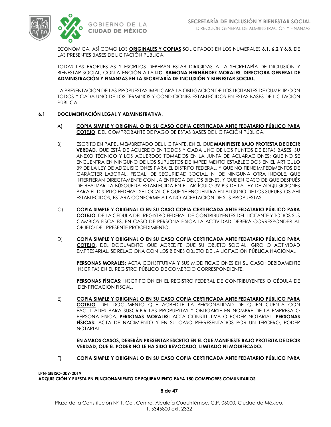

ECONÓMICA, ASÍ COMO LOS **ORIGINALES Y COPIAS** SOLICITADOS EN LOS NUMERALES **6.1, 6.2** Y **6.3,** DE LAS PRESENTES BASES DE LICITACIÓN PÚBLICA.

TODAS LAS PROPUESTAS Y ESCRITOS DEBERÁN ESTAR DIRIGIDAS A LA SECRETARÍA DE INCLUSIÓN Y BIENESTAR SOCIAL, CON ATENCIÓN A LA **LIC. RAMONA HERNÁNDEZ MORALES, DIRECTORA GENERAL DE ADMINISTRACIÓN Y FINANZAS EN LA SECRETARÍA DE INCLUSIÓN Y BIENESTAR SOCIAL.**

LA PRESENTACIÓN DE LAS PROPUESTAS IMPLICARÁ LA OBLIGACIÓN DE LOS LICITANTES DE CUMPLIR CON TODOS Y CADA UNO DE LOS TÉRMINOS Y CONDICIONES ESTABLECIDOS EN ESTAS BASES DE LICITACIÓN PÚBLICA.

### **6.1 DOCUMENTACIÓN LEGAL Y ADMINISTRATIVA.**

- A) **COPIA SIMPLE Y ORIGINAL O EN SU CASO COPIA CERTIFICADA ANTE FEDATARIO PÚBLICO PARA COTEJO**, DEL COMPROBANTE DE PAGO DE ESTAS BASES DE LICITACIÓN PÚBLICA.
- B) ESCRITO EN PAPEL MEMBRETADO DEL LICITANTE, EN EL QUE **MANIFIESTE BAJO PROTESTA DE DECIR VERDAD**, QUE ESTÁ DE ACUERDO EN TODOS Y CADA UNO DE LOS PUNTOS DE ESTAS BASES, SU ANEXO TÉCNICO Y LOS ACUERDOS TOMADOS EN LA JUNTA DE ACLARACIONES; QUE NO SE ENCUENTRA EN NINGUNO DE LOS SUPUESTOS DE IMPEDIMENTO ESTABLECIDOS EN EL ARTÍCULO 39 DE LA LEY DE ADQUISICIONES PARA EL DISTRITO FEDERAL, Y QUE NO TIENE IMPEDIMENTOS DE CARÁCTER LABORAL, FISCAL, DE SEGURIDAD SOCIAL, NI DE NINGUNA OTRA ÍNDOLE, QUE INTERFIERAN DIRECTAMENTE CON LA ENTREGA DE LOS BIENES, Y QUE EN CASO DE QUE DESPUÉS DE REALIZAR LA BÚSQUEDA ESTABLECIDA EN EL ARTÍCULO 39 BIS DE LA LEY DE ADQUISICIONES PARA EL DISTRITO FEDERAL SE LOCALICE QUE SE ENCUENTRA EN ALGUNO DE LOS SUPUESTOS AHÍ ESTABLECIDOS, ESTARÁ CONFORME A LA NO ACEPTACIÓN DE SUS PROPUESTAS.
- C) **COPIA SIMPLE Y ORIGINAL O EN SU CASO COPIA CERTIFICADA ANTE FEDATARIO PÚBLICO PARA COTEJO**, DE LA CÉDULA DEL REGISTRO FEDERAL DE CONTRIBUYENTES DEL LICITANTE Y TODOS SUS CAMBIOS FISCALES, EN CASO DE PERSONA FÍSICA LA ACTIVIDAD DEBERÁ CORRESPONDER AL OBJETO DEL PRESENTE PROCEDIMIENTO.
- D) **COPIA SIMPLE Y ORIGINAL O EN SU CASO COPIA CERTIFICADA ANTE FEDATARIO PÚBLICO PARA COTEJO**, DEL DOCUMENTO QUE ACREDITE QUE SU OBJETO SOCIAL, GIRO O ACTIVIDAD EMPRESARIAL, SE RELACIONA CON LOS BIENES OBJETO DE LA LICITACIÓN PÚBLICA NACIONAL

**PERSONAS MORALES:** ACTA CONSTITUTIVA Y SUS MODIFICACIONES EN SU CASO; DEBIDAMENTE INSCRITAS EN EL REGISTRO PÚBLICO DE COMERCIO CORRESPONDIENTE.

**PERSONAS FÍSICAS:** INSCRIPCIÓN EN EL REGISTRO FEDERAL DE CONTRIBUYENTES O CÉDULA DE IDENTIFICACIÓN FISCAL.

E) **COPIA SIMPLE Y ORIGINAL O EN SU CASO COPIA CERTIFICADA ANTE FEDATARIO PÚBLICO PARA COTEJO**, DEL DOCUMENTO QUE ACREDITE LA PERSONALIDAD DE QUIEN CUENTA CON FACULTADES PARA SUSCRIBIR LAS PROPUESTAS Y OBLIGARSE EN NOMBRE DE LA EMPRESA O PERSONA FÍSICA. **PERSONAS MORALES:** ACTA CONSTITUTIVA O PODER NOTARIAL. **PERSONAS FÍSICAS:** ACTA DE NACIMIENTO Y EN SU CASO REPRESENTADOS POR UN TERCERO, PODER NOTARIAL.

**EN AMBOS CASOS, DEBERÁN PRESENTAR ESCRITO EN EL QUE MANIFIESTE BAJO PROTESTA DE DECIR VERDAD, QUE EL PODER NO LE HA SIDO REVOCADO, LIMITADO NI MODIFICADO.**

F) **COPIA SIMPLE Y ORIGINAL O EN SU CASO COPIA CERTIFICADA ANTE FEDATARIO PÚBLICO PARA** 

**LPN-SIBISO-009-2019 ADQUISICIÓN Y PUESTA EN FUNCIONAMIENTO DE EQUIPAMIENTO PARA 150 COMEDORES COMUNITARIOS**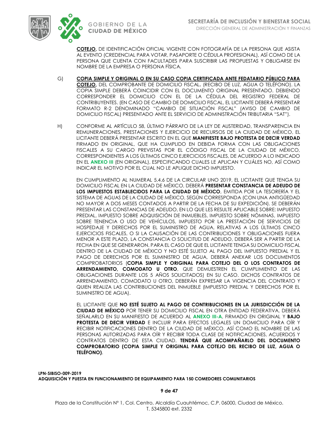



**COTEJO,** DE IDENTIFICACIÓN OFICIAL VIGENTE CON FOTOGRAFÍA DE LA PERSONA QUE ASISTA AL EVENTO (CREDENCIAL PARA VOTAR, PASAPORTE O CÉDULA PROFESIONAL), ASÍ COMO DE LA PERSONA QUE CUENTA CON FACULTADES PARA SUSCRIBIR LAS PROPUESTAS Y OBLIGARSE EN NOMBRE DE LA EMPRESA O PERSONA FÍSICA.

- G) **COPIA SIMPLE Y ORIGINAL O EN SU CASO COPIA CERTIFICADA ANTE FEDATARIO PÚBLICO PARA COTEJO,** DEL COMPROBANTE DE DOMICILIO FISCAL**.** (RECIBO DE LUZ, AGUA O TELÉFONO). LA COPIA SIMPLE DEBERÁ COINCIDIR CON EL DOCUMENTO ORIGINAL PRESENTADO. DEBIENDO CORRESPONDER EL DOMICILIO CON EL DE LA CÉDULA DEL REGISTRO FEDERAL DE CONTRIBUYENTES. (EN CASO DE CAMBIO DE DOMICILIO FISCAL, EL LICITANTE DEBERÁ PRESENTAR FORMATO R-2 DENOMINADO "CAMBIO DE SITUACIÓN FISCAL" (AVISO DE CAMBIO DE DOMICILIO FISCAL) PRESENTADO ANTE EL SERVICIO DE ADMINISTRACIÓN TRIBUTARIA "SAT").
- H) CONFORME AL ARTÍCULO 58, ÚLTIMO PÁRRAFO DE LA LEY DE AUSTERIDAD, TRANSPARENCIA EN REMUNERACIONES, PRESTACIONES Y EJERCICIO DE RECURSOS DE LA CIUDAD DE MÉXICO, EL LICITANTE DEBERÁ PRESENTAR ESCRITO EN EL QUE **MANIFIESTE BAJO PROTESTA DE DECIR VERDAD** FIRMADO EN ORIGINAL, QUE HA CUMPLIDO EN DEBIDA FORMA CON LAS OBLIGACIONES FISCALES A SU CARGO PREVISTAS POR EL CÓDIGO FISCAL DE LA CIUDAD DE MÉXICO, CORRESPONDIENTES A LOS ÚLTIMOS CINCO EJERCICIOS FISCALES, DE ACUERDO A LO INDICADO EN EL **ANEXO III** (EN ORIGINAL), ESPECIFICANDO CUALES LE APLICAN Y CUÁLES NO, ASÍ COMO INDICAR EL MOTIVO POR EL CUAL NO LE APLIQUE DICHO IMPUESTO.

EN CUMPLIMIENTO AL NUMERAL 5.4.6 DE LA CIRCULAR UNO 2019, EL LICITANTE QUE TENGA SU DOMICILIO FISCAL EN LA CIUDAD DE MÉXICO, DEBERÁ **PRESENTAR CONSTANCIA DE ADEUDO DE LOS IMPUESTOS ESTABLECIDOS PARA LA CIUDAD DE MÉXICO**, EMITIDA POR LA TESORERÍA Y EL SISTEMA DE AGUAS DE LA CIUDAD DE MÉXICO, SEGÚN CORRESPONDA (CON UNA ANTIGÜEDAD NO MAYOR A DOS MESES CONTADOS A PARTIR DE LA FECHA DE SU EXPEDICIÓN). SE DEBERÁN PRESENTAR LAS CONSTANCIAS DE ADEUDO, EN LO QUE LES RESULTE APLICABLE SOBRE: IMPUESTO PREDIAL, IMPUESTO SOBRE ADQUISICIÓN DE INMUEBLES, IMPUESTO SOBRE NÓMINAS, IMPUESTO SOBRE TENENCIA O USO DE VEHÍCULOS, IMPUESTO POR LA PRESTACIÓN DE SERVICIOS DE HOSPEDAJE Y DERECHOS POR EL SUMINISTRO DE AGUA, RELATIVAS A LOS ÚLTIMOS CINCO EJERCICIOS FISCALES, O SI LA CAUSACIÓN DE LAS CONTRIBUCIONES Y OBLIGACIONES FUERA MENOR A ESTE PLAZO, LA CONSTANCIA O SOLICITUD DE ADEUDO, DEBERÁ SER A PARTIR DE LA FECHA EN QUE SE GENERARON. PARA EL CASO DE QUE EL LICITANTE TENGA SU DOMICILIO FISCAL DENTRO DE LA CIUDAD DE MÉXICO Y NO ESTÉ SUJETO AL PAGO DEL IMPUESTO PREDIAL Y EL PAGO DE DERECHOS POR EL SUMINISTRO DE AGUA, DEBERÁ ANEXAR LOS DOCUMENTOS COMPROBATORIOS (**COPIA SIMPLE Y ORIGINAL PARA COTEJO DEL O LOS CONTRATOS DE ARRENDAMIENTO, COMODATO U OTRO**, QUE DEMUESTREN EL CUMPLIMIENTO DE LAS OBLIGACIONES DURANTE LOS 5 AÑOS SOLICITADOS) EN SU CASO. DICHOS CONTRATOS DE ARRENDAMIENTO, COMODATO U OTRO, DEBERÁN EXPRESAR LA VIGENCIA DEL CONTRATO Y QUIEN REALIZA LAS CONTRIBUCIONES DEL INMUEBLE (IMPUESTO PREDIAL Y DERECHOS POR EL SUMINISTRO DE AGUA).

EL LICITANTE QUE **NO ESTÉ SUJETO AL PAGO DE CONTRIBUCIONES EN LA JURISDICCIÓN DE LA CIUDAD DE MÉXICO** POR TENER SU DOMICILIO FISCAL EN OTRA ENTIDAD FEDERATIVA, DEBERÁ SEÑALARLO EN SU MANIFIESTO DE ACUERDO AL **ANEXO III-A**, FIRMADO EN ORIGINAL Y **BAJO PROTESTA DE DECIR VERDAD** E INCLUIR PARA EFECTOS LEGALES UN DOMICILIO PARA OÍR Y RECIBIR NOTIFICACIONES DENTRO DE LA CIUDAD DE MÉXICO, ASÍ COMO EL NOMBRE DE LAS PERSONAS AUTORIZADAS PARA OÍR Y RECIBIR TODA CLASE DE NOTIFICACIONES, ACUERDOS Y CONTRATOS DENTRO DE ESTA CIUDAD. **TENDRÁ QUE ACOMPAÑARLO DEL DOCUMENTO COMPROBATORIO (COPIA SIMPLE Y ORIGINAL PARA COTEJO DEL RECIBO DE LUZ, AGUA O TELÉFONO)**.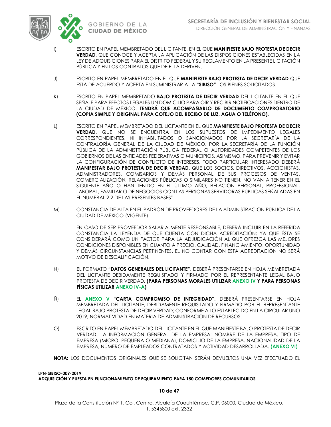

- I) ESCRITO EN PAPEL MEMBRETADO DEL LICITANTE, EN EL QUE **MANIFIESTE BAJO PROTESTA DE DECIR VERDAD**, QUE CONOCE Y ACEPTA LA APLICACIÓN DE LAS DISPOSICIONES ESTABLECIDAS EN LA LEY DE ADQUISICIONES PARA EL DISTRITO FEDERAL Y SU REGLAMENTO EN LA PRESENTE LICITACIÓN PÚBLICA Y EN LOS CONTRATOS QUE DE ELLA DERIVEN.
- J) ESCRITO EN PAPEL MEMBRETADO EN EL QUE **MANIFIESTE BAJO PROTESTA DE DECIR VERDAD** QUE ESTÁ DE ACUERDO Y ACEPTA EN SUMINISTRAR A LA **"SIBISO"** LOS BIENES SOLICITADOS.
- K) ESCRITO EN PAPEL MEMBRETADO **BAJO PROTESTA DE DECIR VERDAD** DEL LICITANTE EN EL QUE SEÑALE PARA EFECTOS LEGALES UN DOMICILIO PARA OÍR Y RECIBIR NOTIFICACIONES DENTRO DE LA CIUDAD DE MÉXICO. **TENDRÁ QUE ACOMPAÑARLO DE DOCUMENTO COMPROBATORIO (COPIA SIMPLE Y ORIGINAL PARA COTEJO DEL RECIBO DE LUZ, AGUA O TELÉFONO)**.
- L) ESCRITO EN PAPEL MEMBRETADO DEL LICITANTE EN EL QUE **MANIFIESTE BAJO PROTESTA DE DECIR VERDAD**, QUE NO SE ENCUENTRA EN LOS SUPUESTOS DE IMPEDIMENTO LEGALES CORRESPONDIENTES, NI INHABILITADOS O SANCIONADOS POR LA SECRETARÍA DE LA CONTRALORÍA GENERAL DE LA CIUDAD DE MÉXICO, POR LA SECRETARÍA DE LA FUNCIÓN PÚBLICA DE LA ADMINISTRACIÓN PÚBLICA FEDERAL O AUTORIDADES COMPETENTES DE LOS GOBIERNOS DE LAS ENTIDADES FEDERATIVAS O MUNICIPIOS. ASIMISMO, PARA PREVENIR Y EVITAR LA CONFIGURACIÓN DE CONFLICTO DE INTERESES, TODO PARTICULAR INTERESADO DEBERÁ **MANIFESTAR BAJO PROTESTA DE DECIR VERDAD**, QUE LOS SOCIOS, DIRECTIVOS, ACCIONISTAS, ADMINISTRADORES, COMISARIOS Y DEMÁS PERSONAL DE SUS PROCESOS DE VENTAS, COMERCIALIZACIÓN, RELACIONES PÚBLICAS O SIMILARES NO TIENEN, NO VAN A TENER EN EL SIGUIENTE AÑO O HAN TENIDO EN EL ÚLTIMO AÑO, RELACIÓN PERSONAL, PROFESIONAL, LABORAL, FAMILIAR O DE NEGOCIOS CON LAS PERSONAS SERVIDORAS PÚBLICAS SEÑALADAS EN EL NUMERAL 2.2 DE LAS PRESENTES BASES".
- M) CONSTANCIA DE ALTA EN EL PADRÓN DE PROVEEDORES DE LA ADMINISTRACIÓN PÚBLICA DE LA CIUDAD DE MÉXICO (VIGENTE).

EN CASO DE SER PROVEEDOR SALARIALMENTE RESPONSABLE, DEBERÁ INCLUIR EN LA REFERIDA CONSTANCIA LA LEYENDA DE QUE CUENTA CON DICHA ACREDITACIÓN; YA QUE ÉSTA SE CONSIDERARÁ COMO UN FACTOR PARA LA ADJUDICACIÓN AL QUE OFREZCA LAS MEJORES CONDICIONES DISPONIBLES EN CUANTO A PRECIO, CALIDAD, FINANCIAMIENTO, OPORTUNIDAD Y DEMÁS CIRCUNSTANCIAS PERTINENTES. EL NO CONTAR CON ESTA ACREDITACIÓN NO SERÁ MOTIVO DE DESCALIFICACIÓN.

- N) EL FORMATO **"DATOS GENERALES DEL LICITANTE",** DEBERÁ PRESENTARSE EN HOJA MEMBRETADA DEL LICITANTE DEBIDAMENTE REQUISITADO Y FIRMADO POR EL REPRESENTANTE LEGAL BAJO PROTESTA DE DECIR VERDAD. **(PARA PERSONAS MORALES UTILIZAR ANEXO IV Y PARA PERSONAS FÍSICAS UTILIZAR ANEXO IV-A)**
- Ñ) EL **ANEXO V "CARTA COMPROMISO DE INTEGRIDAD",** DEBERÁ PRESENTARSE EN HOJA MEMBRETADA DEL LICITANTE, DEBIDAMENTE REQUISITADO Y FIRMADO POR EL REPRESENTANTE LEGAL BAJO PROTESTA DE DECIR VERDAD; CONFORME A LO ESTABLECIDO EN LA CIRCULAR UNO 2019, NORMATIVIDAD EN MATERIA DE ADMINISTRACIÓN DE RECURSOS.
- O) ESCRITO EN PAPEL MEMBRETADO DEL LICITANTE EN EL QUE MANIFIESTE BAJO PROTESTA DE DECIR VERDAD, LA INFORMACIÓN GENERAL DE LA EMPRESA: NOMBRE DE LA EMPRESA, TIPO DE EMPRESA (MICRO, PEQUEÑA O MEDIANA), DOMICILIO DE LA EMPRESA, NACIONALIDAD DE LA EMPRESA, NÚMERO DE EMPLEADOS CONTRATADOS Y ACTIVIDAD DESARROLLADA. **(ANEXO VI)**
- **NOTA:** LOS DOCUMENTOS ORIGINALES QUE SE SOLICITAN SERÁN DEVUELTOS UNA VEZ EFECTUADO EL

### **LPN-SIBISO-009-2019 ADQUISICIÓN Y PUESTA EN FUNCIONAMIENTO DE EQUIPAMIENTO PARA 150 COMEDORES COMUNITARIOS**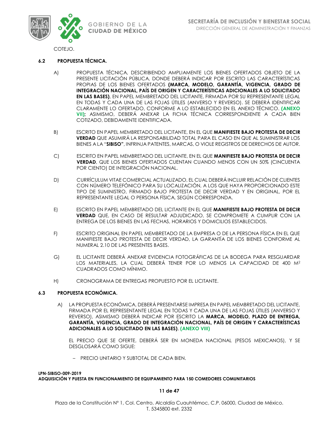

COTEJO.

### **6.2 PROPUESTA TÉCNICA.**

- A) PROPUESTA TÉCNICA, DESCRIBIENDO AMPLIAMENTE LOS BIENES OFERTADOS OBJETO DE LA PRESENTE LICITACIÓN PÚBLICA, DONDE DEBERÁ INDICAR POR ESCRITO LAS CARACTERÍSTICAS PROPIAS DE LOS BIENES OFERTADOS **(MARCA, MODELO, GARANTÍA, VIGENCIA, GRADO DE INTEGRACIÓN NACIONAL, PAÍS DE ORIGEN Y CARACTERÍSTICAS ADICIONALES A LO SOLICITADO EN LAS BASES)**, EN PAPEL MEMBRETADO DEL LICITANTE, FIRMADA POR SU REPRESENTANTE LEGAL EN TODAS Y CADA UNA DE LAS FOJAS ÚTILES (ANVERSO Y REVERSO). SE DEBERÁ IDENTIFICAR CLARAMENTE LO OFERTADO, CONFORME A LO ESTABLECIDO EN EL ANEXO TÉCNICO. **(ANEXO VII);** ASIMISMO, DEBERÁ ANEXAR LA FICHA TÉCNICA CORRESPONDIENTE A CADA BIEN COTIZADO, DEBIDAMENTE IDENTIFICADA.
- B) ESCRITO EN PAPEL MEMBRETADO DEL LICITANTE, EN EL QUE **MANIFIESTE BAJO PROTESTA DE DECIR VERDAD** QUE ASUMIRÁ LA RESPONSABILIDAD TOTAL PARA EL CASO EN QUE AL SUMINISTRAR LOS BIENES A LA "**SIBISO"**, INFRINJA PATENTES, MARCAS, O VIOLE REGISTROS DE DERECHOS DE AUTOR.
- C) ESCRITO EN PAPEL MEMBRETADO DEL LICITANTE, EN EL QUE **MANIFIESTE BAJO PROTESTA DE DECIR VERDAD**, QUE LOS BIENES OFERTADOS CUENTAN CUANDO MENOS CON UN 50% (CINCUENTA POR CIENTO) DE INTEGRACIÓN NACIONAL.
- D) CURRÍCULUM VITAE COMERCIAL ACTUALIZADO, EL CUAL DEBERÁ INCLUIR RELACIÓN DE CLIENTES CON NÚMERO TELEFÓNICO PARA SU LOCALIZACIÓN, A LOS QUE HAYA PROPORCIONADO ESTE TIPO DE SUMINISTRO, FIRMADO BAJO PROTESTA DE DECIR VERDAD Y EN ORIGINAL, POR EL REPRESENTANTE LEGAL O PERSONA FÍSICA, SEGÚN CORRESPONDA.
- E) ESCRITO EN PAPEL MEMBRETADO DEL LICITANTE EN EL QUE **MANIFIESTE BAJO PROTESTA DE DECIR VERDAD** QUE, EN CASO DE RESULTAR ADJUDICADO, SE COMPROMETE A CUMPLIR CON LA ENTREGA DE LOS BIENES EN LAS FECHAS, HORARIOS Y DOMICILIOS ESTABLECIDOS.
- F) ESCRITO ORIGINAL EN PAPEL MEMBRETADO DE LA EMPRESA O DE LA PERSONA FÍSICA EN EL QUE MANIFIESTE BAJO PROTESTA DE DECIR VERDAD, LA GARANTÍA DE LOS BIENES CONFORME AL NUMERAL 2.10 DE LAS PRESENTES BASES.
- G) EL LICITANTE DEBERÁ ANEXAR EVIDENCIA FOTOGRÁFICAS DE LA BODEGA PARA RESGUARDAR LOS MATERIALES, LA CUAL DEBERÁ TENER POR LO MENOS LA CAPACIDAD DE 400 M<sup>2</sup> CUADRADOS COMO MÍNIMO.
- H) CRONOGRAMA DE ENTREGAS PROPUESTO POR EL LICITANTE.

### **6.3 PROPUESTA ECONÓMICA.**

A) LA PROPUESTA ECONÓMICA, DEBERÁ PRESENTARSE IMPRESA EN PAPEL MEMBRETADO DEL LICITANTE, FIRMADA POR EL REPRESENTANTE LEGAL EN TODAS Y CADA UNA DE LAS FOJAS ÚTILES (ANVERSO Y REVERSO), ASIMISMO DEBERÁ INDICAR POR ESCRITO LA **MARCA, MODELO, PLAZO DE ENTREGA, GARANTÍA, VIGENCIA, GRADO DE INTEGRACIÓN NACIONAL, PAÍS DE ORIGEN Y CARACTERÍSTICAS ADICIONALES A LO SOLICITADO EN LAS BASES)**. **(ANEXO VIII)**

EL PRECIO QUE SE OFERTE, DEBERÁ SER EN MONEDA NACIONAL (PESOS MEXICANOS), Y SE DESGLOSARÁ COMO SIGUE:

– PRECIO UNITARIO Y SUBTOTAL DE CADA BIEN.

**LPN-SIBISO-009-2019 ADQUISICIÓN Y PUESTA EN FUNCIONAMIENTO DE EQUIPAMIENTO PARA 150 COMEDORES COMUNITARIOS**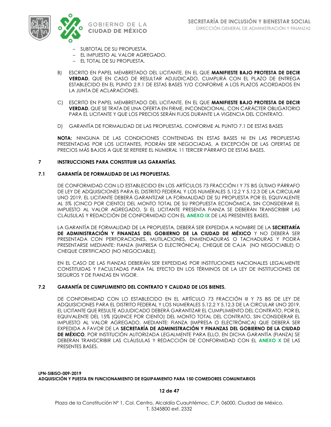

- SUBTOTAL DE SU PROPUESTA.
- EL IMPUESTO AL VALOR AGREGADO.
- EL TOTAL DE SU PROPUESTA.
- B) ESCRITO EN PAPEL MEMBRETADO DEL LICITANTE, EN EL QUE **MANIFIESTE BAJO PROTESTA DE DECIR VERDAD**, QUE EN CASO DE RESULTAR ADJUDICADO, CUMPLIRÁ CON EL PLAZO DE ENTREGA ESTABLECIDO EN EL PUNTO 2.9.1 DE ESTAS BASES Y/O CONFORME A LOS PLAZOS ACORDADOS EN LA JUNTA DE ACLARACIONES.
- C) ESCRITO EN PAPEL MEMBRETADO DEL LICITANTE, EN EL QUE **MANIFIESTE BAJO PROTESTA DE DECIR VERDAD**, QUE SE TRATA DE UNA OFERTA EN FIRME, INCONDICIONAL, CON CARÁCTER OBLIGATORIO PARA EL LICITANTE Y QUE LOS PRECIOS SERÁN FIJOS DURANTE LA VIGENCIA DEL CONTRATO.
- D) GARANTÍA DE FORMALIDAD DE LAS PROPUESTAS, CONFORME AL PUNTO 7.1 DE ESTAS BASES

**NOTA:** NINGUNA DE LAS CONDICIONES CONTENIDAS EN ESTAS BASES NI EN LAS PROPUESTAS PRESENTADAS POR LOS LICITANTES, PODRÁN SER NEGOCIADAS, A EXCEPCIÓN DE LAS OFERTAS DE PRECIOS MÁS BAJOS A QUE SE REFIERE EL NUMERAL 11 TERCER PÁRRAFO DE ESTAS BASES.

### **7 INSTRUCCIONES PARA CONSTITUIR LAS GARANTÍAS.**

### **7.1 GARANTÍA DE FORMALIDAD DE LAS PROPUESTAS.**

DE CONFORMIDAD CON LO ESTABLECIDO EN LOS ARTÍCULOS 73 FRACCIÓN I Y 75 BIS ÚLTIMO PÁRRAFO DE LEY DE ADQUISICIONES PARA EL DISTRITO FEDERAL Y LOS NUMERALES 5.12.2 Y 5.12.3 DE LA CIRCULAR UNO 2019, EL LICITANTE DEBERÁ GARANTIZAR LA FORMALIDAD DE SU PROPUESTA POR EL EQUIVALENTE AL 5% (CINCO POR CIENTO) DEL MONTO TOTAL DE SU PROPUESTA ECONÓMICA, SIN CONSIDERAR EL IMPUESTO AL VALOR AGREGADO, SI EL LICITANTE PRESENTA FIANZA SE DEBERÁN TRANSCRIBIR LAS CLÁUSULAS Y REDACCIÓN DE CONFORMIDAD CON EL **ANEXO IX** DE LAS PRESENTES BASES.

LA GARANTÍA DE FORMALIDAD DE LA PROPUESTA, DEBERÁ SER EXPEDIDA A NOMBRE DE LA **SECRETARÍA DE ADMINISTRACIÓN Y FINANZAS DEL GOBIERNO DE LA CIUDAD DE MÉXICO** Y NO DEBERÁ SER PRESENTADA CON PERFORACIONES, MUTILACIONES, ENMENDADURAS O TACHADURAS Y PODRÁ PRESENTARSE MEDIANTE: FIANZA (IMPRESA O ELECTRÓNICA), CHEQUE DE CAJA (NO NEGOCIABLE) O CHEQUE CERTIFICADO (NO NEGOCIABLE).

EN EL CASO DE LAS FIANZAS DEBERÁN SER EXPEDIDAS POR INSTITUCIONES NACIONALES LEGALMENTE CONSTITUIDAS Y FACULTADAS PARA TAL EFECTO EN LOS TÉRMINOS DE LA LEY DE INSTITUCIONES DE SEGUROS Y DE FIANZAS EN VIGOR.

### **7.2 GARANTÍA DE CUMPLIMIENTO DEL CONTRATO Y CALIDAD DE LOS BIENES.**

DE CONFORMIDAD CON LO ESTABLECIDO EN EL ARTÍCULO 73 FRACCIÓN III Y 75 BIS DE LEY DE ADQUISICIONES PARA EL DISTRITO FEDERAL Y LOS NUMERALES 5.12.2 Y 5.12.3 DE LA CIRCULAR UNO 2019, EL LICITANTE QUE RESULTE ADJUDICADO DEBERÁ GARANTIZAR EL CUMPLIMIENTO DEL CONTRATO, POR EL EQUIVALENTE DEL 15% (QUINCE POR CIENTO) DEL MONTO TOTAL DEL CONTRATO, SIN CONSIDERAR EL IMPUESTO AL VALOR AGREGADO, MEDIANTE: FIANZA (IMPRESA O ELECTRÓNICA) QUE DEBERÁ SER EXPEDIDA A FAVOR DE LA **SECRETARÍA DE ADMINISTRACIÓN Y FINANZAS DEL GOBIERNO DE LA CIUDAD DE MÉXICO**, POR INSTITUCIÓN AUTORIZADA LEGALMENTE PARA ELLO, EN DICHA GARANTÍA (FIANZA) SE DEBERÁN TRANSCRIBIR LAS CLÁUSULAS Y REDACCIÓN DE CONFORMIDAD CON EL **ANEXO X** DE LAS PRESENTES BASES.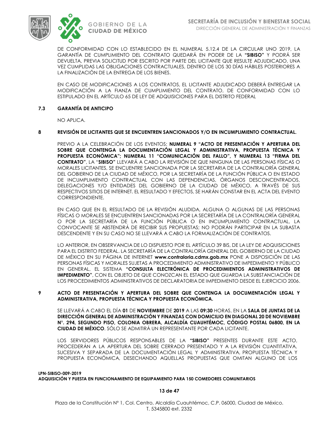

DE CONFORMIDAD CON LO ESTABLECIDO EN EL NUMERAL 5.12.4 DE LA CIRCULAR UNO 2019, LA GARANTÍA DE CUMPLIMIENTO DEL CONTRATO QUEDARÁ EN PODER DE LA **"SIBISO"** Y PODRÁ SER DEVUELTA, PREVIA SOLICITUD POR ESCRITO POR PARTE DEL LICITANTE QUE RESULTE ADJUDICADO, UNA VEZ CUMPLIDAS LAS OBLIGACIONES CONTRACTUALES, DENTRO DE LOS 30 DÍAS HÁBILES POSTERIORES A LA FINALIZACIÓN DE LA ENTREGA DE LOS BIENES.

EN CASO DE MODIFICACIONES A LOS CONTRATOS, EL LICITANTE ADJUDICADO DEBERÁ ENTREGAR LA MODIFICACIÓN A LA FIANZA DE CUMPLIMIENTO DEL CONTRATO, DE CONFORMIDAD CON LO ESTIPULADO EN EL ARTÍCULO 65 DE LEY DE ADQUISICIONES PARA EL DISTRITO FEDERAL

### **7.3 GARANTÍA DE ANTICIPO**

NO APLICA.

### **8 REVISIÓN DE LICITANTES QUE SE ENCUENTREN SANCIONADOS Y/O EN INCUMPLIMIENTO CONTRACTUAL.**

PREVIO A LA CELEBRACIÓN DE LOS EVENTOS: **NUMERAL 9 "ACTO DE PRESENTACIÓN Y APERTURA DEL SOBRE QUE CONTENGA LA DOCUMENTACIÓN LEGAL Y ADMINISTRATIVA, PROPUESTA TÉCNICA Y PROPUESTA ECONÓMICA"; NUMERAL 11 "COMUNICACIÓN DEL FALLO", Y NUMERAL 13 "FIRMA DEL CONTRATO"**, LA "**SIBISO"** LLEVARÁ A CABO LA REVISIÓN DE QUE NINGUNA DE LAS PERSONAS FÍSICAS O MORALES LICITANTES, SE ENCUENTRE SANCIONADA POR LA SECRETARIA DE LA CONTRALORÍA GENERAL DEL GOBIERNO DE LA CIUDAD DE MÉXICO, POR LA SECRETARÍA DE LA FUNCIÓN PÚBLICA O EN ESTADO DE INCUMPLIMIENTO CONTRACTUAL CON LAS DEPENDENCIAS, ÓRGANOS DESCONCENTRADOS, DELEGACIONES Y/O ENTIDADES DEL GOBIERNO DE LA CIUDAD DE MÉXICO, A TRAVÉS DE SUS RESPECTIVOS SITIOS DE INTERNET. EL RESULTADO Y EFECTOS, SE HARÁN CONSTAR EN EL ACTA DEL EVENTO CORRESPONDIENTE.

EN CASO QUE EN EL RESULTADO DE LA REVISIÓN ALUDIDA, ALGUNA O ALGUNAS DE LAS PERSONAS FÍSICAS O MORALES SE ENCUENTREN SANCIONADAS POR LA SECRETARÍA DE LA CONTRALORÍA GENERAL O POR LA SECRETARÍA DE LA FUNCIÓN PÚBLICA O EN INCUMPLIMIENTO CONTRACTUAL, LA CONVOCANTE SE ABSTENDRÁ DE RECIBIR SUS PROPUESTAS; NO PODRÁN PARTICIPAR EN LA SUBASTA DESCENDENTE Y EN SU CASO NO SE LLEVARÁ A CABO LA FORMALIZACIÓN DE CONTRATOS.

LO ANTERIOR, EN OBSERVANCIA DE LO DISPUESTO POR EL ARTÍCULO 39 BIS, DE LA LEY DE ADQUISICIONES PARA EL DISTRITO FEDERAL. LA SECRETARÍA DE LA CONTRALORÍA GENERAL DEL GOBIERNO DE LA CIUDAD DE MÉXICO EN SU PÁGINA DE INTERNET **www.contraloria.cdmx.gob.mx** PONE A DISPOSICIÓN DE LAS PERSONAS FÍSICAS Y MORALES SUJETAS A PROCEDIMIENTO ADMINISTRATIVO DE IMPEDIMENTO Y PÚBLICO EN GENERAL, EL SISTEMA **"CONSULTA ELECTRÓNICA DE PROCEDIMIENTOS ADMINISTRATIVOS DE IMPEDIMENTO"**, CON EL OBJETO DE QUE CONOZCAN EL ESTADO QUE GUARDA LA SUBSTANCIACIÓN DE LOS PROCEDIMIENTOS ADMINISTRATIVOS DE DECLARATORIA DE IMPEDIMENTO DESDE EL EJERCICIO 2006.

### **9 ACTO DE PRESENTACIÓN Y APERTURA DEL SOBRE QUE CONTENGA LA DOCUMENTACIÓN LEGAL Y ADMINISTRATIVA, PROPUESTA TÉCNICA Y PROPUESTA ECONÓMICA.**

SE LLEVARÁ A CABO EL DÍA **01** DE **NOVIEMBRE** DE **2019** A LAS **09:30** HORAS, EN LA **SALA DE JUNTAS DE LA DIRECCIÓN GENERAL DE ADMINISTRACIÓN Y FINANZAS CON DOMICILIO EN DIAGONAL 20 DE NOVIEMBRE N°. 294, SEGUNDO PISO, COLONIA OBRERA, ALCALDÍA CUAUHTÉMOC, CÓDIGO POSTAL 06800, EN LA CIUDAD DE MÉXICO**. SÓLO SE ADMITIRÁ UN REPRESENTANTE POR CADA LICITANTE.

LOS SERVIDORES PÚBLICOS RESPONSABLES DE LA **"SIBISO"** PRESENTES DURANTE ESTE ACTO, PROCEDERÁN A LA APERTURA DEL SOBRE CERRADO PRESENTADO Y A LA REVISIÓN CUANTITATIVA, SUCESIVA Y SEPARADA DE LA DOCUMENTACIÓN LEGAL Y ADMINISTRATIVA, PROPUESTA TÉCNICA Y PROPUESTA ECONÓMICA, DESECHANDO AQUELLAS PROPUESTAS QUE OMITAN ALGUNO DE LOS

**LPN-SIBISO-009-2019 ADQUISICIÓN Y PUESTA EN FUNCIONAMIENTO DE EQUIPAMIENTO PARA 150 COMEDORES COMUNITARIOS**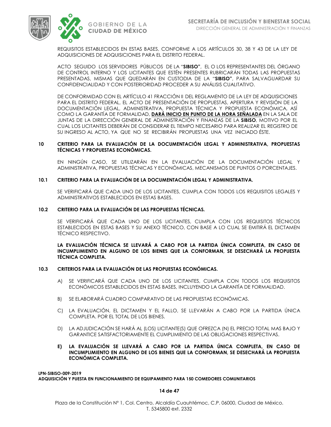



REQUISITOS ESTABLECIDOS EN ESTAS BASES, CONFORME A LOS ARTÍCULOS 30, 38 Y 43 DE LA LEY DE ADQUISICIONES DE ADQUISICIONES PARA EL DISTRITO FEDERAL.

ACTO SEGUIDO LOS SERVIDORES PÚBLICOS DE LA "**SIBISO"**, EL O LOS REPRESENTANTES DEL ÓRGANO DE CONTROL INTERNO Y LOS LICITANTES QUE ESTÉN PRESENTES RUBRICARÁN TODAS LAS PROPUESTAS PRESENTADAS, MISMAS QUE QUEDARÁN EN CUSTODIA DE LA "**SIBISO"**, PARA SALVAGUARDAR SU CONFIDENCIALIDAD Y CON POSTERIORIDAD PROCEDER A SU ANÁLISIS CUALITATIVO.

DE CONFORMIDAD CON EL ARTÍCULO 41 FRACCIÓN II DEL REGLAMENTO DE LA LEY DE ADQUISICIONES PARA EL DISTRITO FEDERAL, EL ACTO DE PRESENTACIÓN DE PROPUESTAS, APERTURA Y REVISIÓN DE LA DOCUMENTACIÓN LEGAL, ADMINISTRATIVA, PROPUESTA TÉCNICA Y PROPUESTA ECONÓMICA, ASÍ COMO LA GARANTÍA DE FORMALIDAD, **DARÁ INICIO EN PUNTO DE LA HORA SEÑALADA** EN LA SALA DE JUNTAS DE LA DIRECCIÓN GENERAL DE ADMINISTRACIÓN Y FINANZAS DE LA **SIBISO**, MOTIVO POR EL CUAL LOS LICITANTES DEBERÁN DE CONSIDERAR EL TIEMPO NECESARIO PARA REALIZAR EL REGISTRO DE SU INGRESO AL ACTO, YA QUE NO SE RECIBIRÁN PROPUESTAS UNA VEZ INICIADO ÉSTE.

### **10 CRITERIO PARA LA EVALUACIÓN DE LA DOCUMENTACIÓN LEGAL Y ADMINISTRATIVA, PROPUESTAS TÉCNICAS Y PROPUESTAS ECONÓMICAS.**

EN NINGÚN CASO, SE UTILIZARÁN EN LA EVALUACIÓN DE LA DOCUMENTACIÓN LEGAL Y ADMINISTRATIVA, PROPUESTAS TÉCNICAS Y ECONÓMICAS, MECANISMOS DE PUNTOS O PORCENTAJES.

### **10.1 CRITERIO PARA LA EVALUACIÓN DE LA DOCUMENTACIÓN LEGAL Y ADMINISTRATIVA.**

SE VERIFICARÁ QUE CADA UNO DE LOS LICITANTES, CUMPLA CON TODOS LOS REQUISITOS LEGALES Y ADMINISTRATIVOS ESTABLECIDOS EN ESTAS BASES.

### **10.2 CRITERIO PARA LA EVALUACIÓN DE LAS PROPUESTAS TÉCNICAS***.*

SE VERIFICARÁ QUE CADA UNO DE LOS LICITANTES, CUMPLA CON LOS REQUISITOS TÉCNICOS ESTABLECIDOS EN ESTAS BASES Y SU ANEXO TÉCNICO, CON BASE A LO CUAL SE EMITIRÁ EL DICTAMEN TÉCNICO RESPECTIVO.

### **LA EVALUACIÓN TÉCNICA SE LLEVARÁ A CABO POR LA PARTIDA ÚNICA COMPLETA, EN CASO DE INCUMPLIMIENTO EN ALGUNO DE LOS BIENES QUE LA CONFORMAN, SE DESECHARÁ LA PROPUESTA TÉCNICA COMPLETA.**

### **10.3 CRITERIOS PARA LA EVALUACIÓN DE LAS PROPUESTAS ECONÓMICAS.**

- A) SE VERIFICARÁ QUE CADA UNO DE LOS LICITANTES, CUMPLA CON TODOS LOS REQUISITOS ECONÓMICOS ESTABLECIDOS EN ESTAS BASES, INCLUYENDO LA GARANTÍA DE FORMALIDAD.
- B) SE ELABORARÁ CUADRO COMPARATIVO DE LAS PROPUESTAS ECONÓMICAS.
- C) LA EVALUACIÓN, EL DICTAMEN Y EL FALLO, SE LLEVARÁN A CABO POR LA PARTIDA ÚNICA COMPLETA. POR EL TOTAL DE LOS BIENES.
- D) LA ADJUDICACIÓN SE HARÁ AL (LOS) LICITANTE(S) QUE OFREZCA (N) EL PRECIO TOTAL MAS BAJO Y GARANTICE SATISFACTORIAMENTE EL CUMPLIMIENTO DE LAS OBLIGACIONES RESPECTIVAS.
- **E) LA EVALUACIÓN SE LLEVARÁ A CABO POR LA PARTIDA ÚNICA COMPLETA, EN CASO DE INCUMPLIMIENTO EN ALGUNO DE LOS BIENES QUE LA CONFORMAN, SE DESECHARÁ LA PROPUESTA ECONÓMICA COMPLETA.**

**LPN-SIBISO-009-2019 ADQUISICIÓN Y PUESTA EN FUNCIONAMIENTO DE EQUIPAMIENTO PARA 150 COMEDORES COMUNITARIOS**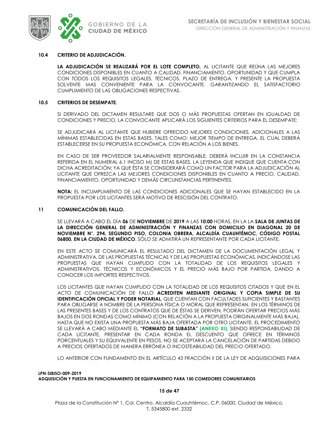

### **10.4 CRITERIO DE ADJUDICACIÓN.**

**LA ADJUDICACIÓN SE REALIZARÁ POR EL LOTE COMPLETO,** AL LICITANTE QUE REÚNA LAS MEJORES CONDICIONES DISPONIBLES EN CUANTO A CALIDAD, FINANCIAMIENTO, OPORTUNIDAD Y QUE CUMPLA CON TODOS LOS REQUISITOS LEGALES, TÉCNICOS, PLAZO DE ENTREGA, Y PRESENTE LA PROPUESTA SOLVENTE MAS CONVENIENTE PARA LA CONVOCANTE, GARANTIZANDO EL SATISFACTORIO CUMPLIMIENTO DE LAS OBLIGACIONES RESPECTIVAS.

### **10.5 CRITERIOS DE DESEMPATE.**

SI DERIVADO DEL DICTAMEN RESULTARE QUE DOS O MÁS PROPUESTAS OFERTAN EN IGUALDAD DE CONDICIONES Y PRECIO, LA CONVOCANTE APLICARÁ LOS SIGUIENTES CRITERIOS PARA EL DESEMPATE:

SE ADJUDICARÁ AL LICITANTE QUE HUBIERE OFRECIDO MEJORES CONDICIONES, ADICIONALES A LAS MÍNIMAS ESTABLECIDAS EN ESTAS BASES, TALES COMO: MEJOR TIEMPO DE ENTREGA, EL CUAL DEBERÁ ESTABLECERSE EN SU PROPUESTA ECONÓMICA, CON RELACIÓN A LOS BIENES.

EN CASO DE SER PROVEEDOR SALARIALMENTE RESPONSABLE, DEBERÁ INCLUIR EN LA CONSTANCIA REFERIDA EN EL NUMERAL 6.1 INCISO M) DE ESTAS BASES, LA LEYENDA QUE INDIQUE QUE CUENTA CON DICHA ACREDITACIÓN; YA QUE ÉSTA SE CONSIDERARÁ COMO UN FACTOR PARA LA ADJUDICACIÓN AL LICITANTE QUE OFREZCA LAS MEJORES CONDICIONES DISPONIBLES EN CUANTO A PRECIO, CALIDAD, FINANCIAMIENTO, OPORTUNIDAD Y DEMÁS CIRCUNSTANCIAS PERTINENTES.

**NOTA:** EL INCUMPLIMIENTO DE LAS CONDICIONES ADICIONALES QUE SE HAYAN ESTABLECIDO EN LA PROPUESTA POR LOS LICITANTES SERÁ MOTIVO DE RESCISIÓN DEL CONTRATO.

### **11 COMUNICACIÓN DEL FALLO.**

SE LLEVARÁ A CABO EL DÍA **06** DE **NOVIEMBRE** DE **2019** A LAS **10:00** HORAS, EN LA LA **SALA DE JUNTAS DE LA DIRECCIÓN GENERAL DE ADMINISTRACIÓN Y FINANZAS CON DOMICILIO EN DIAGONAL 20 DE NOVIEMBRE N°. 294, SEGUNDO PISO, COLONIA OBRERA, ALCALDÍA CUAUHTÉMOC, CÓDIGO POSTAL 06800, EN LA CIUDAD DE MÉXICO**. SÓLO SE ADMITIRÁ UN REPRESENTANTE POR CADA LICITANTE.

EN ESTE ACTO SE COMUNICARÁ EL RESULTADO DEL DICTAMEN DE LA DOCUMENTACIÓN LEGAL Y ADMINISTRATIVA, DE LAS PROPUESTAS TÉCNICAS Y DE LAS PROPUESTAS ECONÓMICAS, INDICÁNDOSE LAS PROPUESTAS QUE HAYAN CUMPLIDO CON LA TOTALIDAD DE LOS REQUISITOS LEGALES Y ADMINISTRATIVOS, TÉCNICOS Y ECONÓMICOS Y EL PRECIO MÁS BAJO POR PARTIDA, DANDO A CONOCER LOS IMPORTES RESPECTIVOS.

LOS LICITANTES QUE HAYAN CUMPLIDO CON LA TOTALIDAD DE LOS REQUISITOS CITADOS Y QUE EN EL ACTO DE COMUNICACIÓN DE FALLO **ACREDITEN MEDIANTE ORIGINAL Y COPIA SIMPLE DE SU IDENTIFICACIÓN OFICIAL Y PODER NOTARIAL**, QUE CUENTAN CON FACULTADES SUFICIENTES Y BASTANTES PARA OBLIGARSE A NOMBRE DE LA PERSONA FÍSICA O MORAL QUE REPRESENTAN, EN LOS TÉRMINOS DE LAS PRESENTES BASES Y DE LOS CONTRATOS QUE DE ÉSTAS SE DERIVEN, PODRÁN OFERTAR PRECIOS MÁS BAJOS EN DOS RONDAS COMO MÍNIMO (CON RELACIÓN A LA PROPUESTA ORIGINALMENTE MÁS BAJA), HASTA QUE NO EXISTA UNA PROPUESTA MÁS BAJA OFERTADA POR OTRO LICITANTE. EL PROCEDIMIENTO SE LLEVARÁ A CABO MEDIANTE EL **"FORMATO DE SUBASTA" (ANEXO XI),** SIENDO RESPONSABILIDAD DE CADA LICITANTE, PRESENTAR EN CADA RONDA EL DESCUENTO QUE OFRECE EN TÉRMINOS PORCENTUALES Y SU EQUIVALENTE EN PESOS. NO SE ACEPTARÁ LA CANCELACIÓN DE PARTIDAS DEBIDO A PRECIOS OFERTADOS DE MANERA ERRÓNEA O INCOSTEABILIDAD DEL PRECIO OFERTADO.

LO ANTERIOR CON FUNDAMENTO EN EL ARTÍCULO 43 FRACCIÓN II DE LA LEY DE ADQUISICIONES PARA

**LPN-SIBISO-009-2019 ADQUISICIÓN Y PUESTA EN FUNCIONAMIENTO DE EQUIPAMIENTO PARA 150 COMEDORES COMUNITARIOS**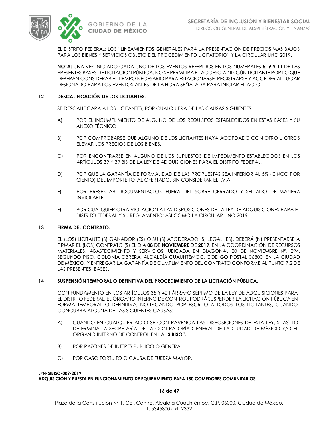

EL DISTRITO FEDERAL; LOS "LINEAMIENTOS GENERALES PARA LA PRESENTACIÓN DE PRECIOS MÁS BAJOS PARA LOS BIENES Y SERVICIOS OBJETO DEL PROCEDIMIENTO LICITATORIO" Y LA CIRCULAR UNO 2019.

**NOTA:** UNA VEZ INICIADO CADA UNO DE LOS EVENTOS REFERIDOS EN LOS NUMERALES **5, 9 Y 11** DE LAS PRESENTES BASES DE LICITACIÓN PÚBLICA, NO SE PERMITIRÁ EL ACCESO A NINGÚN LICITANTE POR LO QUE DEBERÁN CONSIDERAR EL TIEMPO NECESARIO PARA ESTACIONARSE, REGISTRARSE Y ACCEDER AL LUGAR DESIGNADO PARA LOS EVENTOS ANTES DE LA HORA SEÑALADA PARA INICIAR EL ACTO.

### **12 DESCALIFICACIÓN DE LOS LICITANTES.**

SE DESCALIFICARÁ A LOS LICITANTES, POR CUALQUIERA DE LAS CAUSAS SIGUIENTES:

- A) POR EL INCUMPLIMIENTO DE ALGUNO DE LOS REQUISITOS ESTABLECIDOS EN ESTAS BASES Y SU ANEXO TÉCNICO.
- B) POR COMPROBARSE QUE ALGUNO DE LOS LICITANTES HAYA ACORDADO CON OTRO U OTROS ELEVAR LOS PRECIOS DE LOS BIENES.
- C) POR ENCONTRARSE EN ALGUNO DE LOS SUPUESTOS DE IMPEDIMENTO ESTABLECIDOS EN LOS ARTÍCULOS 39 Y 39 BIS DE LA LEY DE ADQUISICIONES PARA EL DISTRITO FEDERAL.
- D) POR QUE LA GARANTÍA DE FORMALIDAD DE LAS PROPUESTAS SEA INFERIOR AL 5% (CINCO POR CIENTO) DEL IMPORTE TOTAL OFERTADO, SIN CONSIDERAR EL I.V.A.
- F) POR PRESENTAR DOCUMENTACIÓN FUERA DEL SOBRE CERRADO Y SELLADO DE MANERA INVIOLABLE.
- F) POR CUALQUIER OTRA VIOLACIÓN A LAS DISPOSICIONES DE LA LEY DE ADQUISICIONES PARA EL DISTRITO FEDERAL Y SU REGLAMENTO; ASÍ COMO LA CIRCULAR UNO 2019.

### **13 FIRMA DEL CONTRATO.**

EL (LOS) LICITANTE (S) GANADOR (ES) O SU (S) APODERADO (S) LEGAL (ES), DEBERÁ (N) PRESENTARSE A FIRMAR EL (LOS) CONTRATO (S) EL DÍA **08** DE **NOVIEMBRE** DE **2019**, EN LA COORDINACIÓN DE RECURSOS MATERIALES, ABASTECIMIENTO Y SERVICIOS, UBICADA EN DIAGONAL 20 DE NOVIEMBRE N°. 294, SEGUNDO PISO, COLONIA OBRERA, ALCALDÍA CUAUHTÉMOC, CÓDIGO POSTAL 06800, EN LA CIUDAD DE MÉXICO, Y ENTREGAR LA GARANTÍA DE CUMPLIMIENTO DEL CONTRATO CONFORME AL PUNTO 7.2 DE LAS PRESENTES BASES.

### **14 SUSPENSIÓN TEMPORAL O DEFINITIVA DEL PROCEDIMIENTO DE LA LICITACIÓN PÚBLICA.**

CON FUNDAMENTO EN LOS ARTÍCULOS 35 Y 42 PÁRRAFO SÉPTIMO DE LA LEY DE ADQUISICIONES PARA EL DISTRITO FEDERAL, EL ÓRGANO INTERNO DE CONTROL PODRÁ SUSPENDER LA LICITACIÓN PÚBLICA EN FORMA TEMPORAL O DEFINITIVA, NOTIFICANDO POR ESCRITO A TODOS LOS LICITANTES, CUANDO CONCURRA ALGUNA DE LAS SIGUIENTES CAUSAS:

- A) CUANDO EN CUALQUIER ACTO SE CONTRAVENGA LAS DISPOSICIONES DE ESTA LEY, SI ASÍ LO DETERMINA LA SECRETARÍA DE LA CONTRALORÍA GENERAL DE LA CIUDAD DE MÉXICO Y/O EL ÓRGANO INTERNO DE CONTROL EN LA "**SIBISO".**
- B) POR RAZONES DE INTERÉS PÚBLICO O GENERAL.
- C) POR CASO FORTUITO O CAUSA DE FUERZA MAYOR.

### **LPN-SIBISO-009-2019 ADQUISICIÓN Y PUESTA EN FUNCIONAMIENTO DE EQUIPAMIENTO PARA 150 COMEDORES COMUNITARIOS**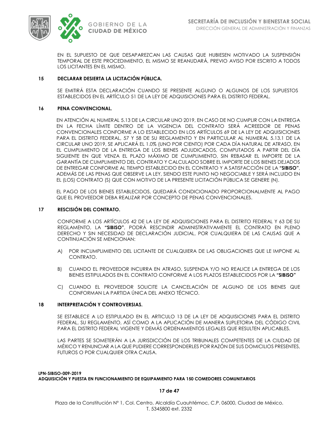

EN EL SUPUESTO DE QUE DESAPAREZCAN LAS CAUSAS QUE HUBIESEN MOTIVADO LA SUSPENSIÓN TEMPORAL DE ESTE PROCEDIMIENTO, EL MISMO SE REANUDARÁ, PREVIO AVISO POR ESCRITO A TODOS LOS LICITANTES EN EL MISMO.

### **15 DECLARAR DESIERTA LA LICITACIÓN PÚBLICA.**

SE EMITIRÁ ESTA DECLARACIÓN CUANDO SE PRESENTE ALGUNO O ALGUNOS DE LOS SUPUESTOS ESTABLECIDOS EN EL ARTÍCULO 51 DE LA LEY DE ADQUISICIONES PARA EL DISTRITO FEDERAL.

### **16 PENA CONVENCIONAL.**

EN ATENCIÓN AL NUMERAL 5.13 DE LA CIRCULAR UNO 2019, EN CASO DE NO CUMPLIR CON LA ENTREGA EN LA FECHA LÍMITE DENTRO DE LA VIGENCIA DEL CONTRATO SERÁ ACREEDOR DE PENAS CONVENCIONALES CONFORME A LO ESTABLECIDO EN LOS ARTÍCULOS 69 DE LA LEY DE ADQUISICIONES PARA EL DISTRITO FEDERAL, 57 Y 58 DE SU REGLAMENTO Y EN PARTICULAR AL NUMERAL 5.13.1 DE LA CIRCULAR UNO 2019, SE APLICARÁ EL 1.0% (UNO POR CIENTO) POR CADA DÍA NATURAL DE ATRASO, EN EL CUMPLIMIENTO DE LA ENTREGA DE LOS BIENES ADJUDICADOS, COMPUTADOS A PARTIR DEL DÍA SIGUIENTE EN QUE VENZA EL PLAZO MÁXIMO DE CUMPLIMIENTO, SIN REBASAR EL IMPORTE DE LA GARANTÍA DE CUMPLIMIENTO DEL CONTRATO Y CALCULADO SOBRE EL IMPORTE DE LOS BIENES DEJADOS DE ENTREGAR CONFORME AL TIEMPO ESTABLECIDO EN EL CONTRATO Y A SATISFACCIÓN DE LA **"SIBISO"**, ADEMÁS DE LAS PENAS QUE OBSERVE LA LEY, SIENDO ESTE PUNTO NO NEGOCIABLE Y SERÁ INCLUIDO EN EL (LOS) CONTRATO (S) QUE CON MOTIVO DE LA PRESENTE LICITACIÓN PÚBLICA SE GENERE (N).

EL PAGO DE LOS BIENES ESTABLECIDOS, QUEDARÁ CONDICIONADO PROPORCIONALMENTE AL PAGO QUE EL PROVEEDOR DEBA REALIZAR POR CONCEPTO DE PENAS CONVENCIONALES.

### **17 RESCISIÓN DEL CONTRATO.**

CONFORME A LOS ARTÍCULOS 42 DE LA LEY DE ADQUISICIONES PARA EL DISTRITO FEDERAL Y 63 DE SU REGLAMENTO, LA **"SIBISO"**, PODRÁ RESCINDIR ADMINISTRATIVAMENTE EL CONTRATO EN PLENO DERECHO Y SIN NECESIDAD DE DECLARACIÓN JUDICIAL, POR CUALQUIERA DE LAS CAUSAS QUE A CONTINUACIÓN SE MENCIONAN:

- A) POR INCUMPLIMIENTO DEL LICITANTE DE CUALQUIERA DE LAS OBLIGACIONES QUE LE IMPONE AL CONTRATO.
- B) CUANDO EL PROVEEDOR INCURRA EN ATRASO, SUSPENDA Y/O NO REALICE LA ENTREGA DE LOS BIENES ESTIPULADOS EN EL CONTRATO CONFORME A LOS PLAZOS ESTABLECIDOS POR LA **"SIBISO"**
- C) CUANDO EL PROVEEDOR SOLICITE LA CANCELACIÓN DE ALGUNO DE LOS BIENES QUE CONFORMAN LA PARTIDA ÚNICA DEL ANEXO TÉCNICO.

### **18 INTERPRETACIÓN Y CONTROVERSIAS.**

SE ESTABLECE A LO ESTIPULADO EN EL ARTICULO 13 DE LA LEY DE ADQUISICIONES PARA EL DISTRITO FEDERAL, SU REGLAMENTO, ASÍ COMO A LA APLICACIÓN DE MANERA SUPLETORIA DEL CÓDIGO CIVIL PARA EL DISTRITO FEDERAL VIGENTE Y DEMÁS ORDENAMIENTOS LEGALES QUE RESULTEN APLICABLES.

LAS PARTES SE SOMETERÁN A LA JURISDICCIÓN DE LOS TRIBUNALES COMPETENTES DE LA CIUDAD DE MÉXICO Y RENUNCIAR A LA QUE PUDIERE CORRESPONDERLES POR RAZÓN DE SUS DOMICILIOS PRESENTES, FUTUROS O POR CUALQUIER OTRA CAUSA.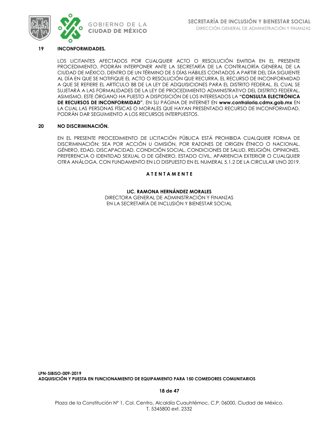

### **19 INCONFORMIDADES***.*

LOS LICITANTES AFECTADOS POR CUALQUIER ACTO O RESOLUCIÓN EMITIDA EN EL PRESENTE PROCEDIMIENTO, PODRÁN INTERPONER ANTE LA SECRETARÍA DE LA CONTRALORÍA GENERAL DE LA CIUDAD DE MÉXICO, DENTRO DE UN TÉRMINO DE 5 DÍAS HÁBILES CONTADOS A PARTIR DEL DÍA SIGUIENTE AL DÍA EN QUE SE NOTIFIQUE EL ACTO O RESOLUCIÓN QUE RECURRA, EL RECURSO DE INCONFORMIDAD A QUE SE REFIERE EL ARTÍCULO 88 DE LA LEY DE ADQUISICIONES PARA EL DISTRITO FEDERAL, EL CUAL SE SUJETARÁ A LAS FORMALIDADES DE LA LEY DE PROCEDIMIENTO ADMINISTRATIVO DEL DISTRITO FEDERAL. ASIMISMO, ESTE ÓRGANO HA PUESTO A DISPOSICIÓN DE LOS INTERESADOS LA **"CONSULTA ELECTRÓNICA DE RECURSOS DE INCONFORMIDAD"**, EN SU PÁGINA DE INTERNET EN **[www.contraloria.cdmx.gob.mx](http://www.contraloria.cdmx.gob.mx/)** EN LA CUAL LAS PERSONAS FÍSICAS O MORALES QUE HAYAN PRESENTADO RECURSO DE INCONFORMIDAD, PODRÁN DAR SEGUIMIENTO A LOS RECURSOS INTERPUESTOS.

### **20 NO DISCRIMINACIÓN.**

EN EL PRESENTE PROCEDIMIENTO DE LICITACIÓN PÚBLICA ESTÁ PROHIBIDA CUALQUIER FORMA DE DISCRIMINACIÓN: SEA POR ACCIÓN U OMISIÓN, POR RAZONES DE ORIGEN ÉTNICO O NACIONAL, GÉNERO, EDAD, DISCAPACIDAD, CONDICIÓN SOCIAL, CONDICIONES DE SALUD, RELIGIÓN, OPINIONES, PREFERENCIA O IDENTIDAD SEXUAL O DE GÉNERO, ESTADO CIVIL, APARIENCIA EXTERIOR O CUALQUIER OTRA ANÁLOGA, CON FUNDAMENTO EN LO DISPUESTO EN EL NUMERAL 5.1.2 DE LA CIRCULAR UNO 2019.

### **A T E N T A M E N T E**

### **LIC. RAMONA HERNÁNDEZ MORALES**

DIRECTORA GENERAL DE ADMINISTRACIÓN Y FINANZAS EN LA SECRETARÍA DE INCLUSIÓN Y BIENESTAR SOCIAL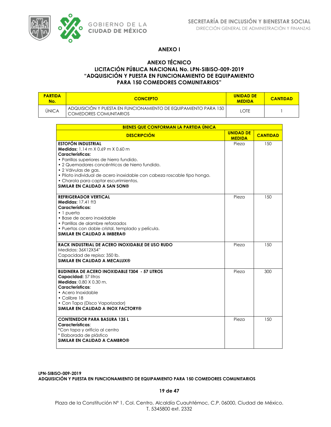

### **ANEXO I**

### **ANEXO TÉCNICO LICITACIÓN PÚBLICA NACIONAL No. LPN-SIBISO-009-2019 "ADQUISICIÓN Y PUESTA EN FUNCIONAMIENTO DE EQUIPAMIENTO PARA 150 COMEDORES COMUNITARIOS"**

| <b>PARTIDA</b><br>No. | <b>CONCEPTO</b>                                                                           | <b>UNIDAD DE</b><br><b>MEDIDA</b> | <b>CANTIDAD</b> |
|-----------------------|-------------------------------------------------------------------------------------------|-----------------------------------|-----------------|
| <b>ÚNICA</b>          | ADQUISICION Y PUESTA EN FUNCIONAMIENTO DE EQUIPAMIENTO PARA 150<br>COMEDORES COMUNITARIOS | LOTE                              |                 |

| BIENES QUE CONFORMAN LA PARTIDA ÚNICA                                                                                                                                                                                                                                                                                                                                 |                                   |                 |  |  |  |  |  |  |
|-----------------------------------------------------------------------------------------------------------------------------------------------------------------------------------------------------------------------------------------------------------------------------------------------------------------------------------------------------------------------|-----------------------------------|-----------------|--|--|--|--|--|--|
| <b>DESCRIPCIÓN</b>                                                                                                                                                                                                                                                                                                                                                    | <b>UNIDAD DE</b><br><b>MEDIDA</b> | <b>CANTIDAD</b> |  |  |  |  |  |  |
| <b>ESTOFÓN INDUSTRIAL</b><br>Medidas: 1.14 m X 0.69 m X 0.60 m<br>Características:<br>· Parrillas superiores de hierro fundido.<br>• 2 Quemadores concéntricos de hierro fundido.<br>• 2 Válvulas de gas.<br>• Piloto individual de acero inoxidable con cabeza roscable tipo hongo.<br>• Charola para captar escurrimientos.<br><b>SIMILAR EN CALIDAD A SAN SON®</b> | Pieza                             | 150             |  |  |  |  |  |  |
| <b>REFRIGERADOR VERTICAL</b><br>Medidas: 17.41 ft3<br>Características:<br>$\cdot$ 1 puerta<br>• Base de acero inoxidable<br>• Parrillas de alambre reforzados<br>• Puertas con doble cristal, templado y película.<br><b>SIMILAR EN CALIDAD A IMBERA®</b>                                                                                                             | Pieza                             | 150             |  |  |  |  |  |  |
| RACK INDUSTRIAL DE ACERO INOXIDABLE DE USO RUDO<br>Medidas: 36X12X54"<br>Capacidad de repisa: 350 lb.<br>SIMILAR EN CALIDAD A MECALUX®                                                                                                                                                                                                                                | Pieza                             | 150             |  |  |  |  |  |  |
| <b>BUDINERA DE ACERO INOXIDABLE T304 - 57 LITROS</b><br>Capacidad: 57 litros<br><b>Medidas: 0.80 X 0.30 m.</b><br>Características:<br>• Acero Inoxidable<br>$\bullet$ Calibre 18<br>• Con Tapa (Disco Vaporizador)<br>SIMILAR EN CALIDAD A INOX FACTORY®                                                                                                              | Pieza                             | 300             |  |  |  |  |  |  |
| <b>CONTENEDOR PARA BASURA 135 L</b><br>Características:<br>*Con tapa y orificio al centro<br>* Elaborada de plástico<br><b>SIMILAR EN CALIDAD A CAMBRO®</b>                                                                                                                                                                                                           | Pieza                             | 150             |  |  |  |  |  |  |

**LPN-SIBISO-009-2019 ADQUISICIÓN Y PUESTA EN FUNCIONAMIENTO DE EQUIPAMIENTO PARA 150 COMEDORES COMUNITARIOS**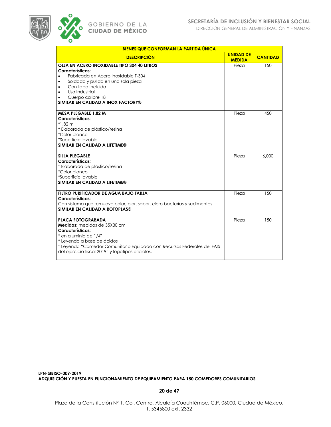



| <b>BIENES QUE CONFORMAN LA PARTIDA ÚNICA</b>                                                                                                                                                                                                                               |                                   |                 |
|----------------------------------------------------------------------------------------------------------------------------------------------------------------------------------------------------------------------------------------------------------------------------|-----------------------------------|-----------------|
| <b>DESCRIPCIÓN</b>                                                                                                                                                                                                                                                         | <b>UNIDAD DE</b><br><b>MEDIDA</b> | <b>CANTIDAD</b> |
| OLLA EN ACERO INOXIDABLE TIPO 304 40 LITROS<br>Características:<br>Fabricada en Acero Inoxidable T-304<br>$\bullet$<br>Soldada y pulida en una sola pieza                                                                                                                  | Pieza                             | 150             |
| Con tapa Incluida<br>$\bullet$<br>Uso Industrial<br>$\bullet$<br>Cuerpo calibre 18<br>٠<br>SIMILAR EN CALIDAD A INOX FACTORY®                                                                                                                                              |                                   |                 |
| <b>MESA PLEGABLE 1.82 M</b><br>Características:<br>$*1.82 m$<br>* Elaborada de plástico/resina<br>*Color blanco<br>*Superficie lavable<br>SIMILAR EN CALIDAD A LIFETIME®                                                                                                   | Pieza                             | 450             |
| <b>SILLA PLEGABLE</b><br>Características:<br>* Elaborada de plástico/resina<br>*Color blanco<br>*Superficie lavable<br>SIMILAR EN CALIDAD A LIFETIME®                                                                                                                      | Pieza                             | 6,000           |
| FILTRO PURIFICADOR DE AGUA BAJO TARJA<br>Características:<br>Con sistema que remueva color, olor, sabor, cloro bacterias y sedimentos<br>SIMILAR EN CALIDAD A ROTOPLAS®                                                                                                    | Pieza                             | 150             |
| <b>PLACA FOTOGRABADA</b><br><b>Medidas:</b> medidas de 35X30 cm<br>Características:<br>* en aluminio de 1/4"<br>* Leyenda a base de ácidos<br>* Leyenda "Comedor Comunitario Equipado con Recursos Federales del FAIS<br>del ejercicio fiscal 2019" y logotipos oficiales. | Pieza                             | 150             |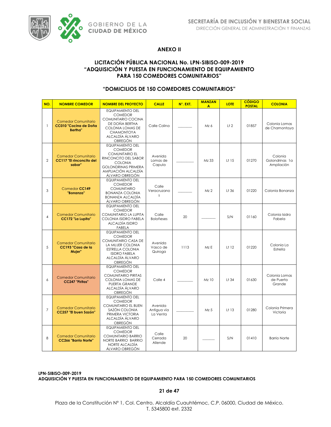

### **ANEXO II**

### **LICITACIÓN PÚBLICA NACIONAL No. LPN-SIBISO-009-2019 "ADQUISICIÓN Y PUESTA EN FUNCIONAMIENTO DE EQUIPAMIENTO PARA 150 COMEDORES COMUNITARIOS"**

### **"DOMICILIOS DE 150 COMEDORES COMUNITARIOS"**

| NO.            | <b>NOMBRE COMEDOR</b>                                                  | <b>NOMBRE DEL PROYECTO</b>                                                                                                                                                          | <b>CALLE</b>                       | N°. EXT. | <b>MANZAN</b><br>A | <b>LOTE</b>      | <b>CÓDIGO</b><br><b>POSTAL</b> | <b>COLONIA</b>                          |
|----------------|------------------------------------------------------------------------|-------------------------------------------------------------------------------------------------------------------------------------------------------------------------------------|------------------------------------|----------|--------------------|------------------|--------------------------------|-----------------------------------------|
| $\mathbf{1}$   | <b>Comedor Comunitario</b><br>CC010 "Cocina de Doña<br><b>Bertha</b> " | <b>EQUIPAMIENTO DEL</b><br><b>COMEDOR</b><br>COMUNITARIO COCINA<br>DE DOÑA BERTHA<br>COLONIA LOMAS DE<br><b>CHAMONTOYA</b><br>ALCALDÍA ÁLVARO<br>OBREGÓN                            | Calle Colina                       |          | Mz 6               | L <sub>1</sub> 2 | 01857                          | Colonia Lomas<br>de Chamontoya          |
| $\overline{2}$ | <b>Comedor Comunitario</b><br>CC117 "El rinconcito del<br>sabor"       | <b>EQUIPAMIENTO DEL</b><br><b>COMEDOR</b><br><b>COMUNITARIO EL</b><br>RINCONCITO DEL SABOR<br><b>COLONIA</b><br><b>GOLONDRINAS PRIMERA</b><br>AMPLIACIÓN ALCALDÍA<br>ÁLVARO OBREGÓN | Avenida<br>Lomas de<br>Capula      |          | Mz 33              | Lt 15            | 01270                          | Colonia<br>Golondrinas la<br>Ampliación |
| 3              | Comedor CC149<br>"Bonanza"                                             | <b>EQUIPAMIENTO DEL</b><br><b>COMEDOR</b><br><b>COMUNITARIO</b><br><b>BONANZA COLONIA</b><br>BONANZA ALCALDÍA<br>ÁLVARO OBREGÓN                                                     | Calle<br>Veracruzano<br>S          |          | Mz <sub>2</sub>    | L†36             | 01220                          | Colonia Bonanza                         |
| $\overline{4}$ | <b>Comedor Comunitario</b><br>CC172 "La Lupita"                        | <b>EQUIPAMIENTO DEL</b><br><b>COMEDOR</b><br>COMUNITARIO LA LUPITA<br>COLONIA ISIDRO FABELA<br>ALCALDÍA ISIDRO<br>FABELA                                                            | Calle<br><b>Boloñeses</b>          | 20       |                    | S/N              | 01160                          | Colonia Isidro<br>Fabela                |
| 5              | <b>Comedor Comunitario</b><br>CC193 "Casa de la<br>Mujer"              | <b>FQUIPAMIENTO DEL</b><br><b>COMEDOR</b><br>COMUNITARIO CASA DE<br>LA MUJER COLONIA<br>ESTRELLA COLONIA<br><b>ISIDRO FABELA</b><br>ALCALDÍA ÁLVARO<br><b>OBREGÓN</b>               | Avenida<br>Vasco de<br>Quiroga     | 1113     | Mz E               | Lt 12            | 01220                          | Colonia La<br>Estrella                  |
| 6              | <b>Comedor Comunitario</b><br><b>CC247 "Piritas"</b>                   | <b>EQUIPAMIENTO DEL</b><br><b>COMEDOR</b><br><b>COMUNITARIO PIRITAS</b><br>COLONIA LOMAS DE<br>PUERTA GRANDE<br>ALCALDÍA ÁLVARO<br>OBREGÓN                                          | Calle 4                            |          | Mz 10              | $L†$ 34          | 01630                          | Colonia Lomas<br>de Puerta<br>Grande    |
| $\overline{7}$ | <b>Comedor Comunitario</b><br><b>CC257 "El buen Sazón"</b>             | <b>EQUIPAMIENTO DEL</b><br><b>COMEDOR</b><br><b>COMUNITARIO EL BUEN</b><br>SAZÓN COLONIA<br>PRIMERA VICTORIA<br>ALCALDÍA ÁLVARO<br>OBREGÓN                                          | Avenida<br>Antigua vía<br>La Venta |          | $Mz$ 5             | Lt 13            | 01280                          | Colonia Primera<br>Victoria             |
| 8              | <b>Comedor Comunitario</b><br><b>CC266 "Barrio Norte"</b>              | <b>EQUIPAMIENTO DEL</b><br><b>COMEDOR</b><br><b>COMUNITARIO BARRIO</b><br>NORTE BARRIO BARRIO<br>NORTE ALCALDÍA<br>ÁLVARO OBREGÓN                                                   | Calle<br>Cerrada<br>Allende        | 20       |                    | S/N              | 01410                          | <b>Barrio Norte</b>                     |

**LPN-SIBISO-009-2019 ADQUISICIÓN Y PUESTA EN FUNCIONAMIENTO DE EQUIPAMIENTO PARA 150 COMEDORES COMUNITARIOS**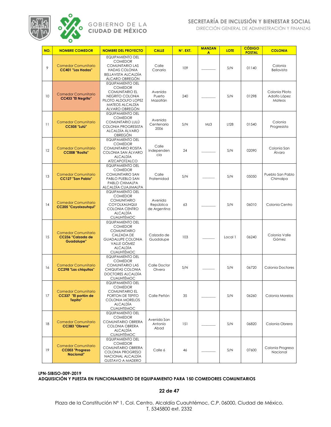

DIRECCIÓN GENERAL DE ADMINISTRACIÓN Y FINANZAS

| NO. | <b>NOMBRE COMEDOR</b>                                         | <b>NOMBRE DEL PROYECTO</b>                                                                                                                                | <b>CALLE</b>                         | N°. EXT. | <b>MANZAN</b><br>A | <b>LOTE</b>      | <b>CÓDIGO</b><br><b>POSTAL</b> | <b>COLONIA</b>                           |
|-----|---------------------------------------------------------------|-----------------------------------------------------------------------------------------------------------------------------------------------------------|--------------------------------------|----------|--------------------|------------------|--------------------------------|------------------------------------------|
| 9   | <b>Comedor Comunitario</b><br><b>CC401 "Las Hadas"</b>        | <b>EQUIPAMIENTO DEL</b><br><b>COMEDOR</b><br><b>COMUNITARIO LAS</b><br><b>HADAS COLONIA</b><br>BELLAVISTA ALCALDÍA<br>ÁLCARO OBREGÓN                      | Calle<br>Canario                     | 109      |                    | S/N              | 01140                          | Colonia<br>Bellavista                    |
| 10  | <b>Comedor Comunitario</b><br><b>CC433 "El Negrito"</b>       | <b>EQUIPAMIENTO DEL</b><br><b>COMEDOR</b><br><b>COMUNITARIO EL</b><br>NEGRITO COLONIA<br>PILOTO ALDOLFO LOPEZ<br><b>MATEOS ALCALDÍA</b><br>ÁLVARO OBREGÓN | Avenida<br>Puerto<br>Mazatlán        | 240      |                    | S/N              | 01298                          | Colonia Piloto<br>Adolfo López<br>Mateos |
| 11  | <b>Comedor Comunitario</b><br><b>CC505 "Lulú"</b>             | <b>EQUIPAMIENTO DEL</b><br><b>COMEDOR</b><br>COMUNITARIO LULÚ<br>COLONIA PROGRESISTA<br>ALCALDÍA ÁLVARO<br>OBREGÓN                                        | Avenida<br>Centenario<br>2006        | S/N      | Mz3                | L <sub>128</sub> | 01540                          | Colonia<br>Progresista                   |
| 12  | <b>Comedor Comunitario</b><br>CC008 "Rosita"                  | <b>EQUIPAMIENTO DEL</b><br><b>COMEDOR</b><br><b>COMUNITARIO ROSITA</b><br>COLONIA SAN ÁLVARO<br><b>ALCALDÍA</b><br>ATZCAPOTZALCO                          | Calle<br>Independen<br>cia           | 24       |                    | S/N              | 02090                          | Colonia San<br>Álvaro                    |
| 13  | <b>Comedor Comunitario</b><br><b>CC127 "San Pablo"</b>        | <b>EQUIPAMIENTO DEL</b><br><b>COMEDOR</b><br>COMUNITARIO SAN<br>PABLO PUEBLO SAN<br>PABLO CHIMALPA<br>ALCALDÍA CUAJIMALPA                                 | Calle<br>Fraternidad                 | S/N      |                    | S/N              | 05050                          | Pueblo San Pablo<br>Chimalpa             |
| 14  | <b>Comedor Comunitario</b><br><b>CC205 "Coyolxauhqui"</b>     | <b>EQUIPAMIENTO DEL</b><br><b>COMEDOR</b><br><b>COMUNITARIO</b><br><b>COYOLXAUHQUI</b><br>COLONIA CENTRO<br><b>ALCALDÍA</b><br><b>CUAUHTÉMOC</b>          | Avenida<br>República<br>de Argentina | 63       |                    | S/N              | 06010                          | Colonia Centro                           |
| 15  | <b>Comedor Comunitario</b><br>CC236 "Calzada de<br>Guadalupe" | EQUIPAMIENTO DEL<br><b>COMEDOR</b><br><b>COMUNITARIO</b><br>CALZADA DE<br><b>GUADALUPE COLONIA</b><br>VALLE GÓMEZ<br><b>ALCALDÍA</b><br><b>CUAUHTÉMOC</b> | Calzada de<br>Guadalupe              | 103      |                    | Local 1          | 06240                          | Colonia Valle<br>Gómez                   |
| 16  | <b>Comedor Comunitario</b><br><b>CC298 "Las chiquitas"</b>    | <b>EQUIPAMIENTO DEL</b><br><b>COMEDOR</b><br><b>COMUNITARIO LAS</b><br>CHIQUITAS COLONIA<br>DOCTORES ALCALDÍA<br><b>CUAUHTÉMOC</b>                        | Calle Doctor<br>Olvera               | S/N      |                    | S/N              | 06720                          | <b>Colonia Doctores</b>                  |
| 17  | <b>Comedor Comunitario</b><br>CC337 "El portón de<br>Tepito"  | <b>EQUIPAMIENTO DEL</b><br><b>COMEDOR</b><br><b>COMUNITARIO EL</b><br>PORTON DE TEPITO<br><b>COLONIA MORELOS</b><br><b>ALCALDÍA</b><br><b>CUAUHTEMOC</b>  | Calle Peñón                          | 35       |                    | S/N              | 06260                          | Colonia Morelos                          |
| 18  | <b>Comedor Comunitario</b><br>CC383 "Obrera"                  | <b>EQUIPAMIENTO DEL</b><br><b>COMEDOR</b><br><b>COMUNITARIO OBRERA</b><br><b>COLONIA OBRERA</b><br><b>ALCALDÍA</b><br><b>CUAUHTÉMOC</b>                   | Avenida San<br>Antonio<br>Abad       | 151      |                    | S/N              | 06820                          | Colonia Obrera                           |
| 19  | <b>Comedor Comunitario</b><br>CC003 "Progreso<br>Nacional"    | <b>EQUIPAMIENTO DEL</b><br><b>COMEDOR</b><br>COMUNITARIO OBRERA<br>COLONIA PROGRESO<br>NACIONAL ALCALDÍA<br><b>GUSTAVO A MADERO</b>                       | Calle 6                              | 46       |                    | S/N              | 07600                          | Colonia Progreso<br>Nacional             |

**LPN-SIBISO-009-2019 ADQUISICIÓN Y PUESTA EN FUNCIONAMIENTO DE EQUIPAMIENTO PARA 150 COMEDORES COMUNITARIOS**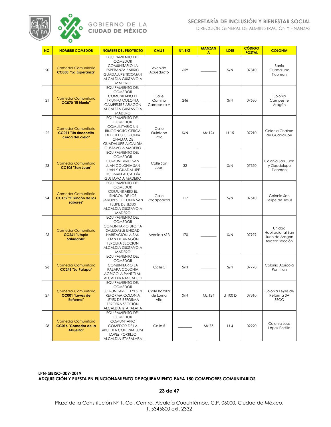

DIRECCIÓN GENERAL DE ADMINISTRACIÓN Y FINANZAS

| NO. | <b>NOMBRE COMEDOR</b>                                                    | <b>NOMBRE DEL PROYECTO</b>                                                                                                                                                                               | <b>CALLE</b>                     | N°. EXT. | <b>MANZAN</b><br>A | <b>LOTE</b> | <b>CÓDIGO</b><br><b>POSTAL</b> | <b>COLONIA</b>                                                  |
|-----|--------------------------------------------------------------------------|----------------------------------------------------------------------------------------------------------------------------------------------------------------------------------------------------------|----------------------------------|----------|--------------------|-------------|--------------------------------|-----------------------------------------------------------------|
| 20  | <b>Comedor Comunitario</b><br>CC050 "La Esperanza"                       | <b>EQUIPAMIENTO DEL</b><br><b>COMEDOR</b><br><b>COMUNITARIO LA</b><br>ESPERANZA BARRIO<br><b>GUADALUPE TICOMAN</b><br>ALCALDÍA GUSTAVO A<br><b>MADERO</b>                                                | Avenida<br>Acueducto             | 659      |                    | S/N         | 07310                          | Barrio<br>Guadalupe<br>Ticoman                                  |
| 21  | <b>Comedor Comunitario</b><br>CC070 "El triunfo"                         | <b>EQUIPAMIENTO DEL</b><br><b>COMEDOR</b><br><b>COMUNITARIO EL</b><br><b>TRIUNFO COLONIA</b><br>CAMPESTRE ARAGÓN<br>ALCALDÍA GUSTAVO A<br><b>MADERO</b>                                                  | Calle<br>Camino<br>Campestre A   | 246      |                    | S/N         | 07530                          | Colonia<br>Campestre<br>Aragón                                  |
| 22  | <b>Comedor Comunitario</b><br>CC071 "Un rinconcito<br>cerca del cielo"   | <b>EQUIPAMIENTO DEL</b><br><b>COMEDOR</b><br><b>COMUNITARIO UN</b><br>RINCONCITO CERCA<br>DEL CIELO COLONIA<br>CHALMA DE<br><b>GUADALUPE ALCALDÍA</b><br>GUSTAVO A MADERO                                | Calle<br>Quintana<br>Roo         | S/N      | Mz 124             | Lt 15       | 07210                          | Colonia Chalma<br>de Guadalupe                                  |
| 23  | <b>Comedor Comunitario</b><br>CC105 "San Juan"                           | <b>EQUIPAMIENTO DEL</b><br><b>COMEDOR</b><br><b>COMUNITARIO SAN</b><br><b>JUAN COLONIA SAN</b><br><b>JUAN Y GUADALUPE</b><br><b>TICOMAN ALCALDÍA</b><br><b>GUSTAVO A MADERO</b>                          | Calle San<br>Juan                | 32       |                    | S/N         | 07350                          | Colonia San Juan<br>y Guadalupe<br>Ticoman                      |
| 24  | <b>Comedor Comunitario</b><br><b>CC152 "El Rincón de los</b><br>sabores" | <b>EQUIPAMIENTO DEL</b><br><b>COMEDOR</b><br><b>COMUNITARIO EL</b><br>RINCON DE LOS<br>SABORES COLONIA SAN<br>FELIPE DE JESÚS<br>ALCALDÍA GUSTAVO A<br><b>MADERO</b>                                     | Calle<br>Zacapoaxtla             | 117      |                    | S/N         | 07510                          | Colonia San<br>Felipe de Jesús                                  |
| 25  | <b>Comedor Comunitario</b><br>CC261 "Utopía<br>Saludable"                | <b>EQUIPAMIENTO DEL</b><br><b>COMEDOR</b><br>COMUNITARIO UTOPIA<br>SALUDABLE UNIDAD<br><b>HABITACIONLA SAN</b><br><b>JUAN DE ARAGÓN</b><br><b>TERCERA SECCION</b><br>ALCALDÍA GUSTAVO A<br><b>MADERO</b> | Avenida 613                      | 170      |                    | S/N         | 07979                          | Unidad<br>Habitacional San<br>Juan de Aragón<br>tercera sección |
| 26  | <b>Comedor Comunitario</b><br>CC245 "La Palapa"                          | <b>EQUIPAMIENTO DEL</b><br><b>COMEDOR</b><br><b>COMUNITARIO LA</b><br>PALAPA COLONIA<br><b>AGRÍCOLA PANTITLAN</b><br>ALCALDÍA IZTACALCO                                                                  | Calle 5                          | S/N      |                    | S/N         | 07770                          | Colonia Agrícola<br>Pantitlan                                   |
| 27  | <b>Comedor Comunitario</b><br>CC001 "Leyes de<br>Reforma"                | <b>EQUIPAMIENTO DEL</b><br><b>COMEDOR</b><br>COMUNITARIO LEYES DE<br>REFORMA COLONIA<br>LEYES DE REFORMA<br><b>TERCERA SECCION</b><br>ALCALDÍA IZTAPALAPA                                                | Calle Batalla<br>de Loma<br>Alta | S/N      | Mz 124             | Lt 100 D    | 09310                          | Colonia Leyes de<br>Reforma 3A<br><b>SECC</b>                   |
| 28  | <b>Comedor Comunitario</b><br>CC016 "Comedor de la<br>Abuelita"          | <b>EQUIPAMIENTO DEL</b><br><b>COMEDOR</b><br><b>COMUNITARIO</b><br>COMEDOR DE LA<br>ABUELITA COLONIA JOSE<br><b>LOPEZ PORTILLO</b><br>ALCALDÍA IZTAPALAPA                                                | Calle 5                          |          | Mz 75              | L†4         | 09920                          | Colonia José<br>López Portillo                                  |

**LPN-SIBISO-009-2019 ADQUISICIÓN Y PUESTA EN FUNCIONAMIENTO DE EQUIPAMIENTO PARA 150 COMEDORES COMUNITARIOS**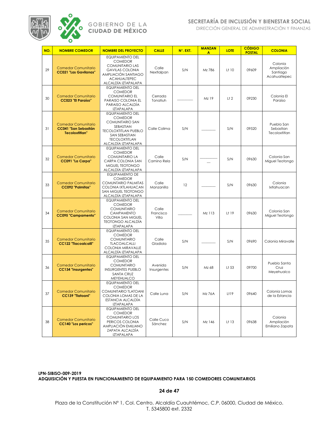

DIRECCIÓN GENERAL DE ADMINISTRACIÓN Y FINANZAS

| NO. | <b>NOMBRE COMEDOR</b>                                                              | <b>NOMBRE DEL PROYECTO</b>                                                                                                                                                      | <b>CALLE</b>                | N°. EXT. | <b>MANZAN</b><br>A | <b>LOTE</b>       | <b>CÓDIGO</b><br><b>POSTAL</b> | <b>COLONIA</b>                                    |
|-----|------------------------------------------------------------------------------------|---------------------------------------------------------------------------------------------------------------------------------------------------------------------------------|-----------------------------|----------|--------------------|-------------------|--------------------------------|---------------------------------------------------|
| 29  | <b>Comedor Comunitario</b><br><b>CC021 "Las Gavilanas"</b>                         | <b>EQUIPAMIENTO DEL</b><br><b>COMEDOR</b><br><b>COMUNITARIO LAS</b><br><b>GAVILAS COLONIA</b><br>AMPLIACIÓN SANTIAGO<br><b>ACAHUALTEPEC</b><br>ALCALDÍA IZTAPALAPA              | Calle<br>Nextlalpan         | S/N      | Mz 786             | L <sup>†</sup> 10 | 09609                          | Colonia<br>Ampliación<br>Santiago<br>Acahualtepec |
| 30  | <b>Comedor Comunitario</b><br><b>CC023 "El Paraíso"</b>                            | <b>EQUIPAMIENTO DEL</b><br><b>COMEDOR</b><br><b>COMUNITARIO EL</b><br>PARAISO COLONIA EL<br>PARAISO ALCALDÍA<br><b>IZTAPALAPA</b>                                               | Cerrada<br>Tonatiuh         |          | Mz 19              | L <sup>†</sup> 2  | 09230                          | Colonia El<br>Paraíso                             |
| 31  | <b>Comedor Comunitario</b><br><b>CC041 "San Sebastián</b><br><b>Tecoloxtitlan"</b> | <b>EQUIPAMIENTO DEL</b><br><b>COMEDOR</b><br><b>COMUNITARIO SAN</b><br>SEBASTIAN<br><b>TECOLOXTITLAN PUEBLO</b><br>SAN SEBASTIAN<br><b>TECOLOXTITLAN</b><br>ALCALDÍA IZTAPALAPA | Calle Colima                | S/N      |                    | S/N               | 09520                          | Pueblo San<br>Sebastian<br>Tecoloxtitlan          |
| 32  | <b>Comedor Comunitario</b><br>CC091 "La Carpa"                                     | <b>EQUIPAMIENTO DEL</b><br><b>COMEDOR</b><br><b>COMUNITARIO LA</b><br>CARPA COLONIA SAN<br>MIGUEL TEOTONGO<br>ALCALDÍA IZTAPALAPA                                               | Calle<br>Camino Rela        | S/N      |                    | S/N               | 09630                          | Colonia San<br>Miguel Teotongo                    |
| 33  | <b>Comedor Comunitario</b><br><b>CC092 "Palmitas"</b>                              | <b>EQUIPAMIENTO DE</b><br><b>COMEDOR</b><br><b>COMUNTARIO PALMITAS</b><br>COLONIA IXTLAHUACAN<br>SAN MIGUEL TEOTONGO<br>ALCALDÍA IZTAPALAPA                                     | Calle<br>Manzanilla         | 12       |                    | S/N               | 09630                          | Colonia<br>Ixtlahuacan                            |
| 34  | <b>Comedor Comunitario</b><br><b>CC095 "Campamento"</b>                            | <b>EQUIPAMIENTO DEL</b><br><b>COMEDOR</b><br><b>COMUNITARIO</b><br><b>CAMPAMENTO</b><br>COLONIA SAN MIGUEL<br><b>TEOTONGO ALCALDÍA</b><br>IZTAPALAPA                            | Calle<br>Francisco<br>Villa |          | Mz 113             | Lt 19             | 09630                          | Colonia San<br>Miguel Teotongo                    |
| 35  | <b>Comedor Comunitario</b><br><b>CC122 "Tlacoalcalli"</b>                          | <b>EQUIPAMIENTO DEL</b><br><b>COMEDOR</b><br><b>COMUNITARIO</b><br><b>TLACOALCALLI</b><br>COLONIA MIRAVALLE<br>ALCALDÍA IZTAPALAPA                                              | Calle<br>Gladiola           | S/N      |                    | S/N               | 09690                          | Colonia Miravalle                                 |
| 36  | <b>Comedor Comunitario</b><br><b>CC134 "Insurgentes"</b>                           | <b>EQUIPAMIENTO DEL</b><br><b>COMEDOR</b><br><b>COMUNITARIO</b><br><b>INSURGENTES PUEBLO</b><br><b>SANTA CRUZ</b><br><b>MEYEHUALCO</b>                                          | Avenida<br>Insurgentes      | S/N      | Mz 68              | Lt 53             | 09700                          | Pueblo Santa<br>Cruz<br>Meyehualco                |
| 37  | <b>Comedor Comunitario</b><br><b>CC139 "Tlatoani"</b>                              | <b>EQUIPAMIENTO DEL</b><br>COMEDOR<br>COMUNITARIO TLATOANI<br>COLONIA LOMAS DE LA<br>ESTANCIA ALCALDÍA<br><b>IZTAPALAPA</b>                                                     | Calle Luna                  | S/N      | Mz 76A             | Lt19              | 09640                          | Colonia Lomas<br>de la Estancia                   |
| 38  | <b>Comedor Comunitario</b><br><b>CC140 "Los pericos"</b>                           | EQUIPAMIENTO DEL<br><b>COMEDOR</b><br><b>COMUNITARIO LOS</b><br>PERICOS COLONIA<br>AMPLIACIÓN EMILIANO<br>ZAPATA ALCALDÍA<br><b>IZTAPALAPA</b>                                  | Calle Cuco<br>Sánchez       | S/N      | Mz 146             | Lt 13             | 09638                          | Colonia<br>Ampliación<br>Emiliano Zapata          |

**LPN-SIBISO-009-2019 ADQUISICIÓN Y PUESTA EN FUNCIONAMIENTO DE EQUIPAMIENTO PARA 150 COMEDORES COMUNITARIOS**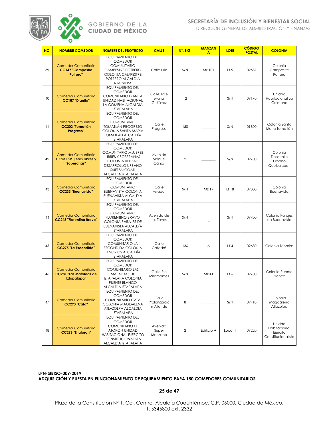

DIRECCIÓN GENERAL DE ADMINISTRACIÓN Y FINANZAS

| NO. | <b>NOMBRE COMEDOR</b>                                                      | <b>NOMBRE DEL PROYECTO</b>                                                                                                                                                         | <b>CALLE</b>                      | N°. EXT. | <b>MANZAN</b><br>A | <b>LOTE</b> | <b>CÓDIGO</b><br><b>POSTAL</b> | <b>COLONIA</b>                                           |
|-----|----------------------------------------------------------------------------|------------------------------------------------------------------------------------------------------------------------------------------------------------------------------------|-----------------------------------|----------|--------------------|-------------|--------------------------------|----------------------------------------------------------|
| 39  | <b>Comedor Comunitario</b><br><b>CC147 "Campestre</b><br>Potrero"          | <b>EQUIPAMIENTO DEL</b><br><b>COMEDOR</b><br><b>COMUNITARIO</b><br>CAMPESTRE POTRERO<br><b>COLONIA CAMPESTRE</b><br>POTRERO ALCALDÍA<br><b>IZTAPALPA</b>                           | Calle Lirio                       | S/N      | Mz 101             | $L$ † 5     | 09637                          | Colonia<br>Campestre<br>Potrero                          |
| 40  | <b>Comedor Comunitario</b><br><b>CC187 "Dianita"</b>                       | <b>EQUIPAMIENTO DEL</b><br><b>COMEDOR</b><br>COMUNITARIO DIANITA<br><b>UNIDAD HABITACIONAL</b><br>LA COMENA ALCALDÍA<br><b>IZTAPALAPA</b>                                          | Calle José<br>María<br>Gutiérrez  | 12       |                    | S/N         | 09170                          | Unidad<br>Habitacional La<br>Colmena                     |
| 41  | <b>Comedor Comunitario</b><br><b>CC202 "Tomatlán</b><br>Progreso"          | <b>EQUIPAMIENTO DEL</b><br><b>COMEDOR</b><br><b>COMUNITARIO</b><br><b>TOMATLÁN PROGRESO</b><br>COLONIA SANTA MARIA<br>TOMATLÁN ALCALDÍA<br><b>IZTAPALAPA</b>                       | Calle<br>Progreso                 | 150      |                    | S/N         | 09800                          | Colonia Santa<br>María Tomatlán                          |
| 42  | <b>Comedor Comunitario</b><br><b>CC231 "Mujeres Libres y</b><br>Soberanas" | <b>EQUIPAMIENTO DEL</b><br><b>COMEDOR</b><br><b>COMUNITARIO MUJERES</b><br><b>LIBRES Y SOBERANAS</b><br>COLONIA UNIDAD<br>DESARROLLO URBANO<br>QUETZALCOATL<br>ALCALDÍA IZTAPALAPA | Avenida<br>Manuel<br>Cañas        | 2        |                    | S/N         | 09700                          | Colonia<br>Desarrollo<br>Urbano<br>Quetzalcoatl          |
| 43  | <b>Comedor Comunitario</b><br><b>CC233 "Buenavista"</b>                    | <b>EQUIPAMIENTO DEL</b><br><b>COMEDOR</b><br><b>COMUNITARIO</b><br><b>BUENAVISTA COLONIA</b><br><b>BUENAVISTA ALCALDÍA</b><br><b>IZTAPALAPA</b>                                    | Calle<br>Mirador                  | S/N      | Mz 17              | Lt 18       | 09800                          | Colonia<br>Buenavista                                    |
| 44  | <b>Comedor Comunitario</b><br><b>CC248 "Florentino Bravo"</b>              | <b>EQUIPAMIENTO DEL</b><br><b>COMEDOR</b><br><b>COMUNITARIO</b><br><b>FLORENTINO BRAVO</b><br><b>COLONIA PARAJES DE</b><br>BUENAVISTA ALCALDÍA<br><b>IZTAPALAPA</b>                | Avenida de<br>las Torres          | S/N      |                    | S/N         | 09700                          | Colonia Parajes<br>de Buenavista                         |
| 45  | <b>Comedor Comunitario</b><br><b>CC275 "La Escondida"</b>                  | <b>EQUIPAMIENTO DEL</b><br><b>COMEDOR</b><br><b>COMUNITARIO LA</b><br>ESCONDIDA COLONIA<br><b>TENORIOS ALCALDÍA</b><br><b>IZTAPALAPA</b>                                           | Calle<br>Catedrá                  | 136      | Α                  | L†4         | 09680                          | Colonia Tenorios                                         |
| 46  | <b>Comedor Comunitario</b><br><b>CC281 "Las Mafaldas de</b><br>Iztapalapa" | <b>EQUIPAMIENTO DEL</b><br><b>COMEDOR</b><br><b>COMUNITARIO LAS</b><br>MAFALDAS DE<br>IZTAPALAPA COLONIA<br>PUENTE BLANCO<br><u>ALCALDÍA IZTAPALAPA</u>                            | Calle Rio<br>Miramontes           | S/N      | Mz 41              | Lt 6        | 09700                          | Colonia Puente<br>Blanco                                 |
| 47  | <b>Comedor Comunitario</b><br>CC293 "Cata"                                 | <b>EQUIPAMIENTO DEL</b><br><b>COMEDOR</b><br>COMUNITARIO CATA<br>COLONIA MAGDALENA<br>ATLAZOLPA ALCALDÍA<br><b>IZTAPALAPA</b>                                                      | Calle<br>Prolongació<br>n Allende | 8        |                    | S/N         | 09410                          | Colonia<br>Magdalena<br>Atlazolpa                        |
| 48  | <b>Comedor Comunitario</b><br>CC296 "El atorón"                            | <b>EQUIPAMIENTO DEL</b><br><b>COMEDOR</b><br><b>COMUNITARIO EL</b><br><b>ATORON UNIDAD</b><br><b>HABITACIONAL EJERCITO</b><br>CONSTITUCIONALISTA<br>ALCALDÍA IZTAPALAPA            | Avenida<br>Super<br>Manzana       | 2        | Edificio A         | Local 1     | 09220                          | Unidad<br>Habitacional<br>Ejercito<br>Constitucionalista |

**LPN-SIBISO-009-2019 ADQUISICIÓN Y PUESTA EN FUNCIONAMIENTO DE EQUIPAMIENTO PARA 150 COMEDORES COMUNITARIOS**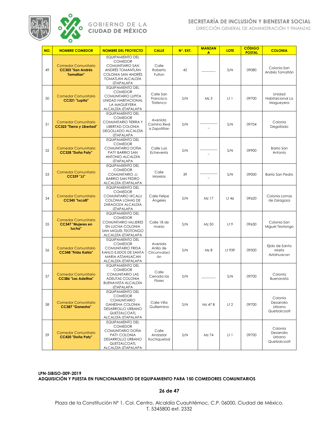

DIRECCIÓN GENERAL DE ADMINISTRACIÓN Y FINANZAS

| NO. | <b>NOMBRE COMEDOR</b>                                                      | <b>NOMBRE DEL PROYECTO</b>                                                                                                                                     | <b>CALLE</b>                               | N°. EXT. | <b>MANZAN</b><br>A | <b>LOTE</b>      | <b>CÓDIGO</b><br><b>POSTAL</b> | <b>COLONIA</b>                                  |
|-----|----------------------------------------------------------------------------|----------------------------------------------------------------------------------------------------------------------------------------------------------------|--------------------------------------------|----------|--------------------|------------------|--------------------------------|-------------------------------------------------|
| 49  | <b>Comedor Comunitario</b><br><b>CC303 "San Andrés</b><br><b>Tomatian"</b> | <b>EQUIPAMIENTO DEL</b><br><b>COMEDOR</b><br><b>COMUNITARIO SAN</b><br>ANDRÉS TOMANTLÁN<br>COLONIA SAN ANDRÉS<br><b>TOMATLÁN ALCALDÍA</b><br><b>IZTAPALAPA</b> | Calle<br>Roberto<br>Fulton                 | 42       |                    | S/N              | 09080                          | Colonia San<br>Andrés Tomatlán                  |
| 50  | <b>Comedor Comunitario</b><br>CC321 "Lupita"                               | <b>EQUIPAMIENTO DEL</b><br><b>COMEDOR</b><br>COMUNITARIO LUPITA<br><b>UNIDAD HABITACIONAL</b><br>LA MAGUEYERA<br>ALCALDÍA IZTAPALAPA                           | Calle San<br>Francisco<br>Tlatenco         | S/N      | Mz <sub>3</sub>    | $L+1$            | 09700                          | Unidad<br>Habitalcional La<br>Magueyera         |
| 51  | <b>Comedor Comunitario</b><br>CC323 "Tierra y Libertad"                    | <b>EQUIPAMIENTO DEL</b><br><b>COMEDOR</b><br>COMUNITARIO TIERRA Y<br><b>LIBERTAD COLONIA</b><br>DEGOLLADO ALCALDÍA<br><b>IZTAPALAPA</b>                        | Avenida<br>Camino Real<br>a Zapotitlan     | S/N      |                    | S/N              | 09704                          | Colonia<br>Degollado                            |
| 52  | <b>Comedor Comunitario</b><br>CC328 "Doña Paty"                            | <b>EQUIPAMIENTO DEL</b><br><b>COMEDOR</b><br>COMUNITARIO DOÑA<br>PATY BARRIO SAN<br>ANTONIO ALCALDÍA<br><b>IZTAPALAPA</b>                                      | Calle Luis<br>Echeverría                   | S/N      |                    | S/N              | 09900                          | Barrio San<br>Antonio                           |
| 53  | <b>Comedor Comunitario</b><br><b>CC339 "JJ"</b>                            | <b>EQUIPAMIENTO DEL</b><br><b>COMEDOR</b><br><b>COMUNITARIO JJ</b><br><b>BARRIO SAN PEDRO</b><br>ALCALDÍA IZTAPALAPA                                           | Calle<br><b>Morelos</b>                    | 39       |                    | S/N              | 09000                          | <b>Barrio San Pedro</b>                         |
| 54  | <b>Comedor Comunitario</b><br>CC345 "Ixcalli"                              | <b>EQUIPAMIENTO DEL</b><br><b>COMEDOR</b><br><b>COMUNITARIO IXCALLI</b><br>COLONIA LOMAS DE<br>ZARAGOZA ALCALDÍA<br><b>IZTAPALAPA</b>                          | Calle Felipe<br><b>Angeles</b>             | S/N      | Mz 17              | Lt 46            | 09620                          | Colonia Lomas<br>de Zaragoza                    |
| 55  | <b>Comedor Comunitario</b><br><b>CC347 "Mujeres en</b><br>lucha"           | <b>EQUIPAMIENTO DEL</b><br><b>COMEDOR</b><br>COMUNITARIO MUJERES<br>EN LUCHA COLONIA<br>SAN MIGUEL TEOTONGO<br>ALCALDÍA IZTAPALAPA                             | Calle 18 de<br>marzo                       | S/N      | Mz 50              | L <sup>†</sup> 9 | 09630                          | Colonia San<br>Miguel Teotongo                  |
| 56  | <b>Comedor Comunitario</b><br><b>CC348 "Frida Kahlo"</b>                   | <b>EQUIPAMIENTO DEL</b><br><b>COMEDOR</b><br><b>COMUNITARIO FRIDA</b><br>KAHLO EJIDOS DE SANTA<br><b>MARIA ATZAHUACAN</b><br>ALCALDÍA IZTAPALAPA               | Avenida<br>Anillo de<br>Circunvalaci<br>ón | S/N      | Mz 8               | Lt 939           | 09500                          | Ejido de Santa<br>María<br>Aztahuacan           |
| 57  | <b>Comedor Comunitario</b><br><b>CC386 "Las Adelitas"</b>                  | <b>EQUIPAMIENTO DEL</b><br><b>COMEDOR</b><br><b>COMUNITARIO LAS</b><br>ADELITAS COLONIA<br><b>BUENAVISTA ALCALDÍA</b><br><b>IZTAPALAPA</b>                     | Calle<br>Cerrada las<br>Flores             | S/N      |                    | S/N              | 09700                          | Colonia<br>Buenavista                           |
| 58  | <b>Comedor Comunitario</b><br><b>CC387 "Ganesha"</b>                       | <b>EQUIPAMIENTO DEL</b><br><b>COMEDOR</b><br><b>COMUNITARIO</b><br><b>GANESHA COLONIA</b><br>DESARROLLO URBANO<br>QUETZALCOATL<br>ALCALDÍA IZTAPALAPA          | Calle Villa<br>Guillermina                 | S/N      | Mz 47 B            | L <sub>1</sub> 2 | 09700                          | Colonia<br>Desarrollo<br>Urbano<br>Quetzalcoatl |
| 59  | <b>Comedor Comunitario</b><br>CC420 "Doña Paty"                            | <b>EQUIPAMIENTO DEL</b><br><b>COMEDOR</b><br>COMUNITARIO DOÑA<br>PATY COLONIA<br>DESARROLLO URBANO<br>QUETZALCOATL<br>ALCALDÍA IZTAPALAPA                      | Calle<br>Andador<br>Xochiquetzal           | S/N      | Mz 74              | Lt 1             | 09700                          | Colonia<br>Desarrollo<br>Urbano<br>Quetzalcoatl |

**LPN-SIBISO-009-2019 ADQUISICIÓN Y PUESTA EN FUNCIONAMIENTO DE EQUIPAMIENTO PARA 150 COMEDORES COMUNITARIOS**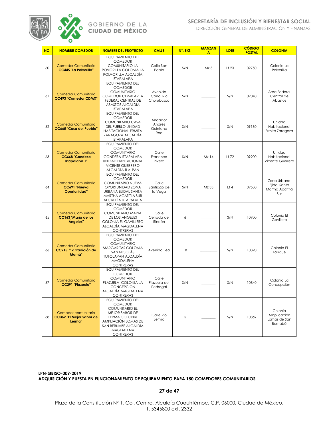

DIRECCIÓN GENERAL DE ADMINISTRACIÓN Y FINANZAS

| NO. | <b>NOMBRE COMEDOR</b>                                         | <b>NOMBRE DEL PROYECTO</b>                                                                                                                                                            | <b>CALLE</b>                         | N°. EXT. | <b>MANZAN</b><br>A | <b>LOTE</b>       | <b>CÓDIGO</b><br><b>POSTAL</b> | <b>COLONIA</b>                                        |
|-----|---------------------------------------------------------------|---------------------------------------------------------------------------------------------------------------------------------------------------------------------------------------|--------------------------------------|----------|--------------------|-------------------|--------------------------------|-------------------------------------------------------|
| 60  | <b>Comedor Comunitario</b><br><b>CC445 "La Polvorilla"</b>    | <b>EQUIPAMIENTO DEL</b><br><b>COMEDOR</b><br><b>COMUNITARIO LA</b><br>POVORILLA COLONIA LA<br>POLVORILLA ALCALDÍA<br><b>IZTAPALAPA</b>                                                | Calle San<br>Pablo                   | S/N      | Mz <sub>3</sub>    | L <sup>†</sup> 23 | 09750                          | Colonia La<br>Polvorilla                              |
| 61  | <b>Comedor Comunitario</b><br><b>CC493 "Comedor CDMX"</b>     | <b>EQUIPAMIENTO DEL</b><br><b>COMEDOR</b><br><b>COMUNITARIO</b><br>COMEDOR CDMX AREA<br>FEDERAL CENTRAL DE<br>ABASTOS ALCALDÍA<br><b>IZTAPALAPA</b>                                   | Avenida<br>Canal Rio<br>Churubusco   | S/N      |                    | S/N               | 09040                          | Área Federal<br>Central de<br>Abastos                 |
| 62  | <b>Comedor Comunitario</b><br><b>CC665 "Casa del Pueblo"</b>  | <b>EQUIPAMIENTO DEL</b><br><b>COMEDOR</b><br><b>COMUNITARIO CASA</b><br>DEL PUEBLO UNIDAD<br><b>HABITACIONAL ERMITA</b><br>ZARAGOZA ALCALDÍA<br>IZTAPALAPA                            | Andador<br>Andrés<br>Quintana<br>Roo | S/N      |                    | S/N               | 09180                          | Unidad<br>Habitacional<br>Ermita Zaragoza             |
| 63  | <b>Comedor Comunitario</b><br>CC668 "Condesa<br>Iztapalapa 1" | <b>EQUIPAMIENTO DEL</b><br><b>COMEDOR</b><br><b>COMUNITARIO</b><br>CONDESA IZTAPALAPA<br><b>UNIDAD HABITACIONAL</b><br><b>VICENTE GUERRERO</b><br>ALCALDÍA TLALPAN                    | Calle<br>Francisco<br>Rivera         | S/N      | Mz 14              | Lt 72             | 09200                          | Unidad<br>Habitacional<br>Vicente Guerrero            |
| 64  | <b>Comedor Comunitario</b><br>CC691 "Nueva<br>Oportunidad"    | <b>EQUIPAMIENTO DEL</b><br><b>COMEDOR</b><br>COMUNITARIO NUEVA<br>OPORTUNIDAD ZONA<br>URBANA EJIDAL SANTA<br>MARTHA ACATITLA SUR<br>ALCALDÍA IZTAPALAPA                               | Calle<br>Santiago de<br>la Vega      | S/N      | Mz 33              | L†4               | 09530                          | Zona Urbana<br>Ejidal Santa<br>Martha Acatitla<br>Sur |
| 65  | <b>Comedor Comunitario</b><br>CC163 "María de los<br>Ángeles" | <b>EQUIPAMIENTO DEL</b><br><b>COMEDOR</b><br>COMUNITARIO MARIA<br><b>DE LOS ANGELES</b><br>COLONIA EL GAVILLERO<br>ALCALDÍA MAGDALENA<br><b>CONTRERAS</b>                             | Calle<br>Cerrada del<br>Rincón       | 6        |                    | S/N               | 10900                          | Colonia El<br>Gavillero                               |
| 66  | <b>Comedor Comunitario</b><br>CC215 "La tradición de<br>Mamá" | <b>EQUIPAMIENTO DEL</b><br><b>COMEDOR</b><br><b>COMUNITARIO</b><br>MARGARITAS COLONIA<br>SAN NICOLÁS<br><b>TOTOLAPAN ALCALDÍA</b><br>MAGDALENA<br><b>CONTRERAS</b>                    | Avenida Lea                          | 18       |                    | S/N               | 10320                          | Colonia El<br>Tanque                                  |
| 67  | <b>Comedor Comunitario</b><br>CC291 "Plazuela"                | <b>EQUIPAMIENTO DEL</b><br><b>COMEDOR</b><br><b>COMUNITARIO</b><br>PLAZUELA COLONIA LA<br><b>CONCEPCIÓN</b><br>ALCALDÍA MAGDALENA<br><b>CONTRERAS</b>                                 | Calle<br>Plazuela del<br>Pedregal    | S/N      |                    | S/N               | 10840                          | Colonia La<br>Concepción                              |
| 68  | Comedor comunitario<br>CC362 "El Mejor Sabor de<br>Lerma"     | <b>EQUIPAMIENTO DEL</b><br><b>COMEDOR</b><br><b>COMUNITARIO EL</b><br>MEJOR SABOR DE<br>LERMA COLONIA<br>AMPLIACIÓN LOMAS DE<br>SAN BERNABÉ ALCALDÍA<br>MAGDALENA<br><b>CONTRERAS</b> | Calle Río<br>Lerma                   | 5        |                    | S/N               | 10369                          | Colonia<br>Amplicación<br>Lomas de San<br>Bernabé     |

**LPN-SIBISO-009-2019 ADQUISICIÓN Y PUESTA EN FUNCIONAMIENTO DE EQUIPAMIENTO PARA 150 COMEDORES COMUNITARIOS**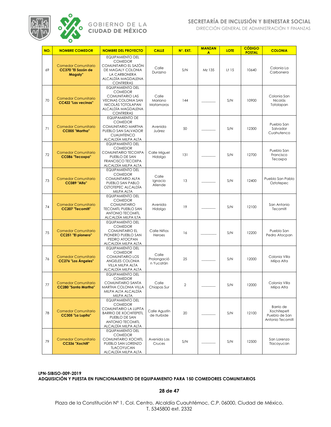

DIRECCIÓN GENERAL DE ADMINISTRACIÓN Y FINANZAS

| NO.     | <b>NOMBRE COMEDOR</b>                                       | <b>NOMBRE DEL PROYECTO</b>                                                                                                                                            | <b>CALLE</b>                      | N°. EXT. | <b>MANZAN</b><br>A | <b>LOTE</b> | <b>CÓDIGO</b><br><b>POSTAL</b> | <b>COLONIA</b>                                                |
|---------|-------------------------------------------------------------|-----------------------------------------------------------------------------------------------------------------------------------------------------------------------|-----------------------------------|----------|--------------------|-------------|--------------------------------|---------------------------------------------------------------|
| 69      | <b>Comedor Comunitario</b><br>CC370 "El Sazón de<br>Magaly" | <b>EQUIPAMIENTO DEL</b><br><b>COMEDOR</b><br>COMUNITARIO EL SAZÓN<br>DE MAGALY COLONIA<br>LA CARBONERA<br>ALCALDÍA MAGDALENA<br><b>CONTRERAS</b>                      | Calle<br>Durazno                  | S/N      | Mz 135             | Lt 15       | 10640                          | Colonia La<br>Carbonera                                       |
| 70      | <b>Comedor Comunitario</b><br><b>CC422 "Las vecinas"</b>    | <b>EQUIPAMIENTO DEL</b><br><b>COMEDOR</b><br><b>COMUNITARIO LAS</b><br><b>VECINAS COLONIA SAN</b><br>NICOLÁS TOTOLAPAN<br>ALCALDÍA MAGDALENA<br><b>CONTRERAS</b>      | Calle<br>Mariano<br>Matamoros     | 144      |                    | S/N         | 10900                          | Colonia San<br>Nicolás<br>Totolapan                           |
| 71      | <b>Comedor Comunitario</b><br><b>CC005 "Martha"</b>         | <b>EQUIPAMIENTO DE</b><br><b>COMEDOR</b><br>COMUNITARIO MARTHA<br>PUEBLO SAN SALVADOR<br><b>CUAUHTENCO</b><br>ALCALDÍA MILPA ALTA                                     | Avenida<br>Juárez                 | 50       |                    | S/N         | 12300                          | Pueblo San<br>Salvador<br>Cuahutenco                          |
| 72      | <b>Comedor Comunitario</b><br>CC086 "Tecoxpa"               | <b>EQUIPAMIENTO DEL</b><br><b>COMEDOR</b><br>COMUNITARIO TECOXPA<br>PUEBLO DE SAN<br><b>FRANCISCO TECOXPA</b><br>ALCALDÍA MILPA ALTA                                  | Calle Miguel<br>Hidalgo           | 131      |                    | S/N         | 12700                          | Pueblo San<br>Francisco<br>Tecoxpa                            |
| 73      | <b>Comedor Comunitario</b><br><b>CC089 "Alfa"</b>           | <b>EQUIPAMIENTO DEL</b><br><b>COMEDOR</b><br><b>COMUNITARIO ALFA</b><br>PUEBLO SAN PABLO<br>OZTOTEPEC ALCALDIA<br>MILPA ALTA                                          | Calle<br>Ignacio<br>Allende       | 13       |                    | S/N         | 12400                          | Pueblo San Pablo<br>Oztotepec                                 |
| 74      | <b>Comedor Comunitario</b><br>CC207 "Tecomitl"              | <b>EQUIPAMIENTO DEL</b><br><b>COMEDOR</b><br><b>COMUNITARIO</b><br><b>TECOMITL PUEBLO SAN</b><br><b>ANTONIO TECOMITL</b><br>ALCALDÍA MILPA ILTA                       | Avenida<br>Hidalgo                | 19       |                    | S/N         | 12100                          | San Antonio<br>Tecomitl                                       |
| 75      | <b>Comedor Comunitario</b><br>CC251 "El pionero"            | EQUIPAMIENTO DEL<br><b>COMEDOR</b><br><b>COMUNITARIO EL</b><br>PIONERO PUEBLO SAN<br>PEDRO ATOCPAN<br>ALCALDÍA MILPA ALTA                                             | Calle Niños<br>Heroes             | 16       |                    | S/N         | 12200                          | Pueblo San<br>Pedro Atocpan                                   |
| 76      | <b>Comedor Comunitario</b><br><b>CC276 "Los Ángeles"</b>    | <b>EQUIPAMIENTO DEL</b><br><b>COMEDOR</b><br><b>COMUNITARIO LOS</b><br>ANGELES COLONIA<br>VILLA MILPA ALTA<br>ALCALDÍA MILPA ALTA                                     | Calle<br>Prolongació<br>n Yucatán | 25       |                    | S/N         | 12000                          | Colonia Villa<br>Milpa Alta                                   |
| $77 \,$ | <b>Comedor Comunitario</b><br>CC280 "Santa Martha"          | <b>EQUIPAMIENTO DEL</b><br><b>COMEDOR</b><br><b>COMUNITARIO SANTA</b><br>MARTHA COLONIA VILLA<br>MILPA ALTA ALCALDIA<br>MILPA ALTA                                    | Calle<br>Chiapas Sur              | 2        |                    | S/N         | 12000                          | Colonia Villa<br>Milpa Alta                                   |
| 78      | <b>Comedor Comunitario</b><br>CC305 "La Lupita"             | <b>EQUIPAMIENTO DEL</b><br><b>COMEDOR</b><br>COMUNITARIO LA LUPITA<br><b>BARRIO DE XOCHITEPETL</b><br>PUEBLO DE SAN<br><b>ANTONIO TECOMITL</b><br>ALCALDÍA MILPA ALTA | Calle Agustín<br>de Iturbide      | 20       |                    | S/N         | 12100                          | Barrio de<br>Xochitepetl<br>Pueblo de San<br>Antonio Tecomitl |
| 79      | <b>Comedor Comunitario</b><br>CC336 "Xochitl"               | <b>EQUIPAMIENTO DEL</b><br><b>COMEDOR</b><br><b>COMUNITARIO XOCHITL</b><br>PUEBLO SAN LORENZO<br><b>TLACOYUCAN</b><br>ALCALDÍA MILPA ALTA                             | Avenida Las<br>Cruces             | S/N      |                    | S/N         | 12500                          | San Lorenzo<br>Tlacoyucan                                     |

**LPN-SIBISO-009-2019 ADQUISICIÓN Y PUESTA EN FUNCIONAMIENTO DE EQUIPAMIENTO PARA 150 COMEDORES COMUNITARIOS**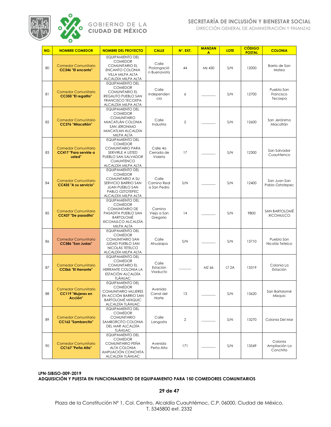

DIRECCIÓN GENERAL DE ADMINISTRACIÓN Y FINANZAS

| NO. | <b>NOMBRE COMEDOR</b>                                          | <b>NOMBRE DEL PROYECTO</b>                                                                                                                                      | <b>CALLE</b>                         | N°. EXT.       | <b>MANZAN</b><br>A | <b>LOTE</b>      | <b>CÓDIGO</b><br><b>POSTAL</b> | <b>COLONIA</b>                       |
|-----|----------------------------------------------------------------|-----------------------------------------------------------------------------------------------------------------------------------------------------------------|--------------------------------------|----------------|--------------------|------------------|--------------------------------|--------------------------------------|
| 80  | <b>Comedor Comunitario</b><br><b>CC346 "El encanto"</b>        | <b>EQUIPAMIENTO DEL</b><br><b>COMEDOR</b><br><b>COMUNITARIO EL</b><br><b>ENCANTO COLONIA</b><br>VILLA MILPA ALTA<br>ALCALDÍA MILPA ALTA                         | Calle<br>Prolongació<br>n Buenavista | 44             | Mz 430             | S/N              | 12000                          | Barrio de San<br>Mateo               |
| 81  | <b>Comedor Comunitario</b><br><b>CC350 "El regalito"</b>       | <b>EQUIPAMIENTO DEL</b><br><b>COMEDOR</b><br><b>COMUNITARIO EL</b><br>REGALITO PUEBLO SAN<br><b>FRANCISCO TECOXPA</b><br>ALCALDÍA MILPA ALTA                    | Calle<br>Independen<br>cia           | 6              |                    | S/N              | 12700                          | Pueblo San<br>Francisco<br>Tecoxpa   |
| 82  | <b>Comedor Comunitario</b><br><b>CC376 "Migcatlán"</b>         | <b>EQUIPAMIENTO DEL</b><br><b>COMEDOR</b><br><b>COMUNITARIO</b><br>MIACATLÁN COLONIA<br>SAN JERONIMO<br>MIACATLAN ALCALDÍA<br>MILPA ALTA                        | Calle<br>Industria                   | $\overline{2}$ |                    | S/N              | 12600                          | San Jerónimo<br>Miacatlán            |
| 83  | <b>Comedor Comunitario</b><br>CC417 "Para servirle a<br>usted" | <b>EQUIPAMIENTO DEL</b><br><b>COMEDOR</b><br><b>COMUNITARIO PARA</b><br>SERVIRLE A USTED<br>PUEBLO SAN SALVADOR<br><b>CUAUHTENCO</b><br>ALCALDÍA MILPA ALTA     | Calle 4a<br>Cerrada de<br>Violeta    | 17             |                    | S/N              | 12300                          | San Salvador<br>Cuauhtenco           |
| 84  | <b>Comedor Comunitario</b><br>CC435 "A su servicio"            | <b>EQUIPAMIENTO DEL</b><br><b>COMEDOR</b><br><b>COMUNITARIO A SU</b><br>SERVICIO BARRIO SAN<br><b>JUAN PUEBLO SAN</b><br>PABLO OZTOTEPEC<br>ALCALDÍA MILPA ALTA | Calle<br>Camino Real<br>a San Pedro  | S/N            |                    | S/N              | 12400                          | San Juan San<br>Pablo Oztotepec      |
| 85  | <b>Comedor Comunitario</b><br><b>CC437 "De pasadita"</b>       | <b>EQUIPAMIENTO DEL</b><br><b>COMEDOR</b><br><b>COMUNITARIO DE</b><br>PASADITA PUEBLO SAN<br><b>BARTOLOMÉ</b><br>XICOMULCO ALCALDÍA<br>MILPA ALTA               | Camino<br>Viejo a San<br>Gregorio    | 14             |                    | S/N              | 9800                           | SAN BARTOLOMÉ<br><b>XICOMULCO</b>    |
| 86  | <b>Comedor Comunitario</b><br><b>CC586 "San Judas"</b>         | <b>EQUIPAMIENTO DEL</b><br><b>COMEDOR</b><br><b>COMUNITARIO SAN</b><br>JUDAD PUEBLO SAN<br>NICOLÁS TETELCO<br>ALCALDÍA MILPA ALTA                               | Calle<br>Ahualapa                    | S/N            |                    | S/N              | 13710                          | Pueblo San<br>Nicolás Tetelco        |
| 87  | <b>Comedor Comunitario</b><br><b>CC066 "El Herrante"</b>       | <b>EQUIPAMIENTO DEL</b><br><b>COMEDOR</b><br><b>COMUNITARIO EL</b><br>HERRANTE COLONIA LA<br>ESTACIÓN ALCALDÍA<br><b>TLÁHUAC</b>                                | Calle<br>Estación<br>Viaducto        |                | MZ 66              | LT <sub>2A</sub> | 13319                          | Colonia La<br>Estación               |
| 88  | <b>Comedor Comunitario</b><br>CC119 "Mujeres en<br>Acción"     | <b>EQUIPAMIENTO DEL</b><br><b>COMEDOR</b><br><b>COMUNITARIO MUJERES</b><br>EN ACCIÓN BARRIO SAN<br><b>BARTOLOMÉ MIXQUIC</b><br>ALCALDÍA TLÁHUAC                 | Avenida<br>Canal del<br>Norte        | 13             |                    | S/N              | 13620                          | San Bartolomé<br>Mixquic             |
| 89  | <b>Comedor Comunitario</b><br><b>CC162 "Samborcito"</b>        | <b>EQUIPAMIENTO DEL</b><br><b>COMEDOR</b><br><b>COMUNITARIO</b><br>SAMBORCITO COLONIA<br>DEL MAR ALCALDÍA<br><b>TLÁHUAC</b>                                     | Calle<br>Langosta                    | 2              |                    | S/N              | 13270                          | Colonia Del Mar                      |
| 90  | <b>Comedor Comunitario</b><br>CC167 "Peña Alta"                | <b>EQUIPAMIENTO DEL</b><br><b>COMEDOR</b><br>COMUNITARIO PEÑA<br>ALTA COLONIA<br>AMPLIACIÓN CONCHITA<br>ALCALDÍA TLÁHUAC                                        | Avenida<br>Peña Alta                 | 171            |                    | S/N              | 13549                          | Colonia<br>Ampliación La<br>Conchita |

### **LPN-SIBISO-009-2019 ADQUISICIÓN Y PUESTA EN FUNCIONAMIENTO DE EQUIPAMIENTO PARA 150 COMEDORES COMUNITARIOS**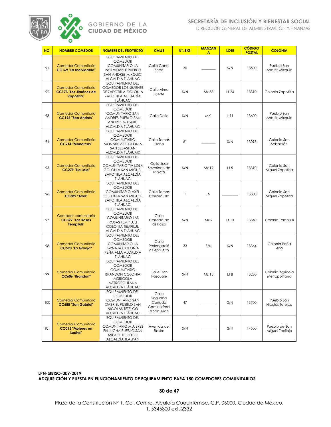

DIRECCIÓN GENERAL DE ADMINISTRACIÓN Y FINANZAS

| NO. | <b>NOMBRE COMEDOR</b>                                                    | <b>NOMBRE DEL PROYECTO</b>                                                                                                                               | <b>CALLE</b>                                             | N°. EXT. | <b>MANZAN</b><br>A | <b>LOTE</b>       | <b>CÓDIGO</b><br><b>POSTAL</b> | <b>COLONIA</b>                    |
|-----|--------------------------------------------------------------------------|----------------------------------------------------------------------------------------------------------------------------------------------------------|----------------------------------------------------------|----------|--------------------|-------------------|--------------------------------|-----------------------------------|
| 91  | <b>Comedor Comunitario</b><br>CC169 "La Inolvidable"                     | <b>EQUIPAMIENTO DEL</b><br><b>COMEDOR</b><br><b>COMUNITARIO LA</b><br><b>INOLVIDABLE PUEBLO</b><br>SAN ANDRÉS MIXQUIC<br>ALCALDÍA TLÁHUAC                | Calle Canal<br>Seco                                      | 30       |                    | S/N               | 13600                          | Pueblo San<br>Andrés Mixquic      |
| 92  | <b>Comedor Comunitario</b><br>CC173 "Los Jiménez de<br><b>Zapotitla"</b> | <b>EQUIPAMIENTO DEL</b><br><b>COMEDOR LOS JIMENEZ</b><br>DE ZAPOTITLA COLONIA<br>ZAPOTITLA ALCALDÍA<br><b>TLÁHUAC</b>                                    | Calle Alma<br>Fuerte                                     | S/N      | Mz 38              | Lt 24             | 13310                          | Colonia Zapotitla                 |
| 93  | <b>Comedor Comunitario</b><br><b>CC196 "San Andrés"</b>                  | <b>EQUIPAMIENTO DEL</b><br><b>COMEDOR</b><br><b>COMUNITARIO SAN</b><br>ANDRÉS PUEBLO SAN<br>ANDRÉS MIXQUIC<br>ALCALDÍA TLÁHUAC                           | Calle Dalia                                              | S/N      | Mz1                | $L+11$            | 13600                          | Pueblo San<br>Andrés Mixquic      |
| 94  | <b>Comedor Comunitario</b><br><b>CC214 "Monarcas"</b>                    | <b>EQUIPAMIENTO DEL</b><br><b>COMEDOR</b><br><b>COMUNITARIO</b><br>MONARCAS COLONIA<br>SAN SEBASTÍAN<br>ALCALDÍA TLÁHUAC                                 | Calle Tomás<br>Elena                                     | 61       |                    | S/N               | 13093                          | Colonia San<br>Sebastián          |
| 95  | <b>Comedor Comunitario</b><br>CC279 "Tía Lola"                           | <b>EQUIPAMIENTO DEL</b><br><b>COMEDOR</b><br>COMUNITARIO TIA LOLA<br><b>COLONIA SAN MIGUEL</b><br>ZAPOTITLA ALCALDÍA<br><b>TLÁHUAC</b>                   | Calle José<br>Severiano de<br>la Sota                    | S/N      | Mz 12              | $L$ † 5           | 13310                          | Colonia San<br>Miguel Zapotitla   |
| 96  | <b>Comedor Comunitario</b><br><b>CC389 "Axel"</b>                        | <b>EQUIPAMIENTO DEL</b><br><b>COMEDOR</b><br><b>COMUNITARIO AXEL</b><br>COLONIA SAN MIGUEL<br>ZAPOTITLA ALCALDÍA<br><b>TLÁHUAC</b>                       | Calle Tomas<br>Carrasquilla                              | 1        | A                  |                   | 13300                          | Colonia San<br>Miguel Zapotitla   |
| 97  | Comedor comunitario<br><b>CC397 "Las Rosas</b><br>Tempiluli"             | <b>EQUIPAMIENTO DEL</b><br><b>COMEDOR</b><br><b>COMUNITARIO LAS</b><br>ROSAS TEMPILULI<br><b>COLONIA TEMPILULI</b><br>ALCALDÍA TLÁHUAC                   | Calle<br>Cerrada de<br>las Rosas                         | S/N      | Mz <sub>2</sub>    | L <sup>†</sup> 13 | 13360                          | Colonia Tempiluli                 |
| 98  | <b>Comedor Comunitario</b><br><b>CC590 "La Granja"</b>                   | <b>EQUIPAMIENTO DEL</b><br><b>COMEDOR</b><br><b>COMUNITARIO LA</b><br><b>GRNAJA COLONIA</b><br>PEÑA ALTA ALCALDÍA<br><b>TLÁHUAC</b>                      | Calle<br>Prolongació<br>n Peña Alta                      | 33       | S/N                | S/N               | 13364                          | Colonia Peña<br>Alta              |
| 99  | <b>Comedor Comunitario</b><br>CC606 "Brandon"                            | <b>EQUIPAMIENTO DEL</b><br><b>COMEDOR</b><br><b>COMUNITARIO</b><br><b>BRANDON COLONIA</b><br><b>AGRÍCOLA</b><br><b>METROPOLITANA</b><br>ALCALDÍA TLÁHUAC | Calle Don<br>Pascuale                                    | S/N      | Mz 15              | L†8               | 13280                          | Colonia Agrícola<br>Metropolitana |
| 100 | <b>Comedor Comunitario</b><br><b>CC688 "San Gabriel"</b>                 | EQUIPAMIENTO DEL<br><b>COMEDOR</b><br><b>COMUNITARIO SAN</b><br><b>GABRIEL PUEBLO SAN</b><br>NICOLÁS TETELCO<br>ALCALDÍA TLÁHUAC                         | Calle<br>Segunda<br>Cerrada<br>Camino Real<br>a San Juan | 47       |                    | S/N               | 13700                          | Pueblo San<br>Nicolás Tetelco     |
| 101 | <b>Comedor Comunitario</b><br><b>CC015 "Mujeres en</b><br>Lucha"         | <b>EQUIPAMIENTO DEL</b><br><b>COMEDOR</b><br>COMUNITARIO MUJERES<br>EN LUCHA PUEBLO SAN<br>MIGUEL TOPILEJO<br>ALCALDÍA TLALPAN                           | Avenida del<br>Rastro                                    | S/N      |                    | S/N               | 14500                          | Pueblo de San<br>Miguel Topilejo  |

**LPN-SIBISO-009-2019 ADQUISICIÓN Y PUESTA EN FUNCIONAMIENTO DE EQUIPAMIENTO PARA 150 COMEDORES COMUNITARIOS**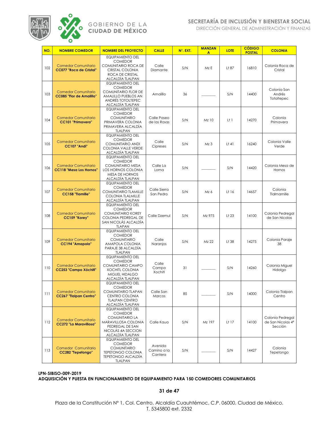

DIRECCIÓN GENERAL DE ADMINISTRACIÓN Y FINANZAS

| NO. | <b>NOMBRE COMEDOR</b>                                         | <b>NOMBRE DEL PROYECTO</b>                                                                                                                             | <b>CALLE</b>                      | N°. EXT. | <b>MANZAN</b><br>A | <b>LOTE</b>       | <b>CÓDIGO</b><br><b>POSTAL</b> | <b>COLONIA</b>                                   |
|-----|---------------------------------------------------------------|--------------------------------------------------------------------------------------------------------------------------------------------------------|-----------------------------------|----------|--------------------|-------------------|--------------------------------|--------------------------------------------------|
| 102 | <b>Comedor Comunitario</b><br><b>CC077 "Roca de Cristal"</b>  | <b>EQUIPAMIENTO DEL</b><br><b>COMEDOR</b><br>COMUNITARIO ROCA DE<br>CRISTAL COLONIA<br>ROCA DE CRISTAL<br>ALCALDÍA TLALPAN                             | Calle<br>Diamante                 | S/N      | Mz E               | Lt 87             | 16810                          | Colonia Roca de<br>Cristal                       |
| 103 | <b>Comedor Comunitario</b><br><b>CC085 "Flor de Amalillo"</b> | <b>EQUIPAMIENTO DEL</b><br><b>COMEDOR</b><br><b>COMUNITARIO FLOR DE</b><br>AMALILLO PUEBLOS AN<br>ANDRÉS TOTOLTEPEC<br>ALCALDÍA TLALPAN                | Amalillo                          | 36       |                    | S/N               | 14400                          | Colonia San<br>Andrés<br>Totoltepec              |
| 104 | <b>Comedor Comunitario</b><br>CC101 "Primavera"               | <b>EQUIPAMIENTO DEL</b><br><b>COMEDOR</b><br><b>COMUNITARIO</b><br>PRIMAVERA COLONIA<br>PRIMAVERA ALCALDÍA<br>TLALPAN                                  | Calle Paseo<br>de las Rosas       | S/N      | Mz 10              | $L+1$             | 14270                          | Colonia<br>Primavera                             |
| 105 | <b>Comedor Comunitario</b><br>CC107 "Andi"                    | <b>EQUIPAMIENTO DEL</b><br><b>COMEDOR</b><br>COMUNITARIO ANDI<br><b>COLONIA VALLE VERDE</b><br>ALCALDÍA TLALPAN                                        | Calle<br>Cipreses                 | S/N      | Mz <sub>3</sub>    | L†41              | 16240                          | Colonia Valle<br>Verde                           |
| 106 | <b>Comedor Comunitario</b><br><b>CC118 "Mesa Los Hornos"</b>  | <b>EQUIPAMIENTO DEL</b><br><b>COMEDOR</b><br><b>COMUNITARIO MESA</b><br><b>LOS HORNOS COLONIA</b><br><b>MESA DE HORNOS</b><br>ALCALDÍA TLALPAN         | Calle La<br>Loma                  | S/N      |                    | S/N               | 14420                          | Colonia Mesa de<br>Hornos                        |
| 107 | <b>Comedor Comunitario</b><br><b>CC158 "Tlamille"</b>         | <b>EQUIPAMIENTO DEL</b><br><b>COMEDOR</b><br><b>COMUNITARIO TLAMILLE</b><br><b>COLONIA TLALMILLE</b><br>ALCALDÍA TLALPAN                               | Calle Sierra<br>San Pedro         | S/N      | Mz 6               | Lt 16             | 14657                          | Colonia<br>Tlalmamille                           |
| 108 | <b>Comedor Comunitario</b><br>CC159 "Korey"                   | <b>EQUIPAMIENTO DEL</b><br><b>COMEDOR</b><br><b>COMUNITARIO KOREY</b><br>COLONIA PEDREGAL DE<br>SAN NICOLÁS ALCALDÍA<br><b>TLAPAN</b>                  | Calle Dzemul                      | S/N      | Mz 975             | L <sup>†</sup> 23 | 14100                          | Colonia Pedregal<br>de San Nicolas               |
| 109 | <b>Comedor Comunitario</b><br><b>CC194 "Amapola"</b>          | <b>EQUIPAMIENTO DEL</b><br><b>COMEDOR</b><br><b>COMUNITARIO</b><br>AMAPOLA COLONIA<br>PARAJE 38 ALCALDÍA<br><b>TLALPAN</b>                             | Calle<br>Naranjos                 | S/N      | Mz 22              | Lt 38             | 14275                          | Colonia Paraje<br>38                             |
| 110 | <b>Comedor Comunitario</b><br><b>CC253 "Campo Xóchitl"</b>    | <b>EQUIPAMIENTO DEL</b><br><b>COMEDOR</b><br>COMUNITARIO CAMPO<br><b>XOCHITL COLONIA</b><br>MIGUEL HIDALGO<br>ALCALDÍA TLALPAN                         | Calle<br>Campo<br>Xochitl         | 31       |                    | S/N               | 14260                          | Colonia Miguel<br>Hidalgo                        |
| 111 | <b>Comedor Comunitario</b><br><b>CC267 "Tialpan Centro"</b>   | <b>EQUIPAMIENTO DEL</b><br><b>COMEDOR</b><br>COMUNITARIO TLAPAN<br>CENTRO COLONIA<br><b>TLALPAN CENTRO</b><br>ALCALDÍA TLALPAN                         | Calle San<br>Marcos               | 85       |                    | S/N               | 14000                          | Colonia Tlalpan<br>Centro                        |
| 112 | <b>Comedor Comunitario</b><br><b>CC272 "La Maravillosa"</b>   | <b>EQUIPAMIENTO DEL</b><br><b>COMEDOR</b><br><b>COMUNITARIO LA</b><br>MARAVILLOSA COLONIA<br>PEDREGAL DE SAN<br>NICOLÁS 4A SECCION<br>ALCALDÍA TLALPAN | Calle Kaua                        | S/N      | Mz 197             | Lt 17             | 14100                          | Colonia Pedregal<br>de San Nicolas 4ª<br>Sección |
| 113 | Comedor Comunitario<br>CC282 "Tepetongo"                      | <b>EQUIPAMIENTO DEL</b><br><b>COMEDOR</b><br><b>COMUNITARIO</b><br><b>TEPETONGO COLONIA</b><br><b>TEPETONGO ALCALDÍA</b><br><b>TLALPAN</b>             | Avenida<br>Camino a la<br>Cantera | S/N      |                    | S/N               | 14427                          | Colonia<br>Tepetongo                             |

### **LPN-SIBISO-009-2019 ADQUISICIÓN Y PUESTA EN FUNCIONAMIENTO DE EQUIPAMIENTO PARA 150 COMEDORES COMUNITARIOS**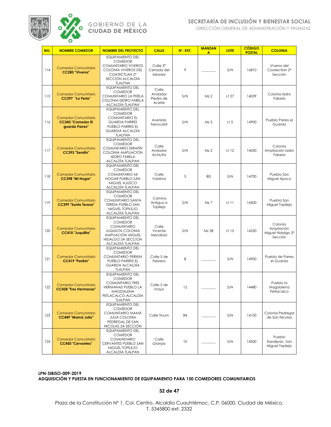

DIRECCIÓN GENERAL DE ADMINISTRACIÓN Y FINANZAS

| NO. | <b>NOMBRE COMEDOR</b>                                                    | <b>NOMBRE DEL PROYECTO</b>                                                                                                                                   | <b>CALLE</b>                                   | N°. EXT. | <b>MANZAN</b><br>A | <b>LOTE</b>       | <b>CÓDIGO</b><br><b>POSTAL</b> | <b>COLONIA</b>                                                    |
|-----|--------------------------------------------------------------------------|--------------------------------------------------------------------------------------------------------------------------------------------------------------|------------------------------------------------|----------|--------------------|-------------------|--------------------------------|-------------------------------------------------------------------|
| 114 | <b>Comedor Comunitario</b><br>CC283 "Viveros"                            | <b>EQUIPAMIENTO DEL</b><br><b>COMEDOR</b><br><b>COMUNITARIO VIVEROS</b><br><b>COLONIA VIVEROS DEL</b><br>COATECTLAN 2°<br>SECCIÓN ALCALDÍA<br><b>TLALPAN</b> | Calle 2 <sup>a</sup><br>Cerrada del<br>Mirador | 9        |                    | S/N               | 16810                          | Viveros del<br>Coatectian 2 <sup>a</sup><br>Sección               |
| 115 | <b>Comedor Comunitario</b><br>CC297 "La Perla"                           | <b>EQUIPAMIENTO DEL</b><br><b>COMEDOR</b><br>COMUNITARIO LA PERLA<br>COLONIA ISIDRO FABELA<br>ALCALDÍA TLALPAN                                               | Calle<br>Andador<br>Piedra de<br>Aceite        | S/N      | Mz 2               | Lt 27             | 14039                          | Colonia Isidro<br>Fabela                                          |
| 116 | <b>Comedor Comunitario</b><br><b>CC343 "Comedor El</b><br>guarda Parres" | <b>EQUIPAMIENTO DEL</b><br><b>COMEDOR</b><br><b>COMUNITARIO EL</b><br><b>GUARDA PARRES</b><br>PUEBLO PARRES EL<br><b>GUARDIA ALCALDÍA</b><br><b>TLALPAN</b>  | Avenida<br>Ferrocarril                         | S/N      | Mz <sub>2</sub>    | L <sub>1</sub> 5  | 14900                          | Pueblo Parres el<br>Guarda                                        |
| 117 | <b>Comedor Comunitario</b><br>CC393 "Serafín"                            | <b>EQUIPAMIENTO DEL</b><br><b>COMEDOR</b><br>COMUNITARIO SERAFÍN<br>COLONIA AMPLIACIÓN<br><b>ISIDRO FABELA</b><br>ALCALDÍA TLALPAN                           | Calle<br>Andador<br>Achiutla                   | S/N      | Mz <sub>2</sub>    | L <sup>†</sup> 12 | 14030                          | Colonia<br>Ampliación Isidro<br>Fabela                            |
| 118 | <b>Comedor Comunitario</b><br>CC398 "Mi Hogar"                           | <b>EQUIPAMIENTO DEL</b><br><b>COMEDOR</b><br><b>COMUNITARIO MI</b><br><b>HOGAR PUEBLO SAN</b><br>MIGUEL AJUSCO<br>ALCALDÍA TLALPAN                           | Calle<br>Valdivia                              | 5        | <b>BIS</b>         | S/N               | 14700                          | Pueblo San<br>Miguel Ajusco                                       |
| 119 | <b>Comedor Comunitario</b><br><b>CC399 "Santa Teresa"</b>                | <b>EQUIPAMIENTO DEL</b><br><b>COMEDOR</b><br><b>COMUNITARIO SANTA</b><br><b>TERESA PUEBLO SAN</b><br>MIGUEL TOPILEJO<br>ALCALDÍA TLALPAN                     | Camino<br>Antiguo a<br>Topilejo                | S/N      | Mz 7               | $L+11$            | 14500                          | Pueblo San<br>Miguel Topilejo                                     |
| 120 | <b>Comedor Comunitario</b><br><b>CC410 "Juquilita"</b>                   | <b>EQUIPAMIENTO DEL</b><br><b>COMEDOR</b><br><b>COMUNITARIO</b><br><b>JUQUILITA COLONIA</b><br>AMPLIACIÓN MIGUEL<br>HIDALGO 3A SECCION<br>ALCALDÍA TLALPAN   | Calle<br>Vicente<br>Mendiola                   | S/N      | Mz 38              | L <sup>†</sup> 15 | 14250                          | Colonia<br>Ampliación<br>Miguel Hidalgo 3 <sup>ª</sup><br>Sección |
| 121 | <b>Comedor Comunitario</b><br>CC419 "Perikin"                            | <b>EQUIPAMIENTO DEL</b><br><b>COMEDOR</b><br><b>COMUNITARIO PERIKIN</b><br>PUEBLO PARRES EL<br><b>GUARDA ALCALDÍA</b><br><b>TLALPAN</b>                      | Calle 5 de<br>Febrero                          | 8        |                    | S/N               | 14900                          | Pueblo de Parres<br>el Guarda                                     |
| 122 | <b>Comedor Comunitario</b><br><b>CC428 "Tres Hermanas"</b>               | <b>EQUIPAMIENTO DEL</b><br><b>COMEDOR</b><br><b>COMUNITARIO TRES</b><br>HERMANAS PUEBLO LA<br><b>MAGDALENA</b><br>PETLACALCO ALCALDÍA<br><b>TLALPAN</b>      | Calle 5 de<br>mayo                             | 12       |                    | S/N               | 14480                          | Pueblo la<br>Magdalena<br>Petlacalco                              |
| 123 | <b>Comedor Comunitario</b><br><b>CC449 "Mamá Julia"</b>                  | <b>EQUIPAMIENTO DEL</b><br><b>COMEDOR</b><br>COMUNITARIO MAMÁ<br><b>JULIA COLONIA</b><br>PEDREGAL DE SAN<br>NICOLAS 2A SECCIÓN                               | Calle Tinum                                    | 84       |                    | S/N               | 14100                          | Colonia Pedregal<br>de San Nicolas                                |
| 124 | <b>Comedor Comunitario</b><br><b>CC450 "Cervantes"</b>                   | <b>EQUIPAMIENTO DEL</b><br><b>COMEDOR</b><br><b>COMUNITARIO</b><br>CERVANTES PUEBLO SAN<br>MIGUEL TOPILEJO<br>ALCALDÍA TLALPAN                               | Calle<br>Granjas                               | 10       |                    | S/N               | 14500                          | Pueblo<br>Xaxalipac, San<br>Miguel Topilejo                       |

**LPN-SIBISO-009-2019 ADQUISICIÓN Y PUESTA EN FUNCIONAMIENTO DE EQUIPAMIENTO PARA 150 COMEDORES COMUNITARIOS**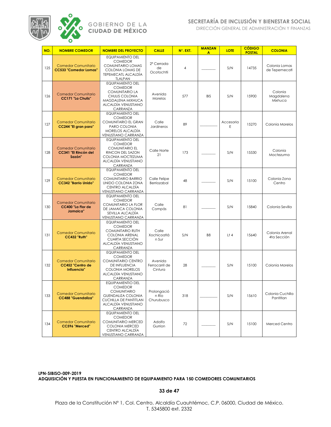

DIRECCIÓN GENERAL DE ADMINISTRACIÓN Y FINANZAS

| NO. | <b>NOMBRE COMEDOR</b>                                         | <b>NOMBRE DEL PROYECTO</b>                                                                                                                                       | <b>CALLE</b>                               | N°. EXT. | <b>MANZAN</b><br>A | <b>LOTE</b>    | <b>CÓDIGO</b><br><b>POSTAL</b> | <b>COLONIA</b>                  |
|-----|---------------------------------------------------------------|------------------------------------------------------------------------------------------------------------------------------------------------------------------|--------------------------------------------|----------|--------------------|----------------|--------------------------------|---------------------------------|
| 125 | <b>Comedor Comunitario</b><br><b>CC533 "Comedor Lomas"</b>    | <b>EQUIPAMIENTO DEL</b><br><b>COMEDOR</b><br>COMUNITARIO LOMAS<br>COLONIA LOMAS DE<br><b>TEPEMECATL ALCALDIA</b><br><b>TLALPAN</b>                               | 2 <sup>a</sup> Cerrada<br>de<br>Ocotochtli | 4        |                    | S/N            | 14735                          | Colonia Lomas<br>de Tepemecatl  |
| 126 | <b>Comedor Comunitario</b><br><b>CC171 "La Chulis"</b>        | <b>EQUIPAMIENTO DEL</b><br><b>COMEDOR</b><br><b>COMUNITARIO LA</b><br>CHULIS COLONIA<br>MAGDALENA MIXHUCA<br>ALCALDÍA VENUSTIANO<br>CARRANZA                     | Avenida<br>Morelos                         | 577      | <b>BIS</b>         | S/N            | 15900                          | Colonia<br>Magdalena<br>Mixhuca |
| 127 | <b>Comedor Comunitario</b><br>CC244 "El gran paro"            | <b>EQUIPAMIENTO DEL</b><br><b>COMEDOR</b><br>COMUNITARIO EL GRAN<br>PARO COLONIA<br>MORELOS ALCALDIA<br><b>VENUSTIANO CARRANZA</b>                               | Calle<br>Jardineros                        | 89       |                    | Accesoria<br>Ε | 15270                          | Colonia Morelos                 |
| 128 | <b>Comedor Comunitario</b><br>CC341 "El Rincón del<br>Sazón"  | <b>EQUIPAMIENTO DEL</b><br><b>COMEDOR</b><br><b>COMUNITARIO EL</b><br>RINCON DEL SAZON<br>COLONIA MOCTEZUMA<br>ALCALDÍA VENUSTIANO<br>CARRANZA                   | Calle Norte<br>21                          | 173      |                    | S/N            | 15530                          | Colonia<br>Moctezuma            |
| 129 | <b>Comedor Comunitario</b><br><b>CC342 "Barrio Unido"</b>     | <b>EQUIPAMIENTO DEL</b><br><b>COMEDOR</b><br>COMUNITARIO BARRIO<br>UNIDO COLONIA ZONA<br>CENTRO ALCALDÍA<br><b>VENUSTIANO CARRANZA</b>                           | Calle Felipe<br>Berriozabal                | 48       |                    | S/N            | 15100                          | Colonia Zona<br>Centro          |
| 130 | <b>Comedor Comunitario</b><br>CC400 "La Flor de<br>Jamaica"   | <b>EQUIPAMIENTO DEL</b><br><b>COMEDOR</b><br><b>COMUNITARIO LA FLOR</b><br>DE JAMAICA COLONIA<br>SEVILLA ALCALDÍA<br>VENUSTIANO CARRANZA                         | Calle<br>Compás                            | 81       |                    | S/N            | 15840                          | Colonia Sevilla                 |
| 131 | <b>Comedor Comunitario</b><br>CC432 "Ruth"                    | <b>EQUIPAMIENTO DEL</b><br><b>COMEDOR</b><br><b>COMUNITARIO RUTH</b><br><b>COLONIA ARENAL</b><br>CUARTA SECCIÓN<br>ALCALDÍA VENUSTIANO<br>CARRANZA               | Calle<br>Xochicoatlá<br>n Sur              | S/N      | B <sub>8</sub>     | L†4            | 15640                          | Colonia Arenal<br>4ta Sección   |
| 132 | <b>Comedor Comunitario</b><br>CC452 "Centro de<br>Influencia" | <b>EQUIPAMIENTO DEL</b><br><b>COMEDOR</b><br>COMUNITARIO CENTRO<br>DE INFLUENCIA<br><b>COLONIA MORELOS</b><br>ALCALDÍA VENUSTIANO<br>CARRANZA                    | Avenida<br>Ferrocarril de<br>Cintura       | 28       |                    | S/N            | 15100                          | Colonia Morelos                 |
| 133 | <b>Comedor Comunitario</b><br><b>CC488 "Guendaliza"</b>       | <b>EQUIPAMIENTIO DEL</b><br><b>COMEDOR</b><br><b>COMUNITARIO</b><br><b>GUENDALIZA COLONIA</b><br><b>CUCHILLA DE PANTITLAN</b><br>ALCALDÍA VENUSTIANO<br>CARRANZA | Prolongació<br>n Río<br>Churubusco         | 318      |                    | S/N            | 15610                          | Colonia Cuchilla<br>Pantitlan   |
| 134 | <b>Comedor Comunitario</b><br>CC596 "Merced"                  | <b>EQUIPAMIENTO DEL</b><br><b>COMEDOR</b><br>COMUNITARIO MERCED<br>COLONIA MERCED<br>CENTRO ALCALDÍA<br>VENUSTIANO CARRANZA                                      | Adolfo<br>Gurrion                          | 72       |                    | S/N            | 15100                          | Merced Centro                   |

**LPN-SIBISO-009-2019 ADQUISICIÓN Y PUESTA EN FUNCIONAMIENTO DE EQUIPAMIENTO PARA 150 COMEDORES COMUNITARIOS**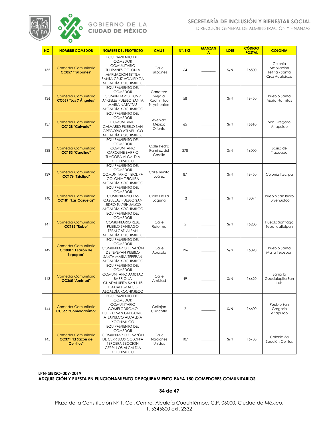

DIRECCIÓN GENERAL DE ADMINISTRACIÓN Y FINANZAS

| NO. | <b>NOMBRE COMEDOR</b>                                          | <b>NOMBRE DEL PROYECTO</b>                                                                                                                                          | <b>CALLE</b>                                      | N°. EXT. | <b>MANZAN</b><br>A | <b>LOTE</b> | <b>CÓDIGO</b><br><b>POSTAL</b> | <b>COLONIA</b>                                             |
|-----|----------------------------------------------------------------|---------------------------------------------------------------------------------------------------------------------------------------------------------------------|---------------------------------------------------|----------|--------------------|-------------|--------------------------------|------------------------------------------------------------|
| 135 | <b>Comedor Comunitario</b><br><b>CC057 "Tulipanes"</b>         | <b>EQUIPAMIENTO DEL</b><br><b>COMEDOR</b><br><b>COMUNITARIO</b><br><b>TULIPANES COLONIA</b><br>AMPLIACIÓN TETITLA<br>SANTA CRUZ ACALPIXCA<br>ALCALDÍA XOCHIMILCO    | Calle<br>Tulipanes                                | 64       |                    | S/N         | 16500                          | Colonia<br>Ampliación<br>Tetitla - Santa<br>Cruz Acalpixca |
| 136 | <b>Comedor Comunitario</b><br>CC059 "Los 7 Ángeles"            | <b>EQUIPAMIENTO DEL</b><br><b>COMEDOR</b><br>COMUNITARIO LOS 7<br>ANGELES PUEBLO SANTA<br>MARIA NATIVITAS<br>ALCALDÍA XOCHIMILCO                                    | Carretera<br>vieja a<br>Xochimilco<br>Tulyehualco | 58       |                    | S/N         | 16450                          | Pueblo Santa<br>María Nativitas                            |
| 137 | <b>Comedor Comunitario</b><br><b>CC138 "Calvario"</b>          | <b>EQUIPAMIENTO DEL</b><br><b>COMEDOR</b><br><b>COMUNITARIO</b><br>CALVARIO PUEBLO SAN<br><b>GREGORIO ATLAPULCO</b><br>ALCALDÍA XOCHIMILCO                          | Avenida<br>México<br>Oriente                      | 65       |                    | S/N         | 16610                          | San Gregorio<br>Atlapulco                                  |
| 138 | <b>Comedor Comunitario</b><br><b>CC153 "Caroline"</b>          | <b>EQUIPAMIENTO DEL</b><br><b>COMEDOR</b><br><b>COMUNITARIO</b><br><b>CAROLINE BARRIO</b><br><b>TLACOPA ALCALDÍA</b><br><b>XOCHIMILCO</b>                           | Calle Pedro<br>Ramírez del<br>Castillo            | 278      |                    | S/N         | 16000                          | Barrio de<br>Tlacoapa                                      |
| 139 | <b>Comedor Comunitario</b><br><b>CC176 "Tziclipa"</b>          | <b>EQUIPAMIENTO DEL</b><br><b>COMEDOR</b><br>COMUNITARIO TIZICLIPA<br><b>COLONIA TIZICLIPA</b><br>ALCALDÍA XOCHIMILCO                                               | Calle Benito<br>Juárez                            | 87       |                    | S/N         | 16450                          | Colonia Tiziclipa                                          |
| 140 | <b>Comedor Comunitario</b><br><b>CC181 "Las Cazuelas"</b>      | <b>EQUIPAMIENTO DEL</b><br><b>COMEDOR</b><br><b>COMUNITARIO LAS</b><br>CAZUELAS PUEBLO SAN<br><b>ISIDRO TULYEHUALCO</b><br>ALCALDÍA XOCHIMILCO                      | Calle De La<br>Laguna                             | 13       |                    | S/N         | 13094                          | Pueblo San Isidro<br>Tulyehualco                           |
| 4   | <b>Comedor Comunitario</b><br><b>CC183 "Rebe"</b>              | <b>EQUIPAMIENTO DEL</b><br><b>COMEDOR</b><br><b>COMUNITARIO REBE</b><br>PUEBLO SANTIAGO<br>TEPALCATLALPAN<br>ALCALDÍA XOCHIMILCO                                    | Calle<br>Reforma                                  | 5        |                    | S/N         | 16200                          | Pueblo Santiago<br>TepatIcatIalpan                         |
| 142 | <b>Comedor Comunitario</b><br>CC308 "El sazón de<br>Tepepan"   | <b>EQUIPAMIENTO DEL</b><br><b>COMEDOR</b><br>COMUNITARIO EL SAZÓN<br>DE TEPEPAN PUEBLO<br>SANTA MARÍA TEPEPAN<br>ALCALDÍA XOCHIMILCO                                | Calle<br>Abasolo                                  | 126      |                    | S/N         | 16020                          | Pueblo Santa<br>María Tepepan                              |
| 143 | <b>Comedor Comunitario</b><br>CC365 "Amistad"                  | <b>EQUIPAMIENTO DEL</b><br><b>COMEDOR</b><br>COMUNITARIO AMISTAD<br><b>BARRIO LA</b><br><b>GUADALUPITA SAN LUIS</b><br><b>TLAXIALTEMALCO</b><br>ALCALDÍA XOCHIMILCO | Calle<br>Amistad                                  | 49       |                    | S/N         | 16620                          | Barrio la<br>Guadalupita San<br>Luis                       |
| 144 | <b>Comedor Comunitario</b><br>CC366 "Comelodrómo"              | <b>EQUIPAMIENTO DEL</b><br><b>COMEDOR</b><br><b>COMUNITARIO</b><br><b>COMELODROMO</b><br>PUEBLO SAN GREGORIO<br>ATLAPULCO ALCALDÍA<br><b>XOCHIMILCO</b>             | Callejón<br>Cuacotle                              | 2        |                    | S/N         | 16600                          | Pueblo San<br>Gregorio<br>Atlapulco                        |
| 145 | <b>Comedor Comunitario</b><br>CC371 "El Sazón de<br>Cerrillos" | <b>EQUIPAMIENTO DEL</b><br><b>COMEDOR</b><br>COMUNITARIO EL SAZÓN<br>DE CERRILLOS COLONIA<br><b>TERCERA SECCION</b><br>CERRILLOS ALCALDÍA<br><b>XOCHIMILCO</b>      | Calle<br>Naciones<br>Unidas                       | 107      |                    | S/N         | 16780                          | Colonia 3a<br>Sección Cerillos                             |

**LPN-SIBISO-009-2019 ADQUISICIÓN Y PUESTA EN FUNCIONAMIENTO DE EQUIPAMIENTO PARA 150 COMEDORES COMUNITARIOS**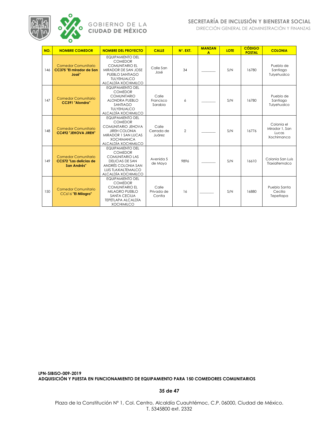

## **SECRETARÍA DE INCLUSIÓN Y BIENESTAR SOCIAL**

DIRECCIÓN GENERAL DE ADMINISTRACIÓN Y FINANZAS

| NO. | <b>NOMBRE COMEDOR</b>                                               | <b>NOMBRE DEL PROYECTO</b>                                                                                                                                               | <b>CALLE</b>                  | N°. EXT.       | <b>MANZAN</b><br>$\overline{A}$ | <b>LOTE</b> | <b>CÓDIGO</b><br><b>POSTAL</b> | <b>COLONIA</b>                                      |
|-----|---------------------------------------------------------------------|--------------------------------------------------------------------------------------------------------------------------------------------------------------------------|-------------------------------|----------------|---------------------------------|-------------|--------------------------------|-----------------------------------------------------|
| 146 | <b>Comedor Comunitario</b><br>CC375 "El mirador de San<br>José"     | <b>EQUIPAMIENTO DEL</b><br><b>COMEDOR</b><br><b>COMUNITARIO EL</b><br>MIRADOR DE SAN JOSE<br>PUEBLO SANTIAGO<br>TULYEHUALCO<br>ALCALDÍA XOCHIMILCO                       | Calle San<br>José             | 34             |                                 | S/N         | 16780                          | Pueblo de<br>Santiago<br>Tulyehualco                |
| 147 | <b>Comedor Comunitario</b><br>CC391 "Alondra"                       | <b>EQUIPAMIENTO DEL</b><br><b>COMEDOR</b><br><b>COMUNITARIO</b><br><b>ALONDRA PUEBLO</b><br>SANTIAGO<br><b>TULYFHUALCO</b><br>ALCALDÍA XOCHIMILCO                        | Calle<br>Francisco<br>Sarabia | 6              |                                 | S/N         | 16780                          | Pueblo de<br>Santiago<br>Tulyehualco                |
| 148 | Comedor Comunitario<br><b>CC492 "JEHOVA JIREH"</b>                  | <b>EQUIPAMIENTO DEL</b><br><b>COMEDOR</b><br>COMUNITARIO JEHOVA<br><b>JIREH COLONIA</b><br>MIRADOR 1 SAN LUCAS<br><b>XOCHIMANCA</b><br>ALCALDÍA XOCHIMILCO               | Calle<br>Cerrada de<br>Juárez | $\overline{2}$ |                                 | S/N         | 16776                          | Colonia el<br>Mirador 1, San<br>Lucas<br>Xochimanca |
| 149 | <b>Comedor Comunitario</b><br>CC572 "Las delicias de<br>San Andrés" | <b>EQUIPAMIENTO DEL</b><br><b>COMEDOR</b><br><b>COMUNITARIO LAS</b><br><b>DELICIAS DE SAN</b><br>ANDRÉS COLONIA SAN<br><b>LUIS TLAXIALTEMALCO</b><br>ALCALDÍA XOCHIMILCO | Avenida 5<br>de Mayo          | 9896           |                                 | S/N         | 16610                          | Colonia San Luis<br>Tlaxialtemalco                  |
| 150 | <b>Comedor Comunitario</b><br>CC616 "El Milagro"                    | <b>EQUIPAMIENTO DEL</b><br><b>COMEDOR</b><br><b>COMUNITARIO EL</b><br><b>MILAGRO PUEBLO</b><br><b>SANTA CECILIA</b><br><b>TEPETLAPA ALCALDÍA</b><br><b>XOCHIMILCO</b>    | Calle<br>Privada de<br>Contla | 16             |                                 | S/N         | 16880                          | Pueblo Santa<br>Cecilia<br>Tepetlapa                |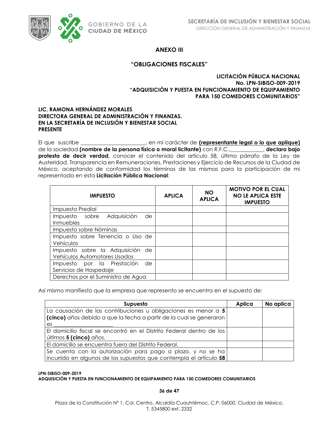

## **ANEXO III**

### **"OBLIGACIONES FISCALES"**

### **LICITACIÓN PÚBLICA NACIONAL No. LPN-SIBISO-009-2019 "ADQUISICIÓN Y PUESTA EN FUNCIONAMIENTO DE EQUIPAMIENTO PARA 150 COMEDORES COMUNITARIOS"**

### **LIC. RAMONA HERNÁNDEZ MORALES DIRECTORA GENERAL DE ADMINISTRACIÓN Y FINANZAS. EN LA SECRETARÍA DE INCLUSIÓN Y BIENESTAR SOCIAL PRESENTE**

El que suscribe \_\_\_\_\_\_\_\_\_\_\_\_\_\_\_\_\_\_\_\_\_\_\_\_, en mi carácter de **(representante legal o lo que aplique)** de la sociedad **(nombre de la persona física o moral licitante)** con R.F.C.,\_\_\_\_\_\_\_\_\_\_\_\_, **declaro bajo protesta de decir verdad,** conocer el contenido del artículo 58, último párrafo de la Ley de Austeridad, Transparencia en Remuneraciones, Prestaciones y Ejercicio de Recursos de la Ciudad de México, aceptando de conformidad los términos de las mismas para la participación de mi representada en esta **Licitación Pública Nacional**:

| <b>IMPUESTO</b>                                                  | <b>APLICA</b> | <b>NO</b><br><b>APLICA</b> | <b>MOTIVO POR EL CUAL</b><br><b>NO LE APLICA ESTE</b><br><b>IMPUESTO</b> |
|------------------------------------------------------------------|---------------|----------------------------|--------------------------------------------------------------------------|
| Impuesto Predial                                                 |               |                            |                                                                          |
| Adquisición<br>Impuesto sobre<br>de<br>Inmuebles                 |               |                            |                                                                          |
| Impuesto sobre Nóminas                                           |               |                            |                                                                          |
| Impuesto sobre Tenencia o Uso de<br>Vehículos                    |               |                            |                                                                          |
| Impuesto sobre la Adquisición de<br>Vehículos Automotores Usados |               |                            |                                                                          |
| Impuesto por la Prestación<br>de<br>Servicios de Hospedaje       |               |                            |                                                                          |
| Derechos por el Suministro de Agua                               |               |                            |                                                                          |

Así mismo manifiesto que la empresa que represento se encuentra en el supuesto de:

| Supuesto                                                             | Aplica | No aplica |
|----------------------------------------------------------------------|--------|-----------|
| La causación de las contribuciones u obligaciones es menor a 5       |        |           |
| (cinco) años debido a que la fecha a partir de la cual se generaron  |        |           |
| es.                                                                  |        |           |
| El domicilio fiscal se encontró en el Distrito Federal dentro de los |        |           |
| últimos 5 (cinco) años.                                              |        |           |
| El domicilio se encuentra fuera del Distrito Federal.                |        |           |
| Se cuenta con la autorización para pago a plazo, y no se ha          |        |           |
| incurrido en algunos de los supuestos que contempla el artículo 58   |        |           |

#### **LPN-SIBISO-009-2019 ADQUISICIÓN Y PUESTA EN FUNCIONAMIENTO DE EQUIPAMIENTO PARA 150 COMEDORES COMUNITARIOS**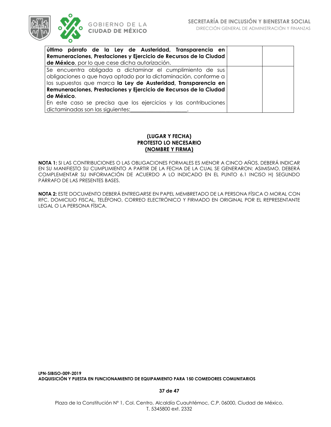

| último párrafo de la Ley de Austeridad, Transparencia en          |  |  |  |  |  |  |
|-------------------------------------------------------------------|--|--|--|--|--|--|
| Remuneraciones, Prestaciones y Ejercicio de Recursos de la Ciudad |  |  |  |  |  |  |
| de México, por lo que cese dicha autorización.                    |  |  |  |  |  |  |
| Se encuentra obligada a dictaminar el cumplimiento de sus         |  |  |  |  |  |  |
| obligaciones o que haya optado por la dictaminación, conforme a   |  |  |  |  |  |  |
| los supuestos que marca la Ley de Austeridad, Transparencia en    |  |  |  |  |  |  |
| Remuneraciones, Prestaciones y Ejercicio de Recursos de la Ciudad |  |  |  |  |  |  |
| de México.                                                        |  |  |  |  |  |  |
| En este caso se precisa que los ejercicios y las contribuciones   |  |  |  |  |  |  |
| dictaminadas son las siguientes:                                  |  |  |  |  |  |  |

### **(LUGAR Y FECHA) PROTESTO LO NECESARIO (NOMBRE Y FIRMA)**

**NOTA 1:** SI LAS CONTRIBUCIONES O LAS OBLIGACIONES FORMALES ES MENOR A CINCO AÑOS, DEBERÁ INDICAR EN SU MANIFIESTO SU CUMPLIMIENTO A PARTIR DE LA FECHA DE LA CUAL SE GENERARON; ASIMISMO, DEBERÁ COMPLEMENTAR SU INFORMACIÓN DE ACUERDO A LO INDICADO EN EL PUNTO 6.1 INCISO H) SEGUNDO PÁRRAFO DE LAS PRESENTES BASES.

**NOTA 2:** ESTE DOCUMENTO DEBERÁ ENTREGARSE EN PAPEL MEMBRETADO DE LA PERSONA FÍSICA O MORAL CON RFC, DOMICILIO FISCAL, TELÉFONO, CORREO ELECTRÓNICO Y FIRMADO EN ORIGINAL POR EL REPRESENTANTE LEGAL O LA PERSONA FÍSICA.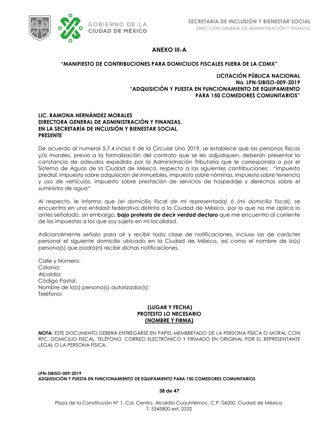

## **ANEXO III-A**

### **"MANIFIESTO DE CONTRIBUCIONES PARA DOMICILIOS FISCALES FUERA DE LA CDMX"**

### **LICITACIÓN PÚBLICA NACIONAL No. LPN-SIBISO-009-2019 "ADQUISICIÓN Y PUESTA EN FUNCIONAMIENTO DE EQUIPAMIENTO PARA 150 COMEDORES COMUNITARIOS"**

### **LIC. RAMONA HERNÁNDEZ MORALES DIRECTORA GENERAL DE ADMINISTRACIÓN Y FINANZAS. EN LA SECRETARÍA DE INCLUSIÓN Y BIENESTAR SOCIAL PRESENTE**

De acuerdo al numeral 5.7.4 inciso II de la Circular Uno 2019, se establece que las personas físicas y/o morales, previo a la formalización del contrato que se les adjudiquen, deberán presentar la constancia de adeudos expedida por la Administración Tributaria que le corresponda o por el Sistema de Aguas de la Ciudad de México, respecto a las siguientes contribuciones: "impuesto predial, impuesto sobre adquisición de inmuebles, impuesto sobre nóminas, impuesto sobre tenencia y uso de vehículos, impuesto sobre prestación de servicios de hospedaje y derechos sobre el suministro de agua"

Al respecto, le informo que *(el domicilio fiscal de mi representada)* ó *(mi domicilio fiscal),* se encuentra en una entidad federativa distinta a la Ciudad de México, por lo que no me aplica lo antes señalado, sin embargo, **bajo protesta de decir verdad declaro** que me encuentro al corriente de los impuestos a los que soy sujeto en mi localidad.

Adicionalmente señalo para oír y recibir toda clase de notificaciones, incluso las de carácter personal el siguiente domicilio ubicado en la Ciudad de México, así como el nombre de la(s) persona(s) que podrá(n) recibir dichas notificaciones.

Calle y Número: Colonia: Alcaldía: Código Postal: Nombre de la(s) persona(s) autorizadas(s): Teléfono:

### **(LUGAR Y FECHA) PROTESTO LO NECESARIO (NOMBRE Y FIRMA)**

**NOTA:** ESTE DOCUMENTO DEBERÁ ENTREGARSE EN PAPEL MEMBRETADO DE LA PERSONA FÍSICA O MORAL CON RFC, DOMICILIO FISCAL, TELÉFONO, CORREO ELECTRÓNICO Y FIRMADO EN ORIGINAL POR EL REPRESENTANTE LEGAL O LA PERSONA FÍSICA.

**LPN-SIBISO-009-2019 ADQUISICIÓN Y PUESTA EN FUNCIONAMIENTO DE EQUIPAMIENTO PARA 150 COMEDORES COMUNITARIOS**

### **38 de 47**

Plaza de la Constitución Nº 1, Col. Centro, Alcaldía Cuauhtémoc, C.P. 06000, Ciudad de México. T. 5345800 ext. 2332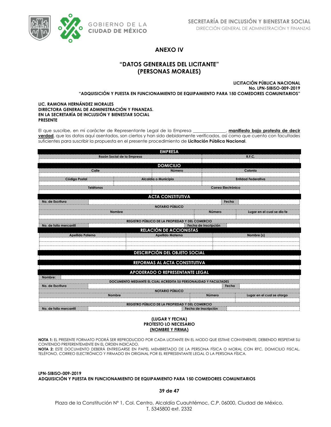

## **ANEXO IV**

## **"DATOS GENERALES DEL LICITANTE" (PERSONAS MORALES)**

**LICITACIÓN PÚBLICA NACIONAL No. LPN-SIBISO-009-2019 "ADQUISICIÓN Y PUESTA EN FUNCIONAMIENTO DE EQUIPAMIENTO PARA 150 COMEDORES COMUNITARIOS"**

#### **LIC. RAMONA HERNÁNDEZ MORALES DIRECTORA GENERAL DE ADMINISTRACIÓN Y FINANZAS. EN LA SECRETARÍA DE INCLUSIÓN Y BIENESTAR SOCIAL PRESENTE**

El que suscribe, en mi carácter de Representante Legal de la Empresa **\_\_\_\_\_\_\_\_\_\_\_\_\_\_\_**, **manifiesto bajo protesta de decir verdad**, que los datos aquí asentados, son ciertos y han sido debidamente verificados, así como que cuento con facultades suficientes para suscribir la propuesta en el presente procedimiento de **Licitación Pública Nacional**.

|                        |                                                                  | <b>EMPRESA</b>                                  |                      |                            |  |  |  |  |
|------------------------|------------------------------------------------------------------|-------------------------------------------------|----------------------|----------------------------|--|--|--|--|
|                        | Razón Social de la Empresa                                       |                                                 |                      | <b>R.F.C.</b>              |  |  |  |  |
|                        |                                                                  |                                                 |                      |                            |  |  |  |  |
|                        |                                                                  | <b>DOMICILIO</b>                                |                      |                            |  |  |  |  |
| Calle                  |                                                                  | Número                                          |                      | Colonia                    |  |  |  |  |
| <b>Código Postal</b>   | Alcaldía o Municipio                                             |                                                 |                      | <b>Entidad Federativa</b>  |  |  |  |  |
|                        |                                                                  |                                                 |                      |                            |  |  |  |  |
| Teléfonos              |                                                                  |                                                 | Correo Electrónico   |                            |  |  |  |  |
|                        |                                                                  |                                                 |                      |                            |  |  |  |  |
|                        |                                                                  | <b>ACTA CONSTITUTIVA</b>                        |                      |                            |  |  |  |  |
| No. de Escritura       |                                                                  | <b>NOTARIO PÚBLICO</b>                          | Fecha                |                            |  |  |  |  |
|                        | <b>Nombre</b>                                                    |                                                 | Número               |                            |  |  |  |  |
|                        |                                                                  |                                                 |                      | Lugar en el cual se dio fe |  |  |  |  |
|                        | REGISTRO PÚBLICO DE LA PROPIEDAD Y DEL COMERCIO                  |                                                 |                      |                            |  |  |  |  |
| No. de folio mercantil |                                                                  |                                                 | Fecha de inscripción |                            |  |  |  |  |
|                        |                                                                  | <b>RELACIÓN DE ACCIONISTAS</b>                  |                      |                            |  |  |  |  |
| Apellido Paterno       |                                                                  | <b>Apellido Materno</b>                         |                      | Nombre (s)                 |  |  |  |  |
|                        |                                                                  |                                                 |                      |                            |  |  |  |  |
|                        |                                                                  |                                                 |                      |                            |  |  |  |  |
|                        |                                                                  | <b>DESCRIPCIÓN DEL OBJETO SOCIAL</b>            |                      |                            |  |  |  |  |
|                        |                                                                  |                                                 |                      |                            |  |  |  |  |
|                        |                                                                  | REFORMAS AL ACTA CONSTITUTIVA                   |                      |                            |  |  |  |  |
|                        |                                                                  |                                                 |                      |                            |  |  |  |  |
|                        |                                                                  | APODERADO O REPRESENTANTE LEGAL                 |                      |                            |  |  |  |  |
| Nombre:                |                                                                  |                                                 |                      |                            |  |  |  |  |
|                        | DOCUMENTO MEDIANTE EL CUAL ACREDITA SU PERSONALIDAD Y FACULTADES |                                                 |                      |                            |  |  |  |  |
| No. de Escritura       |                                                                  | <b>NOTARIO PÚBLICO</b>                          | Fecha                |                            |  |  |  |  |
|                        | <b>Nombre</b>                                                    |                                                 | Número               | Lugar en el cual se otorgo |  |  |  |  |
|                        |                                                                  |                                                 |                      |                            |  |  |  |  |
|                        |                                                                  | REGISTRO PÚBLICO DE LA PROPIEDAD Y DEL COMERCIO |                      |                            |  |  |  |  |
| No. de folio mercantil |                                                                  | Fecha de inscripción                            |                      |                            |  |  |  |  |
|                        |                                                                  |                                                 |                      |                            |  |  |  |  |

#### **(LUGAR Y FECHA) PROTESTO LO NECESARIO (NOMBRE Y FIRMA)**

**NOTA 1:** EL PRESENTE FORMATO PODRÁ SER REPRODUCIDO POR CADA LICITANTE EN EL MODO QUE ESTIME CONVENIENTE, DEBIENDO RESPETAR SU CONTENIDO PREFERENTEMENTE EN EL ORDEN INDICADO.

**NOTA 2:** ESTE DOCUMENTO DEBERÁ ENTREGARSE EN PAPEL MEMBRETADO DE LA PERSONA FÍSICA O MORAL CON RFC, DOMICILIO FISCAL, TELÉFONO, CORREO ELECTRÓNICO Y FIRMADO EN ORIGINAL POR EL REPRESENTANTE LEGAL O LA PERSONA FÍSICA.

**LPN-SIBISO-009-2019 ADQUISICIÓN Y PUESTA EN FUNCIONAMIENTO DE EQUIPAMIENTO PARA 150 COMEDORES COMUNITARIOS**

**39 de 47**

Plaza de la Constitución Nº 1, Col. Centro, Alcaldía Cuauhtémoc, C.P. 06000, Ciudad de México. T. 5345800 ext. 2332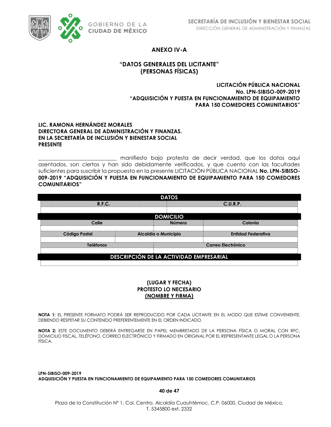

## **ANEXO IV-A**

## **"DATOS GENERALES DEL LICITANTE" (PERSONAS FÍSICAS)**

### **LICITACIÓN PÚBLICA NACIONAL No. LPN-SIBISO-009-2019 "ADQUISICIÓN Y PUESTA EN FUNCIONAMIENTO DE EQUIPAMIENTO PARA 150 COMEDORES COMUNITARIOS"**

### **LIC. RAMONA HERNÁNDEZ MORALES DIRECTORA GENERAL DE ADMINISTRACIÓN Y FINANZAS. EN LA SECRETARÍA DE INCLUSIÓN Y BIENESTAR SOCIAL PRESENTE**

\_\_\_\_\_\_\_\_\_\_\_\_\_\_\_\_\_\_\_\_\_\_\_\_\_\_\_\_\_ manifiesto bajo protesta de decir verdad, que los datos aquí asentados, son ciertos y han sido debidamente verificados, y que cuento con las facultades suficientes para suscribir la propuesta en la presente LICITACIÓN PÚBLICA NACIONAL **No. LPN-SIBISO-009-2019 "ADQUISICIÓN Y PUESTA EN FUNCIONAMIENTO DE EQUIPAMIENTO PARA 150 COMEDORES COMUNITARIOS"**

|                      | <b>DATOS</b>                                   |                           |
|----------------------|------------------------------------------------|---------------------------|
| R.F.C.               |                                                | C.U.R.P.                  |
|                      | <b>DOMICILIO</b>                               |                           |
| Calle                | <b>Número</b>                                  | Colonia                   |
| <b>Código Postal</b> | Alcaldía o Municipio                           | <b>Entidad Federativa</b> |
| <b>Teléfonos</b>     |                                                | Correo Electrónico        |
|                      | <b>DESCRIPCIÓN DE LA ACTIVIDAD EMPRESARIAL</b> |                           |

## **(LUGAR Y FECHA) PROTESTO LO NECESARIO (NOMBRE Y FIRMA)**

**NOTA 1:** EL PRESENTE FORMATO PODRÁ SER REPRODUCIDO POR CADA LICITANTE EN EL MODO QUE ESTIME CONVENIENTE, DEBIENDO RESPETAR SU CONTENIDO PREFERENTEMENTE EN EL ORDEN INDICADO.

**NOTA 2:** ESTE DOCUMENTO DEBERÁ ENTREGARSE EN PAPEL MEMBRETADO DE LA PERSONA FÍSICA O MORAL CON RFC, DOMICILIO FISCAL, TELÉFONO, CORREO ELECTRÓNICO Y FIRMADO EN ORIGINAL POR EL REPRESENTANTE LEGAL O LA PERSONA FÍSICA.

**LPN-SIBISO-009-2019 ADQUISICIÓN Y PUESTA EN FUNCIONAMIENTO DE EQUIPAMIENTO PARA 150 COMEDORES COMUNITARIOS**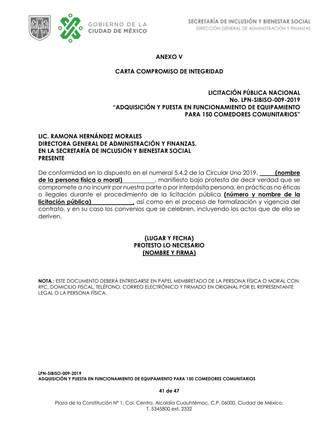

**ANEXO V**

## **CARTA COMPROMISO DE INTEGRIDAD**

## **LICITACIÓN PÚBLICA NACIONAL No. LPN-SIBISO-009-2019 "ADQUISICIÓN Y PUESTA EN FUNCIONAMIENTO DE EQUIPAMIENTO PARA 150 COMEDORES COMUNITARIOS"**

## **LIC. RAMONA HERNÁNDEZ MORALES DIRECTORA GENERAL DE ADMINISTRACIÓN Y FINANZAS. EN LA SECRETARÍA DE INCLUSIÓN Y BIENESTAR SOCIAL PRESENTE**

De conformidad en lo dispuesto en el numeral 5.4.2 de la Circular Uno 2019, **(nombre de la persona física o moral)** , manifiesto bajo protesta de decir verdad que se compromete a no incurrir por nuestra parte o por interpósita persona, en prácticas no éticas o ilegales durante el procedimiento de la licitación pública **(número y nombre de la licitación pública)**<br> **licitación y vigencia del** contrato, y en su caso los convenios que se celebren, incluyendo los actos que de ella se deriven.

## **(LUGAR Y FECHA) PROTESTO LO NECESARIO (NOMBRE Y FIRMA)**

**NOTA :** ESTE DOCUMENTO DEBERÁ ENTREGARSE EN PAPEL MEMBRETADO DE LA PERSONA FÍSICA O MORAL CON RFC, DOMICILIO FISCAL, TELÉFONO, CORREO ELECTRÓNICO Y FIRMADO EN ORIGINAL POR EL REPRESENTANTE LEGAL O LA PERSONA FÍSICA.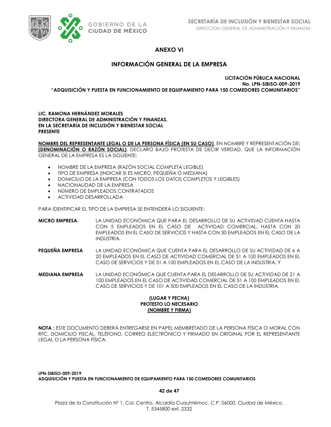

## **ANEXO VI**

## **INFORMACIÓN GENERAL DE LA EMPRESA**

**LICITACIÓN PÚBLICA NACIONAL No. LPN-SIBISO-009-2019 "ADQUISICIÓN Y PUESTA EN FUNCIONAMIENTO DE EQUIPAMIENTO PARA 150 COMEDORES COMUNITARIOS"**

### **LIC. RAMONA HERNÁNDEZ MORALES DIRECTORA GENERAL DE ADMINISTRACIÓN Y FINANZAS. EN LA SECRETARÍA DE INCLUSIÓN Y BIENESTAR SOCIAL PRESENTE**

**NOMBRE DEL REPRESENTANTE LEGAL O DE LA PERSONA FÍSICA (EN SU CASO)**, EN NOMBRE Y REPRESENTACIÓN DE: **(DENOMINACIÓN O RAZÓN SOCIAL)**, DECLARO BAJO PROTESTA DE DECIR VERDAD, QUE LA INFORMACIÓN GENERAL DE LA EMPRESA ES LA SIGUIENTE:

- NOMBRE DE LA EMPRESA (RAZÓN SOCIAL COMPLETA LEGIBLE)
- TIPO DE EMPRESA (INDICAR SI ES MICRO, PEQUEÑA O MEDIANA)
- DOMICILIO DE LA EMPRESA (CON TODOS LOS DATOS COMPLETOS Y LEGIBLES)
- NACIONALIDAD DE LA EMPRESA
- NÚMERO DE EMPLEADOS CONTRATADOS
- ACTIVIDAD DESARROLLADA

PARA IDENTIFICAR EL TIPO DE LA EMPRESA SE ENTENDERÁ LO SIGUIENTE:

- **MICRO EMPRESA**. LA UNIDAD ECONÓMICA QUE PARA EL DESARROLLO DE SU ACTIVIDAD CUENTA HASTA CON 5 EMPLEADOS EN EL CASO DE ACTIVIDAD COMERCIAL, HASTA CON 20 EMPLEADOS EN EL CASO DE SERVICIOS Y HASTA CON 30 EMPLEADOS EN EL CASO DE LA INDUSTRIA.
- **PEQUEÑA EMPRESA** LA UNIDAD ECONÓMICA QUE CUENTA PARA EL DESARROLLO DE SU ACTIVIDAD DE 6 A 20 EMPLEADOS EN EL CASO DE ACTIVIDAD COMERCIAL DE 51 A 100 EMPLEADOS EN EL CASO DE SERVICIOS Y DE 31 A 100 EMPLEADOS EN EL CASO DE LA INDUSTRIA, Y
- **MEDIANA EMPRESA** LA UNIDAD ECONÓMICA QUE CUENTA PARA EL DESARROLLO DE SU ACTIVIDAD DE 21 A 100 EMPLEADOS EN EL CASO DE ACTIVIDAD COMERCIAL DE 51 A 100 EMPLEADOS EN EL CASO DE SERVICIOS Y DE 101 A 500 EMPLEADOS EN EL CASO DE LA INDUSTRIA.

### **(LUGAR Y FECHA) PROTESTO LO NECESARIO (NOMBRE Y FIRMA)**

**NOTA :** ESTE DOCUMENTO DEBERÁ ENTREGARSE EN PAPEL MEMBRETADO DE LA PERSONA FÍSICA O MORAL CON RFC, DOMICILIO FISCAL, TELÉFONO, CORREO ELECTRÓNICO Y FIRMADO EN ORIGINAL POR EL REPRESENTANTE LEGAL O LA PERSONA FÍSICA.

**LPN-SIBISO-009-2019 ADQUISICIÓN Y PUESTA EN FUNCIONAMIENTO DE EQUIPAMIENTO PARA 150 COMEDORES COMUNITARIOS**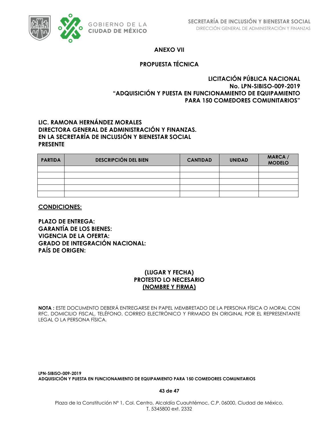

## **ANEXO VII**

## **PROPUESTA TÉCNICA**

## **LICITACIÓN PÚBLICA NACIONAL No. LPN-SIBISO-009-2019 "ADQUISICIÓN Y PUESTA EN FUNCIONAMIENTO DE EQUIPAMIENTO PARA 150 COMEDORES COMUNITARIOS"**

## **LIC. RAMONA HERNÁNDEZ MORALES DIRECTORA GENERAL DE ADMINISTRACIÓN Y FINANZAS. EN LA SECRETARÍA DE INCLUSIÓN Y BIENESTAR SOCIAL PRESENTE**

| <b>PARTIDA</b> | <b>DESCRIPCIÓN DEL BIEN</b> | <b>CANTIDAD</b> | <b>UNIDAD</b> | MARCA /<br><b>MODELO</b> |
|----------------|-----------------------------|-----------------|---------------|--------------------------|
|                |                             |                 |               |                          |
|                |                             |                 |               |                          |
|                |                             |                 |               |                          |
|                |                             |                 |               |                          |
|                |                             |                 |               |                          |

### **CONDICIONES:**

**PLAZO DE ENTREGA: GARANTÍA DE LOS BIENES: VIGENCIA DE LA OFERTA: GRADO DE INTEGRACIÓN NACIONAL: PAÍS DE ORIGEN:**

## **(LUGAR Y FECHA) PROTESTO LO NECESARIO (NOMBRE Y FIRMA)**

**NOTA :** ESTE DOCUMENTO DEBERÁ ENTREGARSE EN PAPEL MEMBRETADO DE LA PERSONA FÍSICA O MORAL CON RFC, DOMICILIO FISCAL, TELÉFONO, CORREO ELECTRÓNICO Y FIRMADO EN ORIGINAL POR EL REPRESENTANTE LEGAL O LA PERSONA FÍSICA.

**LPN-SIBISO-009-2019 ADQUISICIÓN Y PUESTA EN FUNCIONAMIENTO DE EQUIPAMIENTO PARA 150 COMEDORES COMUNITARIOS**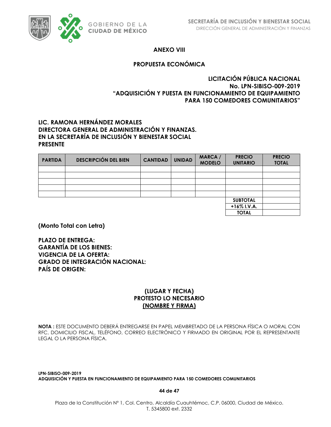

## **ANEXO VIII**

## **PROPUESTA ECONÓMICA**

## **LICITACIÓN PÚBLICA NACIONAL No. LPN-SIBISO-009-2019 "ADQUISICIÓN Y PUESTA EN FUNCIONAMIENTO DE EQUIPAMIENTO PARA 150 COMEDORES COMUNITARIOS"**

## **LIC. RAMONA HERNÁNDEZ MORALES DIRECTORA GENERAL DE ADMINISTRACIÓN Y FINANZAS. EN LA SECRETARÍA DE INCLUSIÓN Y BIENESTAR SOCIAL PRESENTE**

| <b>PARTIDA</b> | <b>DESCRIPCIÓN DEL BIEN</b> | <b>CANTIDAD</b> | <b>UNIDAD</b> | <b>MARCA</b> /<br><b>MODELO</b> | <b>PRECIO</b><br><b>UNITARIO</b> | <b>PRECIO</b><br><b>TOTAL</b> |
|----------------|-----------------------------|-----------------|---------------|---------------------------------|----------------------------------|-------------------------------|
|                |                             |                 |               |                                 |                                  |                               |
|                |                             |                 |               |                                 |                                  |                               |
|                |                             |                 |               |                                 |                                  |                               |
|                |                             |                 |               |                                 |                                  |                               |
|                |                             |                 |               |                                 |                                  |                               |
|                |                             |                 |               |                                 | <b>SUBTOTAL</b>                  |                               |
|                |                             |                 |               |                                 | +16% I.V.A.                      |                               |
|                |                             |                 |               |                                 | <b>TOTAL</b>                     |                               |

**(Monto Total con Letra)**

**PLAZO DE ENTREGA: GARANTÍA DE LOS BIENES: VIGENCIA DE LA OFERTA: GRADO DE INTEGRACIÓN NACIONAL: PAÍS DE ORIGEN:**

## **(LUGAR Y FECHA) PROTESTO LO NECESARIO (NOMBRE Y FIRMA)**

**NOTA :** ESTE DOCUMENTO DEBERÁ ENTREGARSE EN PAPEL MEMBRETADO DE LA PERSONA FÍSICA O MORAL CON RFC, DOMICILIO FISCAL, TELÉFONO, CORREO ELECTRÓNICO Y FIRMADO EN ORIGINAL POR EL REPRESENTANTE LEGAL O LA PERSONA FÍSICA.

**LPN-SIBISO-009-2019 ADQUISICIÓN Y PUESTA EN FUNCIONAMIENTO DE EQUIPAMIENTO PARA 150 COMEDORES COMUNITARIOS**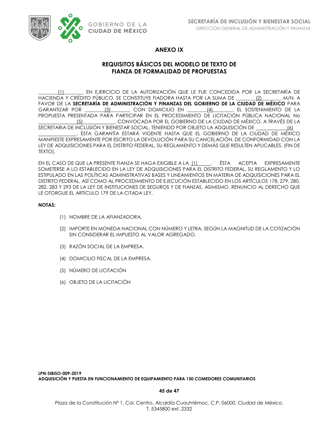

## **ANEXO IX**

## **REQUISITOS BÁSICOS DEL MODELO DE TEXTO DE FIANZA DE FORMALIDAD DE PROPUESTAS**

\_\_\_\_\_\_\_\_(1)\_\_\_\_\_\_\_\_ EN EJERCICIO DE LA AUTORIZACIÓN QUE LE FUE CONCEDIDA POR LA SECRETARÍA DE HACIENDA Y CRÉDITO PÚBLICO, SE CONSTITUYE FIADORA HASTA POR LA SUMA DE \_\_\_\_\_\_\_\_(2)\_\_\_\_\_\_\_\_ M/N, A FAVOR DE LA **SECRETARÍA DE ADMINISTRACIÓN Y FINANZAS DEL GOBIERNO DE LA CIUDAD DE MÉXICO** PARA GARANTIZAR POR (3) CON DOMICILIO EN  $(4)$ , EL SOSTENIMIENTO DE LA PROPUESTA PRESENTADA PARA PARTICIPAR EN EL PROCEDIMIENTO DE LICITACIÓN PÚBLICA NACIONAL No (5) , CONVOCADA POR EL GOBIERNO DE LA CIUDAD DE MÉXICO, A TRAVÉS DE LA SECRETARIA DE INCLUSIÓN Y BIENESTAR SOCIAL, TENIENDO POR OBJETO LA ADQUISICIÓN DE (6) . ESTA GARANTÍA ESTARÁ VIGENTE HASTA QUE EL GOBIERNO DE LA CIUDAD DE MÉXICO MANIFIESTE EXPRESAMENTE POR ESCRITO LA DEVOLUCIÓN PARA SU CANCELACIÓN, DE CONFORMIDAD CON LA LEY DE ADQUISICIONES PARA EL DISTRITO FEDERAL, SU REGLAMENTO Y DEMÁS QUE RESULTEN APLICABLES. (FIN DE TEXTO).

EN EL CASO DE QUE LA PRESENTE FIANZA SE HAGA EXIGIBLE A LA 11 [1] [65TA ACEPTA EXPRESAMENTE SOMETERSE A LO ESTABLECIDO EN LA LEY DE ADQUISICIONES PARA EL DISTRITO FEDERAL, SU REGLAMENTO Y LO ESTIPULADO EN LAS POLÍTICAS ADMINISTRATIVAS BASES Y LINEAMIENTOS EN MATERIA DE ADQUISICIONES PARA EL DISTRITO FEDERAL, ASÍ COMO AL PROCEDIMIENTO DE EJECUCIÓN ESTABLECIDO EN LOS ARTÍCULOS 178, 279, 280, 282, 283 Y 293 DE LA LEY DE INSTITUCIONES DE SEGUROS Y DE FIANZAS, ASIMISMO, RENUNCIO AL DERECHO QUE LE OTORGUE EL ARTICULO 179 DE LA CITADA LEY.

### **NOTAS:**

- (1) NOMBRE DE LA AFIANZADORA.
- (2) IMPORTE EN MONEDA NACIONAL CON NÚMERO Y LETRA, SEGÚN LA MAGNITUD DE LA COTIZACIÓN SIN CONSIDERAR EL IMPUESTO AL VALOR AGREGADO.
- (3) RAZÓN SOCIAL DE LA EMPRESA.
- (4) DOMICILIO FISCAL DE LA EMPRESA.
- (5) NÚMERO DE LICITACIÓN
- (6) OBJETO DE LA LICITACIÓN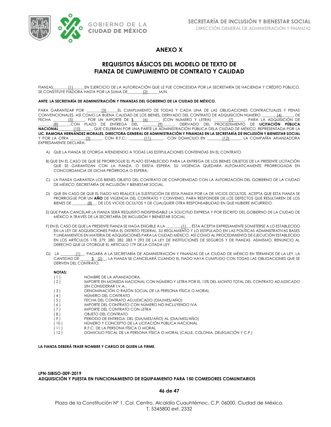

### **ANEXO X**

## **REQUISITOS BÁSICOS DEL MODELO DE TEXTO DE FIANZA DE CUMPLIMIENTO DE CONTRATO Y CALIDAD**

FIANZAS [1] EN EJERCICIO DE LA AUTORIZACIÓN QUE LE FUE CONCEDIDA POR LA SECRETARÍA DE HACIENDA Y CRÉDITO PÚBLICO, SE CONSTITUYE FIADORA HASTA POR LA SUMA DE\_\_\_\_\_\_\_\_(2)\_\_\_\_\_\_M/N,

#### **ANTE: LA SECRETARÍA DE ADMINISTRACIÓN Y FINANZAS DEL GOBIERNO DE LA CIUDAD DE MÉXICO.**

PARA GARANTIZAR POR \_\_\_\_\_\_\_\_(3)\_\_\_\_\_\_EL CUMPLIMIENTO DE TODAS Y CADA UNA DE LAS OBLIGACIONES CONTRACTUALES Y PENAS CONVENCIONALES, ASÍ COMO LA BUENA CALIDAD DE LOS BIENES**,** DERIVADO DEL CONTRATO DE ADQUISICIÓN NUMERO \_\_\_\_\_\_\_\_(4)\_\_\_\_\_\_, DE FECHA \_\_\_\_\_\_\_\_(5)\_\_\_\_\_\_, POR UN IMPORTE DE \$\_\_\_\_\_(6)\_\_\_\_\_\_, (CON NUMERO Y LETRA) \_\_\_\_\_\_\_\_(7)\_\_\_\_\_\_, PARA LA ADQUISICIÓN DE \_\_\_\_\_\_\_\_(8)\_\_\_\_\_\_,CON PLAZO DE ENTREGA DEL \_\_\_\_\_\_\_\_(9)\_\_\_\_\_\_, DERIVADO DEL PROCEDIMIENTO DE **LICITACIÓN PÚBLICA NACIONAL**\_\_\_\_\_\_\_\_(10)\_\_\_\_\_\_, QUE CELEBRAN POR UNA PARTE LA ADMINISTRACIÓN PÚBLICA DELA CIUDAD DE MÉXICO, REPRESENTADA POR LA **LIC. RAMONA HERNÁNDEZ MORALES, DIRECTORA GENERAL DE ADMINISTRACIÓN Y FINANZAS EN LA SECRETARÍA DE INCLUSIÓN Y BIENESTAR SOCIAL** Y POR LA OTRA \_\_\_\_\_\_\_\_(3)\_\_\_\_\_\_, CON R.F.C.: \_\_\_\_\_\_\_\_(11)\_\_\_\_\_\_, CON DOMICILIO EN \_\_\_\_\_\_\_\_(12)\_\_\_\_\_\_, LA COMPAÑÍA AFIANZADORA EXPRESAMENTE DECLARA:

- A) QUE LA FIANZA SE OTORGA ATENDIENDO A TODAS LAS ESTIPULACIONES CONTENIDAS EN EL CONTRATO.
- B)QUE EN EL CASO DE QUE SE PRORROGUE EL PLAZO ESTABLECIDO PARA LA ENTREGA DE LOS BIENES OBJETOS DE LA PRESENTE LICITACIÓN QUE SE GARANTIZAN CON LA FIANZA, O EXISTA ESPERA, SU VIGENCIA QUEDARÁ AUTOMÁTICAMENTE PRORROGADA EN CONCORDANCIA DE DICHA PRÓRROGA O ESPERA;
- C) LA FIANZA GARANTIZA LOS BIENES OBJETO DEL CONTRATO DE CONFORMIDAD CON LA AUTORIZACIÓN DEL GOBIERNO DE LA CIUDAD DE MÉXICO /SECRETARÍA DE INCLUSIÓN Y BIENESTAR SOCIAL.
- D) QUE EN CASO DE QUE EL FIADO NO REALICE LA SUSTITUCIÓN DE ESTA FIANZA POR LA DE VICIOS OCULTOS, ACEPTA QUE ESTA FIANZA SE PRORROGUE POR UN **AÑO** DE VIGENCIA DEL CONTRATO Y CONVENIO, PARA RESPONDER DE LOS DEFECTOS QUE RESULTAREN DE LOS BIENES DE \_\_\_\_\_\_\_\_(8)\_\_, DE LOS VICIOS OCULTOS Y DE CUALQUIER OTRA RESPONSABILIDAD EN QUE HUBIERE INCURRIDO.
- E)QUE PARA CANCELAR LA FIANZA SERÁ REQUISITO INDISPENSABLE LA SOLICITUD EXPRESA Y POR ESCRITO DEL GOBIERNO DE LA CIUDAD DE MÉXICO A TRAVÉS DE LA SECRETARÍA DE INCLUSIÓN Y BIENESTAR SOCIAL
- F) EN EL CASO DE QUE LA PRESENTE FIANZA SE HAGA EXIGIBLE A LA \_\_\_\_\_\_\_\_(1)\_\_, ÉSTA ACEPTA EXPRESAMENTE SOMETERSE A LO ESTABLECIDO EN LA LEY DE ADQUISICIONES PARA EL DISTRITO FEDERAL, SU REGLAMENTO Y LO ESTIPULADO EN LAS POLÍTICAS ADMINISTRATIVAS BASES Y LINEAMIENTOS EN MATERIA DE ADQUISICIONES PARA LA CIUDAD MÉXICO, ASÍ COMO AL PROCEDIMIENTO DE EJECUCIÓN ESTABLECIDO EN LOS ARTÍCULOS 178, 279, 280, 282, 283 Y 293 DE LA LEY DE INSTITUCIONES DE SEGUROS Y DE FIANZAS, ASIMISMO, RENUNCIO AL DERECHO QUE LE OTORGUE EL ARTICULO 179 DE LA CITADA LEY.
- G) LA \_\_\_\_\_\_\_<u>(1)</u>\_, PAGARÁ A LA SECRETARÍA DE ADMINISTRACIÓN Y FINANZAS DE LA CIUDAD DE MÉXICO EN TÉRMINOS DE LA LEY, LA<br>CANTIDAD DE \${2}, LA FIANZA SE CANCELARÁ CUANDO EL FIADO HAYA CUMPLIDO CON TODAS LAS OBLIGACIONES QU  $$$  (2) La FIANZA SE CANCELARÁ CUANDO EL FIADO HAYA CUMPLIDO CON TODAS LAS OBLIGACIONES QUE SE DERIVEN DEL CONTRATO.

#### **NOTAS:**

- ( 1 ) NOMBRE DE LA AFIANZADORA.
- IMPORTE EN MONEDA NACIONAL CON NÚMERO Y LETRA POR EL 15% DEL MONTO TOTAL DEL CONTRATO ADJUDICADO SIN CONSIDERAR I.V.A..
- ( 3 ) DENOMINACIÓN O RAZÓN SOCIAL DE LA PERSONA FÍSICA O MORAL
- ( 4 ) NÚMERO DEL CONTRATO
- ( 5 ) FECHA DEL CONTRATO ADJUDICADO (DIA/MES/AÑO)<br>( 6 ) MPORTE DEL CONTRATO CON NÚMERO NO INCLUYEN
- IMPORTE DEL CONTRATO CON NÚMERO NO INCLUYENDO IVA
- ( 7 ) IMPORTE DEL CONTRATO CON LETRA
- ( 8 ) OBJETO DEL CONTRATO
- ( 9 ) PERIODO DE ENTREGA: DEL (DIA/MES/AÑO) AL (DIA/MES/AÑO) NÚMERO Y CONCEPTO DE LA LICITACIÓN PÚBLICA NACIONAL
- 
- ( 11 ) R.F.C. DE LA PERSONA FÍSICA O MORAL
- ( 12 ) DOMICILIO FISCAL DE LA PERSONA FÍSICA O MORAL (CALLE, COLONIA, DELEGACIÓN Y C.P.)

#### **LA FIANZA DEBERÁ TRAER NOMBRE Y CARGO DE QUIEN LA FIRME.**

**LPN-SIBISO-009-2019 ADQUISICIÓN Y PUESTA EN FUNCIONAMIENTO DE EQUIPAMIENTO PARA 150 COMEDORES COMUNITARIOS**